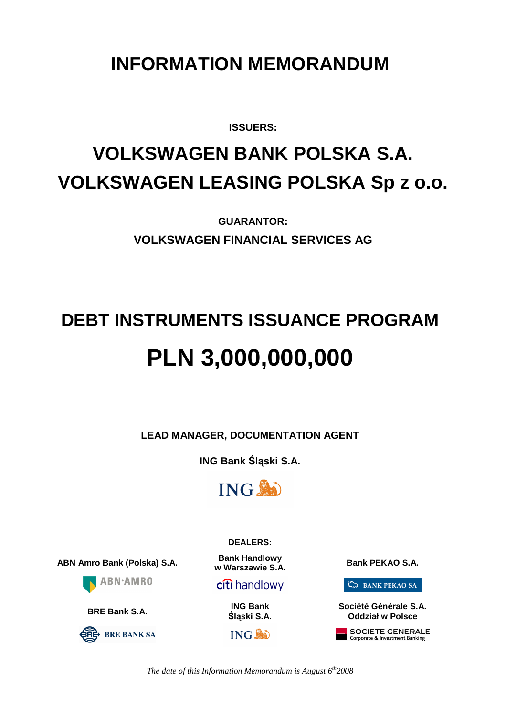# **INFORMATION MEMORANDUM**

**ISSUERS:** 

# **VOLKSWAGEN BANK POLSKA S.A. VOLKSWAGEN LEASING POLSKA Sp z o.o.**

**GUARANTOR: VOLKSWAGEN FINANCIAL SERVICES AG**

# **DEBT INSTRUMENTS ISSUANCE PROGRAM PLN 3,000,000,000**

**LEAD MANAGER, DOCUMENTATION AGENT** 

**ING Bank** Ś**l**ą**ski S.A.** 



**DEALERS:** 

**ABN Amro Bank (Polska) S.A. Bank Handlowy** 





**w** Warszawie S.A.

**citi** handlowy

**BRE Bank S.A. ING Bank**  Ś**l**ą**ski S.A.**

 $ING$ 

 $\sum_{n=1}^{\infty}$  BANK PEKAO SA

**Société Générale S.A. Oddział w Polsce** 

SOCIETE GENERALE Corporate & Investment Banking

*The date of this Information Memorandum is August 6th2008*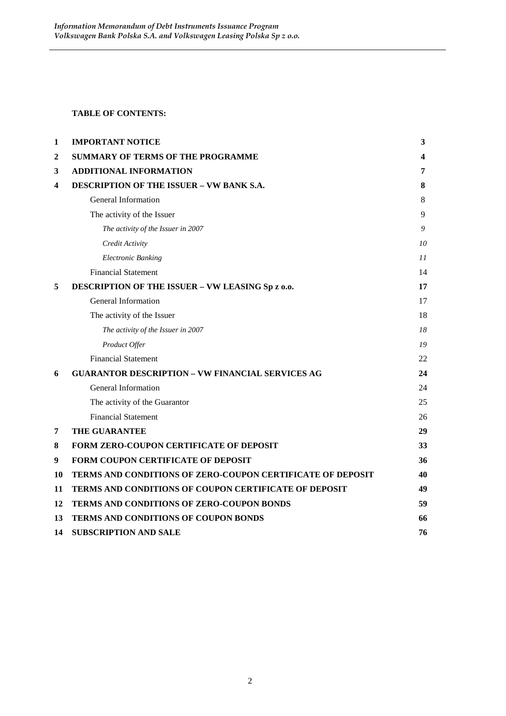#### **TABLE OF CONTENTS:**

| 1  | <b>IMPORTANT NOTICE</b>                                           | $\mathbf{3}$ |
|----|-------------------------------------------------------------------|--------------|
| 2  | <b>SUMMARY OF TERMS OF THE PROGRAMME</b>                          | 4            |
| 3  | <b>ADDITIONAL INFORMATION</b>                                     | 7            |
| 4  | <b>DESCRIPTION OF THE ISSUER - VW BANK S.A.</b>                   | 8            |
|    | General Information                                               | 8            |
|    | The activity of the Issuer                                        | 9            |
|    | The activity of the Issuer in 2007                                | 9            |
|    | Credit Activity                                                   | 10           |
|    | <b>Electronic Banking</b>                                         | 11           |
|    | <b>Financial Statement</b>                                        | 14           |
| 5  | DESCRIPTION OF THE ISSUER - VW LEASING Sp z o.o.                  | 17           |
|    | General Information                                               | 17           |
|    | The activity of the Issuer                                        | 18           |
|    | The activity of the Issuer in 2007                                | 18           |
|    | Product Offer                                                     | 19           |
|    | <b>Financial Statement</b>                                        | 22           |
| 6  | <b>GUARANTOR DESCRIPTION - VW FINANCIAL SERVICES AG</b>           | 24           |
|    | <b>General Information</b>                                        | 24           |
|    | The activity of the Guarantor                                     | 25           |
|    | <b>Financial Statement</b>                                        | 26           |
| 7  | THE GUARANTEE                                                     | 29           |
| 8  | FORM ZERO-COUPON CERTIFICATE OF DEPOSIT                           | 33           |
| 9  | <b>FORM COUPON CERTIFICATE OF DEPOSIT</b>                         | 36           |
| 10 | <b>TERMS AND CONDITIONS OF ZERO-COUPON CERTIFICATE OF DEPOSIT</b> | 40           |
| 11 | <b>TERMS AND CONDITIONS OF COUPON CERTIFICATE OF DEPOSIT</b>      | 49           |
| 12 | TERMS AND CONDITIONS OF ZERO-COUPON BONDS                         | 59           |
| 13 | <b>TERMS AND CONDITIONS OF COUPON BONDS</b>                       | 66           |
| 14 | <b>SUBSCRIPTION AND SALE</b>                                      | 76           |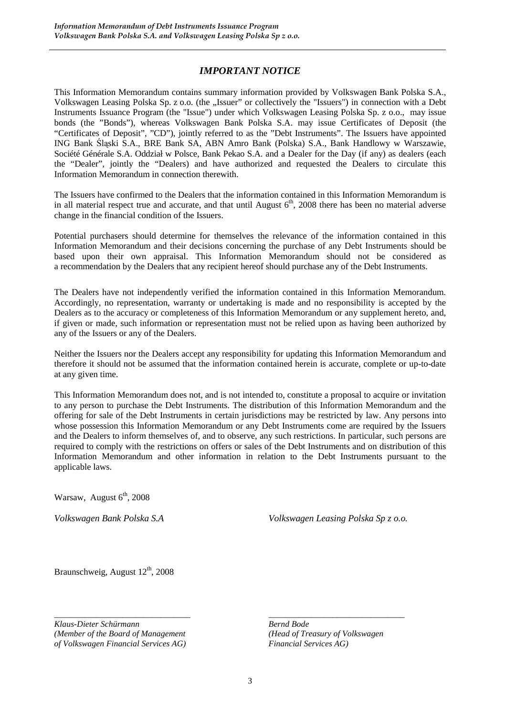#### *IMPORTANT NOTICE*

This Information Memorandum contains summary information provided by Volkswagen Bank Polska S.A., Volkswagen Leasing Polska Sp. z o.o. (the "Issuer" or collectively the "Issuers") in connection with a Debt Instruments Issuance Program (the "Issue") under which Volkswagen Leasing Polska Sp. z o.o., may issue bonds (the "Bonds"), whereas Volkswagen Bank Polska S.A. may issue Certificates of Deposit (the "Certificates of Deposit", "CD"), jointly referred to as the "Debt Instruments". The Issuers have appointed ING Bank Śląski S.A., BRE Bank SA, ABN Amro Bank (Polska) S.A., Bank Handlowy w Warszawie, Société Générale S.A. Oddział w Polsce, Bank Pekao S.A. and a Dealer for the Day (if any) as dealers (each the "Dealer", jointly the "Dealers) and have authorized and requested the Dealers to circulate this Information Memorandum in connection therewith.

The Issuers have confirmed to the Dealers that the information contained in this Information Memorandum is in all material respect true and accurate, and that until August  $6<sup>th</sup>$ , 2008 there has been no material adverse change in the financial condition of the Issuers.

Potential purchasers should determine for themselves the relevance of the information contained in this Information Memorandum and their decisions concerning the purchase of any Debt Instruments should be based upon their own appraisal. This Information Memorandum should not be considered as a recommendation by the Dealers that any recipient hereof should purchase any of the Debt Instruments.

The Dealers have not independently verified the information contained in this Information Memorandum. Accordingly, no representation, warranty or undertaking is made and no responsibility is accepted by the Dealers as to the accuracy or completeness of this Information Memorandum or any supplement hereto, and, if given or made, such information or representation must not be relied upon as having been authorized by any of the Issuers or any of the Dealers.

Neither the Issuers nor the Dealers accept any responsibility for updating this Information Memorandum and therefore it should not be assumed that the information contained herein is accurate, complete or up-to-date at any given time.

This Information Memorandum does not, and is not intended to, constitute a proposal to acquire or invitation to any person to purchase the Debt Instruments. The distribution of this Information Memorandum and the offering for sale of the Debt Instruments in certain jurisdictions may be restricted by law. Any persons into whose possession this Information Memorandum or any Debt Instruments come are required by the Issuers and the Dealers to inform themselves of, and to observe, any such restrictions. In particular, such persons are required to comply with the restrictions on offers or sales of the Debt Instruments and on distribution of this Information Memorandum and other information in relation to the Debt Instruments pursuant to the applicable laws.

Warsaw, August  $6<sup>th</sup>$ , 2008

*Volkswagen Bank Polska S.A Volkswagen Leasing Polska Sp z o.o.* 

Braunschweig, August 12<sup>th</sup>, 2008

*Klaus-Dieter Schürmann Bernd Bode (Member of the Board of Management (Head of Treasury of Volkswagen of Volkswagen Financial Services AG) Financial Services AG)* 

*\_\_\_\_\_\_\_\_\_\_\_\_\_\_\_\_\_\_\_\_\_\_\_\_\_\_\_\_\_\_\_\_ \_\_\_\_\_\_\_\_\_\_\_\_\_\_\_\_\_\_\_\_\_\_\_\_\_\_\_\_\_\_\_\_*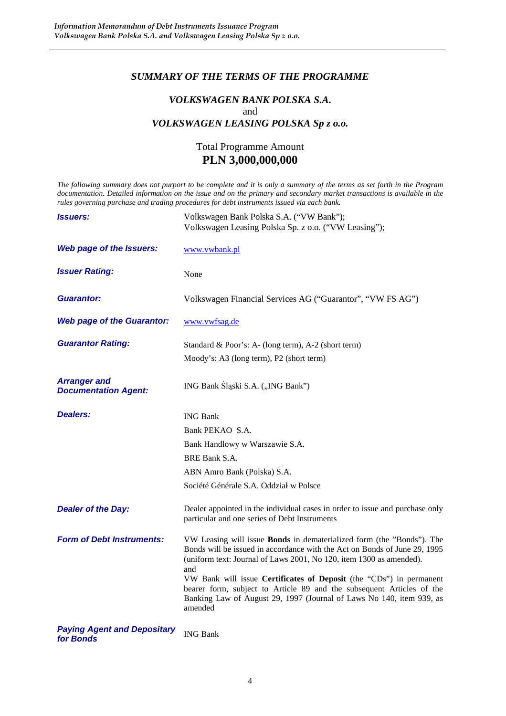#### *SUMMARY OF THE TERMS OF THE PROGRAMME*

#### *VOLKSWAGEN BANK POLSKA S.A.*  and *VOLKSWAGEN LEASING POLSKA Sp z o.o.*

# Total Programme Amount **PLN 3,000,000,000**

*The following summary does not purport to be complete and it is only a summary of the terms as set forth in the Program documentation. Detailed information on the issue and on the primary and secondary market transactions is available in the rules governing purchase and trading procedures for debt instruments issued via each bank.* 

| <i><b>Issuers:</b></i>                             | Volkswagen Bank Polska S.A. ("VW Bank");<br>Volkswagen Leasing Polska Sp. z o.o. ("VW Leasing");                                                                                                                                                                                                                                                                                                                                                                           |
|----------------------------------------------------|----------------------------------------------------------------------------------------------------------------------------------------------------------------------------------------------------------------------------------------------------------------------------------------------------------------------------------------------------------------------------------------------------------------------------------------------------------------------------|
| Web page of the Issuers:                           | www.vwbank.pl                                                                                                                                                                                                                                                                                                                                                                                                                                                              |
| <b>Issuer Rating:</b>                              | None                                                                                                                                                                                                                                                                                                                                                                                                                                                                       |
| <b>Guarantor:</b>                                  | Volkswagen Financial Services AG ("Guarantor", "VW FS AG")                                                                                                                                                                                                                                                                                                                                                                                                                 |
| <b>Web page of the Guarantor:</b>                  | www.vwfsag.de                                                                                                                                                                                                                                                                                                                                                                                                                                                              |
| <b>Guarantor Rating:</b>                           | Standard & Poor's: A- (long term), A-2 (short term)<br>Moody's: A3 (long term), P2 (short term)                                                                                                                                                                                                                                                                                                                                                                            |
| <b>Arranger and</b><br><b>Documentation Agent:</b> | ING Bank Śląski S.A. ("ING Bank")                                                                                                                                                                                                                                                                                                                                                                                                                                          |
| <b>Dealers:</b>                                    | <b>ING Bank</b><br>Bank PEKAO S.A.<br>Bank Handlowy w Warszawie S.A.<br><b>BRE Bank S.A.</b><br>ABN Amro Bank (Polska) S.A.<br>Société Générale S.A. Oddział w Polsce                                                                                                                                                                                                                                                                                                      |
| <b>Dealer of the Day:</b>                          | Dealer appointed in the individual cases in order to issue and purchase only<br>particular and one series of Debt Instruments                                                                                                                                                                                                                                                                                                                                              |
| <b>Form of Debt Instruments:</b>                   | VW Leasing will issue <b>Bonds</b> in dematerialized form (the "Bonds"). The<br>Bonds will be issued in accordance with the Act on Bonds of June 29, 1995<br>(uniform text: Journal of Laws 2001, No 120, item 1300 as amended).<br>and<br>VW Bank will issue Certificates of Deposit (the "CDs") in permanent<br>bearer form, subject to Article 89 and the subsequent Articles of the<br>Banking Law of August 29, 1997 (Journal of Laws No 140, item 939, as<br>amended |
| <b>Paying Agent and Depositary</b><br>for Bonds    | <b>ING Bank</b>                                                                                                                                                                                                                                                                                                                                                                                                                                                            |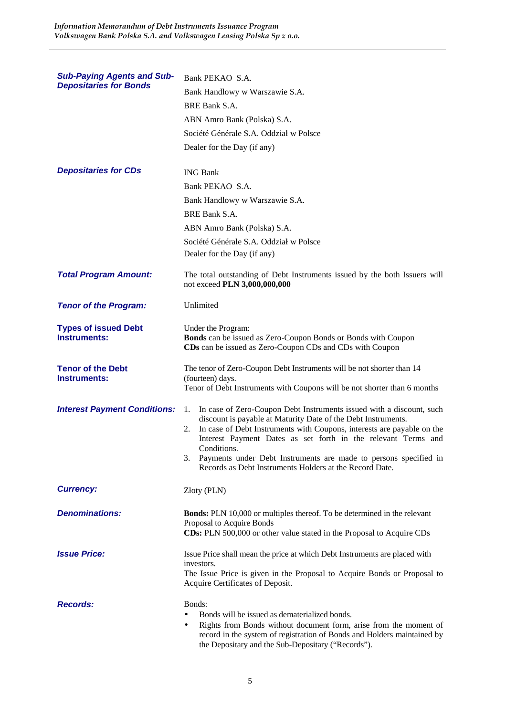| <b>Sub-Paying Agents and Sub-</b>                  | Bank PEKAO S.A.                                                                                                                                                                                                                                                                                                                                                                                                                            |
|----------------------------------------------------|--------------------------------------------------------------------------------------------------------------------------------------------------------------------------------------------------------------------------------------------------------------------------------------------------------------------------------------------------------------------------------------------------------------------------------------------|
| <b>Depositaries for Bonds</b>                      | Bank Handlowy w Warszawie S.A.                                                                                                                                                                                                                                                                                                                                                                                                             |
|                                                    | BRE Bank S.A.                                                                                                                                                                                                                                                                                                                                                                                                                              |
|                                                    | ABN Amro Bank (Polska) S.A.                                                                                                                                                                                                                                                                                                                                                                                                                |
|                                                    | Société Générale S.A. Oddział w Polsce                                                                                                                                                                                                                                                                                                                                                                                                     |
|                                                    | Dealer for the Day (if any)                                                                                                                                                                                                                                                                                                                                                                                                                |
|                                                    |                                                                                                                                                                                                                                                                                                                                                                                                                                            |
| <b>Depositaries for CDs</b>                        | <b>ING Bank</b>                                                                                                                                                                                                                                                                                                                                                                                                                            |
|                                                    | Bank PEKAO S.A.                                                                                                                                                                                                                                                                                                                                                                                                                            |
|                                                    | Bank Handlowy w Warszawie S.A.                                                                                                                                                                                                                                                                                                                                                                                                             |
|                                                    | BRE Bank S.A.                                                                                                                                                                                                                                                                                                                                                                                                                              |
|                                                    | ABN Amro Bank (Polska) S.A.                                                                                                                                                                                                                                                                                                                                                                                                                |
|                                                    | Société Générale S.A. Oddział w Polsce                                                                                                                                                                                                                                                                                                                                                                                                     |
|                                                    | Dealer for the Day (if any)                                                                                                                                                                                                                                                                                                                                                                                                                |
| <b>Total Program Amount:</b>                       | The total outstanding of Debt Instruments issued by the both Issuers will<br>not exceed PLN 3,000,000,000                                                                                                                                                                                                                                                                                                                                  |
| <b>Tenor of the Program:</b>                       | Unlimited                                                                                                                                                                                                                                                                                                                                                                                                                                  |
| <b>Types of issued Debt</b><br><b>Instruments:</b> | Under the Program:<br><b>Bonds</b> can be issued as Zero-Coupon Bonds or Bonds with Coupon<br>CDs can be issued as Zero-Coupon CDs and CDs with Coupon                                                                                                                                                                                                                                                                                     |
| <b>Tenor of the Debt</b><br><b>Instruments:</b>    | The tenor of Zero-Coupon Debt Instruments will be not shorter than 14<br>(fourteen) days.<br>Tenor of Debt Instruments with Coupons will be not shorter than 6 months                                                                                                                                                                                                                                                                      |
| <b>Interest Payment Conditions:</b>                | In case of Zero-Coupon Debt Instruments issued with a discount, such<br>1.<br>discount is payable at Maturity Date of the Debt Instruments.<br>2. In case of Debt Instruments with Coupons, interests are payable on the<br>Interest Payment Dates as set forth in the relevant Terms and<br>Conditions.<br>3. Payments under Debt Instruments are made to persons specified in<br>Records as Debt Instruments Holders at the Record Date. |
| <b>Currency:</b>                                   | Złoty (PLN)                                                                                                                                                                                                                                                                                                                                                                                                                                |
| <b>Denominations:</b>                              | <b>Bonds:</b> PLN 10,000 or multiples thereof. To be determined in the relevant<br>Proposal to Acquire Bonds<br>CDs: PLN 500,000 or other value stated in the Proposal to Acquire CDs                                                                                                                                                                                                                                                      |
| <b>Issue Price:</b>                                | Issue Price shall mean the price at which Debt Instruments are placed with<br>investors.<br>The Issue Price is given in the Proposal to Acquire Bonds or Proposal to<br>Acquire Certificates of Deposit.                                                                                                                                                                                                                                   |
| <b>Records:</b>                                    | Bonds:<br>Bonds will be issued as dematerialized bonds.<br>Rights from Bonds without document form, arise from the moment of<br>$\bullet$<br>record in the system of registration of Bonds and Holders maintained by<br>the Depositary and the Sub-Depositary ("Records").                                                                                                                                                                 |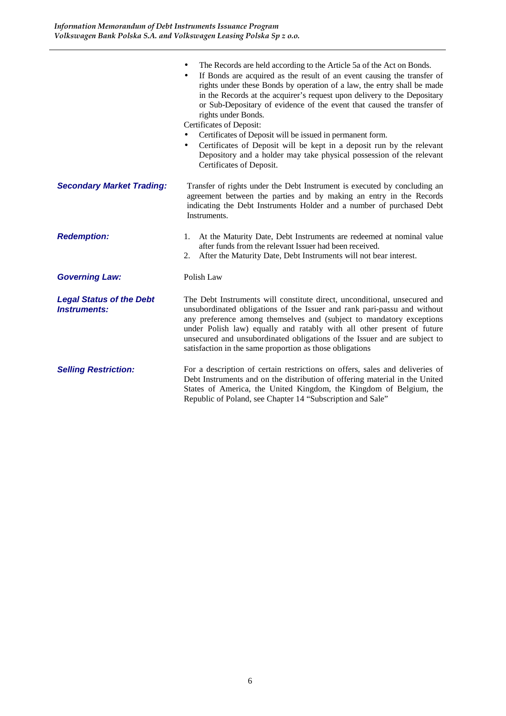|                                                        | The Records are held according to the Article 5a of the Act on Bonds.<br>$\bullet$<br>If Bonds are acquired as the result of an event causing the transfer of<br>$\bullet$<br>rights under these Bonds by operation of a law, the entry shall be made<br>in the Records at the acquirer's request upon delivery to the Depositary<br>or Sub-Depositary of evidence of the event that caused the transfer of<br>rights under Bonds.<br>Certificates of Deposit:<br>Certificates of Deposit will be issued in permanent form.<br>Certificates of Deposit will be kept in a deposit run by the relevant<br>٠<br>Depository and a holder may take physical possession of the relevant<br>Certificates of Deposit. |
|--------------------------------------------------------|---------------------------------------------------------------------------------------------------------------------------------------------------------------------------------------------------------------------------------------------------------------------------------------------------------------------------------------------------------------------------------------------------------------------------------------------------------------------------------------------------------------------------------------------------------------------------------------------------------------------------------------------------------------------------------------------------------------|
| <b>Secondary Market Trading:</b>                       | Transfer of rights under the Debt Instrument is executed by concluding an<br>agreement between the parties and by making an entry in the Records<br>indicating the Debt Instruments Holder and a number of purchased Debt<br>Instruments.                                                                                                                                                                                                                                                                                                                                                                                                                                                                     |
| <b>Redemption:</b>                                     | 1. At the Maturity Date, Debt Instruments are redeemed at nominal value<br>after funds from the relevant Issuer had been received.<br>2. After the Maturity Date, Debt Instruments will not bear interest.                                                                                                                                                                                                                                                                                                                                                                                                                                                                                                    |
| <b>Governing Law:</b>                                  | Polish Law                                                                                                                                                                                                                                                                                                                                                                                                                                                                                                                                                                                                                                                                                                    |
| <b>Legal Status of the Debt</b><br><b>Instruments:</b> | The Debt Instruments will constitute direct, unconditional, unsecured and<br>unsubordinated obligations of the Issuer and rank pari-passu and without<br>any preference among themselves and (subject to mandatory exceptions<br>under Polish law) equally and ratably with all other present of future<br>unsecured and unsubordinated obligations of the Issuer and are subject to<br>satisfaction in the same proportion as those obligations                                                                                                                                                                                                                                                              |
| <b>Selling Restriction:</b>                            | For a description of certain restrictions on offers, sales and deliveries of<br>Debt Instruments and on the distribution of offering material in the United<br>States of America, the United Kingdom, the Kingdom of Belgium, the<br>Republic of Poland, see Chapter 14 "Subscription and Sale"                                                                                                                                                                                                                                                                                                                                                                                                               |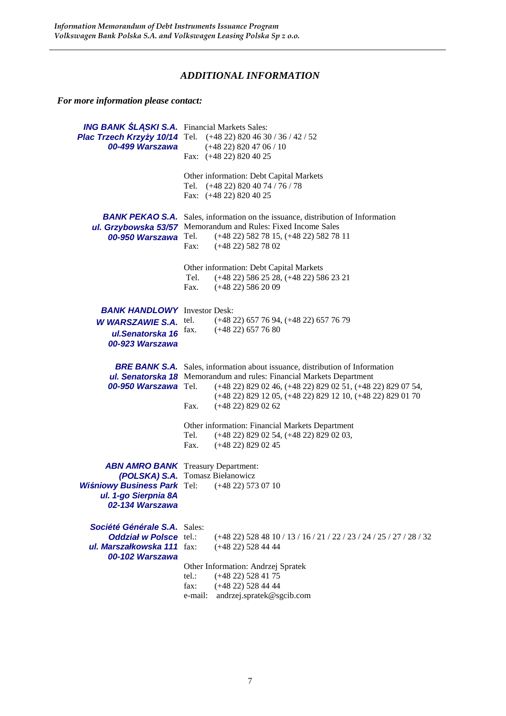# *ADDITIONAL INFORMATION*

*For more information please contact:*

|                                                               | <b>ING BANK ŚLĄSKI S.A.</b> Financial Markets Sales:                                                                                       |  |  |
|---------------------------------------------------------------|--------------------------------------------------------------------------------------------------------------------------------------------|--|--|
|                                                               | Plac Trzech Krzyży 10/14 Tel. (+48 22) 820 46 30 / 36 / 42 / 52                                                                            |  |  |
| 00-499 Warszawa                                               | $(+4822)$ 820 47 06 / 10                                                                                                                   |  |  |
|                                                               | Fax: (+48 22) 820 40 25                                                                                                                    |  |  |
|                                                               | Other information: Debt Capital Markets                                                                                                    |  |  |
|                                                               | Tel. (+48 22) 820 40 74 / 76 / 78                                                                                                          |  |  |
|                                                               | Fax: (+48 22) 820 40 25                                                                                                                    |  |  |
| BANK PEKAO S.A.                                               | Sales, information on the issuance, distribution of Information                                                                            |  |  |
| ul. Grzybowska 53/57                                          | Memorandum and Rules: Fixed Income Sales                                                                                                   |  |  |
| 00-950 Warszawa                                               | Tel.<br>$(+48 22)$ 582 78 15, $(+48 22)$ 582 78 11                                                                                         |  |  |
|                                                               | Fax:<br>$(+4822)$ 582 78 02                                                                                                                |  |  |
|                                                               | Other information: Debt Capital Markets                                                                                                    |  |  |
|                                                               | Tel.<br>$(+48 22) 586 25 28, (+48 22) 586 23 21$                                                                                           |  |  |
|                                                               | Fax.<br>$(+4822)$ 586 20 09                                                                                                                |  |  |
| <b>BANK HANDLOWY</b> Investor Desk:                           |                                                                                                                                            |  |  |
| <b>W WARSZAWIE S.A.</b>                                       | $(+48 22) 657 76 94, (+48 22) 657 76 79$<br>tel.                                                                                           |  |  |
| ul.Senatorska 16                                              | $(+48 22) 657 76 80$<br>fax.                                                                                                               |  |  |
| 00-923 Warszawa                                               |                                                                                                                                            |  |  |
|                                                               | <b>BRE BANK S.A.</b> Sales, information about issuance, distribution of Information                                                        |  |  |
| 00-950 Warszawa Tel.                                          | <b>ul. Senatorska 18</b> Memorandum and rules: Financial Markets Department<br>(+48 22) 829 02 46, (+48 22) 829 02 51, (+48 22) 829 07 54, |  |  |
|                                                               | (+48 22) 829 12 05, (+48 22) 829 12 10, (+48 22) 829 01 70                                                                                 |  |  |
|                                                               | Fax.<br>$(+4822)$ 829 02 62                                                                                                                |  |  |
|                                                               | Other information: Financial Markets Department                                                                                            |  |  |
|                                                               | Tel.<br>$(+48 22) 829 02 54, (+48 22) 829 02 03,$                                                                                          |  |  |
|                                                               | $(+48 22) 829 02 45$<br>Fax.                                                                                                               |  |  |
|                                                               | <b>ABN AMRO BANK</b> Treasury Department:                                                                                                  |  |  |
|                                                               | (POLSKA) S.A. Tomasz Biełanowicz                                                                                                           |  |  |
| <b>Wiśniowy Business Park Tel:</b><br>ul. 1-go Sierpnia 8A    | (+48 22) 573 07 10                                                                                                                         |  |  |
| 02-134 Warszawa                                               |                                                                                                                                            |  |  |
|                                                               |                                                                                                                                            |  |  |
| Société Générale S.A. Sales:<br><b>Oddział w Polsce tel.:</b> | $(+48\ 22)\ 528\ 48\ 10/13/16/21/22/23/24/25/27/28/32$                                                                                     |  |  |
| ul. Marszałkowska 111 fax:                                    | $(+48 22)$ 528 44 44                                                                                                                       |  |  |
| 00-102 Warszawa                                               |                                                                                                                                            |  |  |
|                                                               | Other Information: Andrzej Spratek                                                                                                         |  |  |
|                                                               | $(+48 22)$ 528 41 75<br>$tel.$ :                                                                                                           |  |  |
|                                                               | $(+48 22)$ 528 44 44<br>fax:<br>andrzej.spratek@sgcib.com<br>e-mail:                                                                       |  |  |
|                                                               |                                                                                                                                            |  |  |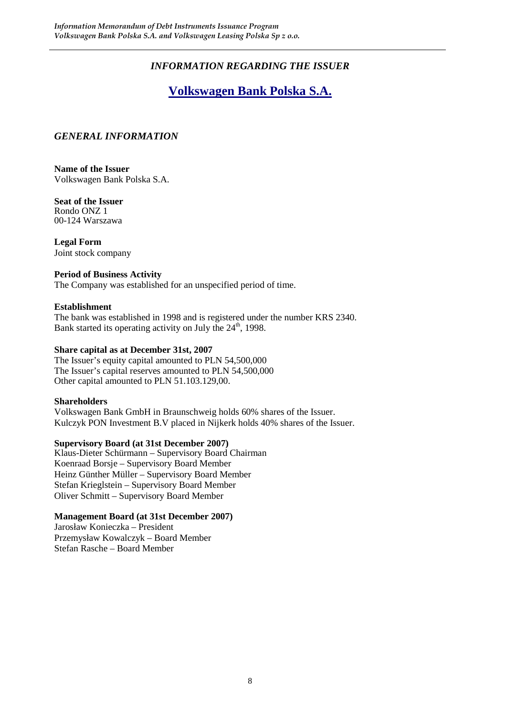# *INFORMATION REGARDING THE ISSUER*

# **Volkswagen Bank Polska S.A.**

#### *GENERAL INFORMATION*

**Name of the Issuer**  Volkswagen Bank Polska S.A.

**Seat of the Issuer**  Rondo ONZ 1 00-124 Warszawa

**Legal Form**  Joint stock company

#### **Period of Business Activity**

The Company was established for an unspecified period of time.

#### **Establishment**

The bank was established in 1998 and is registered under the number KRS 2340. Bank started its operating activity on July the  $24<sup>th</sup>$ , 1998.

#### **Share capital as at December 31st, 2007**

The Issuer's equity capital amounted to PLN 54,500,000 The Issuer's capital reserves amounted to PLN 54,500,000 Other capital amounted to PLN 51.103.129,00.

#### **Shareholders**

Volkswagen Bank GmbH in Braunschweig holds 60% shares of the Issuer. Kulczyk PON Investment B.V placed in Nijkerk holds 40% shares of the Issuer.

#### **Supervisory Board (at 31st December 2007)**

Klaus-Dieter Schürmann – Supervisory Board Chairman Koenraad Borsje – Supervisory Board Member Heinz Günther Müller – Supervisory Board Member Stefan Krieglstein – Supervisory Board Member Oliver Schmitt – Supervisory Board Member

#### **Management Board (at 31st December 2007)**

Jarosław Konieczka – President Przemysław Kowalczyk – Board Member Stefan Rasche – Board Member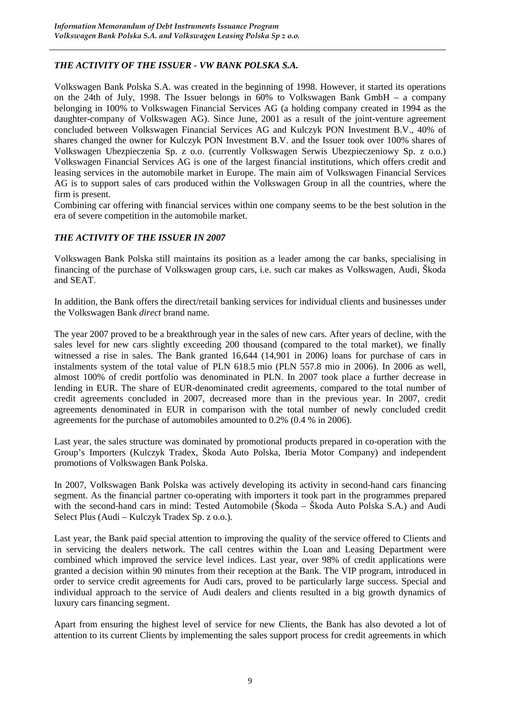#### *THE ACTIVITY OF THE ISSUER - VW BANK POLSKA S.A.*

Volkswagen Bank Polska S.A. was created in the beginning of 1998. However, it started its operations on the 24th of July, 1998. The Issuer belongs in 60% to Volkswagen Bank GmbH – a company belonging in 100% to Volkswagen Financial Services AG (a holding company created in 1994 as the daughter-company of Volkswagen AG). Since June, 2001 as a result of the joint-venture agreement concluded between Volkswagen Financial Services AG and Kulczyk PON Investment B.V., 40% of shares changed the owner for Kulczyk PON Investment B.V. and the Issuer took over 100% shares of Volkswagen Ubezpieczenia Sp. z o.o. (currently Volkswagen Serwis Ubezpieczeniowy Sp. z o.o.) Volkswagen Financial Services AG is one of the largest financial institutions, which offers credit and leasing services in the automobile market in Europe. The main aim of Volkswagen Financial Services AG is to support sales of cars produced within the Volkswagen Group in all the countries, where the firm is present.

Combining car offering with financial services within one company seems to be the best solution in the era of severe competition in the automobile market.

#### *THE ACTIVITY OF THE ISSUER IN 2007*

Volkswagen Bank Polska still maintains its position as a leader among the car banks, specialising in financing of the purchase of Volkswagen group cars, i.e. such car makes as Volkswagen, Audi, Škoda and SEAT.

In addition, the Bank offers the direct/retail banking services for individual clients and businesses under the Volkswagen Bank *direct* brand name*.*

The year 2007 proved to be a breakthrough year in the sales of new cars. After years of decline, with the sales level for new cars slightly exceeding 200 thousand (compared to the total market), we finally witnessed a rise in sales. The Bank granted 16,644 (14,901 in 2006) loans for purchase of cars in instalments system of the total value of PLN 618.5 mio (PLN 557.8 mio in 2006). In 2006 as well, almost 100% of credit portfolio was denominated in PLN. In 2007 took place a further decrease in lending in EUR. The share of EUR-denominated credit agreements, compared to the total number of credit agreements concluded in 2007, decreased more than in the previous year. In 2007, credit agreements denominated in EUR in comparison with the total number of newly concluded credit agreements for the purchase of automobiles amounted to 0.2% (0.4 % in 2006).

Last year, the sales structure was dominated by promotional products prepared in co-operation with the Group's Importers (Kulczyk Tradex, Škoda Auto Polska, Iberia Motor Company) and independent promotions of Volkswagen Bank Polska.

In 2007, Volkswagen Bank Polska was actively developing its activity in second-hand cars financing segment. As the financial partner co-operating with importers it took part in the programmes prepared with the second-hand cars in mind: Tested Automobile (Škoda – Škoda Auto Polska S.A.) and Audi Select Plus (Audi – Kulczyk Tradex Sp. z o.o.)*.* 

Last year, the Bank paid special attention to improving the quality of the service offered to Clients and in servicing the dealers network. The call centres within the Loan and Leasing Department were combined which improved the service level indices. Last year, over 98% of credit applications were granted a decision within 90 minutes from their reception at the Bank. The VIP program, introduced in order to service credit agreements for Audi cars, proved to be particularly large success. Special and individual approach to the service of Audi dealers and clients resulted in a big growth dynamics of luxury cars financing segment.

Apart from ensuring the highest level of service for new Clients, the Bank has also devoted a lot of attention to its current Clients by implementing the sales support process for credit agreements in which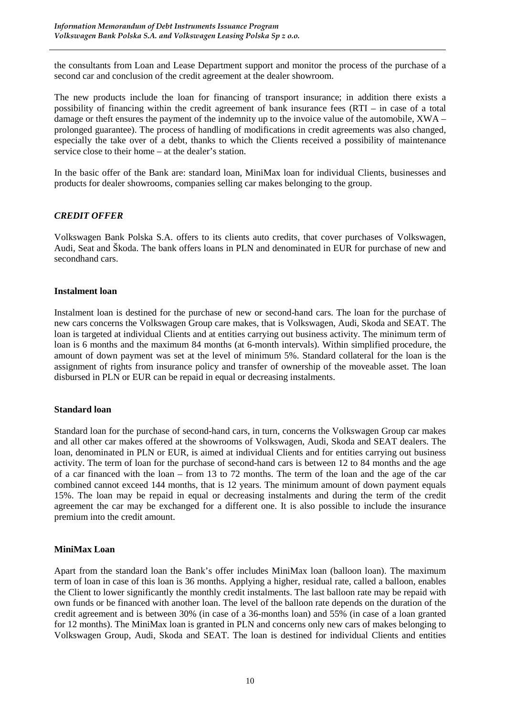the consultants from Loan and Lease Department support and monitor the process of the purchase of a second car and conclusion of the credit agreement at the dealer showroom.

The new products include the loan for financing of transport insurance; in addition there exists a possibility of financing within the credit agreement of bank insurance fees (RTI – in case of a total damage or theft ensures the payment of the indemnity up to the invoice value of the automobile, XWA – prolonged guarantee). The process of handling of modifications in credit agreements was also changed, especially the take over of a debt, thanks to which the Clients received a possibility of maintenance service close to their home – at the dealer's station.

In the basic offer of the Bank are: standard loan, MiniMax loan for individual Clients, businesses and products for dealer showrooms, companies selling car makes belonging to the group.

#### *CREDIT OFFER*

Volkswagen Bank Polska S.A. offers to its clients auto credits, that cover purchases of Volkswagen, Audi, Seat and Škoda. The bank offers loans in PLN and denominated in EUR for purchase of new and secondhand cars.

#### **Instalment loan**

Instalment loan is destined for the purchase of new or second-hand cars. The loan for the purchase of new cars concerns the Volkswagen Group care makes, that is Volkswagen, Audi, Skoda and SEAT. The loan is targeted at individual Clients and at entities carrying out business activity. The minimum term of loan is 6 months and the maximum 84 months (at 6-month intervals). Within simplified procedure, the amount of down payment was set at the level of minimum 5%. Standard collateral for the loan is the assignment of rights from insurance policy and transfer of ownership of the moveable asset. The loan disbursed in PLN or EUR can be repaid in equal or decreasing instalments.

#### **Standard loan**

Standard loan for the purchase of second-hand cars, in turn, concerns the Volkswagen Group car makes and all other car makes offered at the showrooms of Volkswagen, Audi, Skoda and SEAT dealers. The loan, denominated in PLN or EUR, is aimed at individual Clients and for entities carrying out business activity. The term of loan for the purchase of second-hand cars is between 12 to 84 months and the age of a car financed with the loan – from 13 to 72 months. The term of the loan and the age of the car combined cannot exceed 144 months, that is 12 years. The minimum amount of down payment equals 15%. The loan may be repaid in equal or decreasing instalments and during the term of the credit agreement the car may be exchanged for a different one. It is also possible to include the insurance premium into the credit amount.

#### **MiniMax Loan**

Apart from the standard loan the Bank's offer includes MiniMax loan (balloon loan). The maximum term of loan in case of this loan is 36 months. Applying a higher, residual rate, called a balloon, enables the Client to lower significantly the monthly credit instalments. The last balloon rate may be repaid with own funds or be financed with another loan. The level of the balloon rate depends on the duration of the credit agreement and is between 30% (in case of a 36-months loan) and 55% (in case of a loan granted for 12 months). The MiniMax loan is granted in PLN and concerns only new cars of makes belonging to Volkswagen Group, Audi, Skoda and SEAT. The loan is destined for individual Clients and entities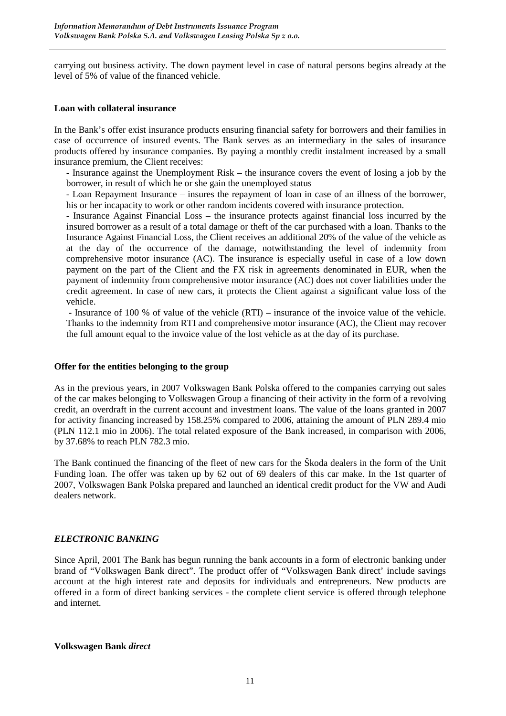carrying out business activity. The down payment level in case of natural persons begins already at the level of 5% of value of the financed vehicle.

#### **Loan with collateral insurance**

In the Bank's offer exist insurance products ensuring financial safety for borrowers and their families in case of occurrence of insured events. The Bank serves as an intermediary in the sales of insurance products offered by insurance companies. By paying a monthly credit instalment increased by a small insurance premium, the Client receives:

- Insurance against the Unemployment Risk – the insurance covers the event of losing a job by the borrower, in result of which he or she gain the unemployed status

- Loan Repayment Insurance – insures the repayment of loan in case of an illness of the borrower, his or her incapacity to work or other random incidents covered with insurance protection.

- Insurance Against Financial Loss – the insurance protects against financial loss incurred by the insured borrower as a result of a total damage or theft of the car purchased with a loan. Thanks to the Insurance Against Financial Loss, the Client receives an additional 20% of the value of the vehicle as at the day of the occurrence of the damage, notwithstanding the level of indemnity from comprehensive motor insurance (AC). The insurance is especially useful in case of a low down payment on the part of the Client and the FX risk in agreements denominated in EUR, when the payment of indemnity from comprehensive motor insurance (AC) does not cover liabilities under the credit agreement. In case of new cars, it protects the Client against a significant value loss of the vehicle.

 - Insurance of 100 % of value of the vehicle (RTI) – insurance of the invoice value of the vehicle. Thanks to the indemnity from RTI and comprehensive motor insurance (AC), the Client may recover the full amount equal to the invoice value of the lost vehicle as at the day of its purchase.

#### **Offer for the entities belonging to the group**

As in the previous years, in 2007 Volkswagen Bank Polska offered to the companies carrying out sales of the car makes belonging to Volkswagen Group a financing of their activity in the form of a revolving credit, an overdraft in the current account and investment loans. The value of the loans granted in 2007 for activity financing increased by 158.25% compared to 2006, attaining the amount of PLN 289.4 mio (PLN 112.1 mio in 2006). The total related exposure of the Bank increased, in comparison with 2006, by 37.68% to reach PLN 782.3 mio.

The Bank continued the financing of the fleet of new cars for the Škoda dealers in the form of the Unit Funding loan. The offer was taken up by 62 out of 69 dealers of this car make. In the 1st quarter of 2007, Volkswagen Bank Polska prepared and launched an identical credit product for the VW and Audi dealers network.

#### *ELECTRONIC BANKING*

Since April, 2001 The Bank has begun running the bank accounts in a form of electronic banking under brand of "Volkswagen Bank direct". The product offer of "Volkswagen Bank direct' include savings account at the high interest rate and deposits for individuals and entrepreneurs. New products are offered in a form of direct banking services - the complete client service is offered through telephone and internet.

#### **Volkswagen Bank** *direct*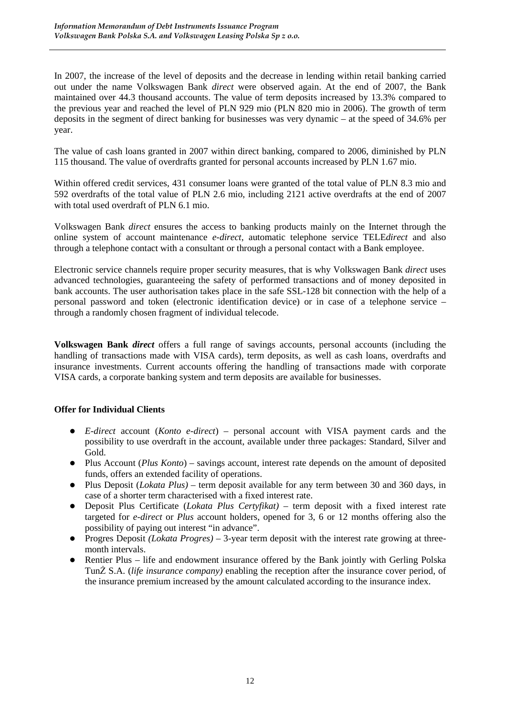In 2007, the increase of the level of deposits and the decrease in lending within retail banking carried out under the name Volkswagen Bank *direct* were observed again. At the end of 2007, the Bank maintained over 44.3 thousand accounts. The value of term deposits increased by 13.3% compared to the previous year and reached the level of PLN 929 mio (PLN 820 mio in 2006). The growth of term deposits in the segment of direct banking for businesses was very dynamic – at the speed of 34.6% per year.

The value of cash loans granted in 2007 within direct banking, compared to 2006, diminished by PLN 115 thousand. The value of overdrafts granted for personal accounts increased by PLN 1.67 mio.

Within offered credit services, 431 consumer loans were granted of the total value of PLN 8.3 mio and 592 overdrafts of the total value of PLN 2.6 mio, including 2121 active overdrafts at the end of 2007 with total used overdraft of PLN 6.1 mio.

Volkswagen Bank *direct* ensures the access to banking products mainly on the Internet through the online system of account maintenance *e-direct*, automatic telephone service TELE*direct* and also through a telephone contact with a consultant or through a personal contact with a Bank employee.

Electronic service channels require proper security measures, that is why Volkswagen Bank *direct* uses advanced technologies, guaranteeing the safety of performed transactions and of money deposited in bank accounts. The user authorisation takes place in the safe SSL-128 bit connection with the help of a personal password and token (electronic identification device) or in case of a telephone service – through a randomly chosen fragment of individual telecode.

**Volkswagen Bank** *direct* offers a full range of savings accounts, personal accounts (including the handling of transactions made with VISA cards), term deposits, as well as cash loans, overdrafts and insurance investments. Current accounts offering the handling of transactions made with corporate VISA cards, a corporate banking system and term deposits are available for businesses.

#### **Offer for Individual Clients**

- *E-direct* account (*Konto e-direct*) personal account with VISA payment cards and the possibility to use overdraft in the account, available under three packages: Standard, Silver and Gold.
- Plus Account (*Plus Konto*) savings account, interest rate depends on the amount of deposited funds, offers an extended facility of operations.
- Plus Deposit (*Lokata Plus)* term deposit available for any term between 30 and 360 days, in case of a shorter term characterised with a fixed interest rate.
- Deposit Plus Certificate (*Lokata Plus Certyfikat)*  term deposit with a fixed interest rate targeted for *e-direct* or *Plus* account holders, opened for 3, 6 or 12 months offering also the possibility of paying out interest "in advance".
- Progres Deposit *(Lokata Progres)* 3-year term deposit with the interest rate growing at threemonth intervals.
- Rentier Plus life and endowment insurance offered by the Bank jointly with Gerling Polska Tun $\ddot{Z}$  S.A. (*life insurance company*) enabling the reception after the insurance cover period, of the insurance premium increased by the amount calculated according to the insurance index.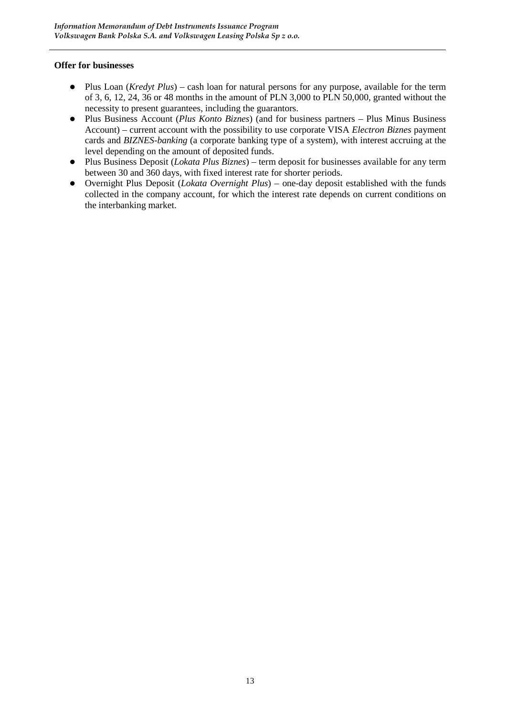#### **Offer for businesses**

- Plus Loan (*Kredyt Plus*) cash loan for natural persons for any purpose, available for the term of 3, 6, 12, 24, 36 or 48 months in the amount of PLN 3,000 to PLN 50,000, granted without the necessity to present guarantees, including the guarantors.
- Plus Business Account (*Plus Konto Biznes*) (and for business partners Plus Minus Business Account) – current account with the possibility to use corporate VISA *Electron Biznes* payment cards and *BIZNES-banking* (a corporate banking type of a system), with interest accruing at the level depending on the amount of deposited funds.
- Plus Business Deposit (*Lokata Plus Biznes*) term deposit for businesses available for any term between 30 and 360 days, with fixed interest rate for shorter periods.
- Overnight Plus Deposit (*Lokata Overnight Plus*) one-day deposit established with the funds collected in the company account, for which the interest rate depends on current conditions on the interbanking market.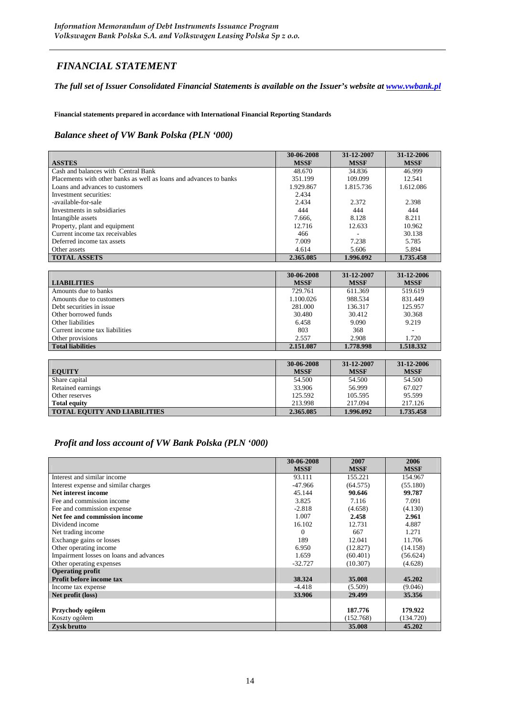# *FINANCIAL STATEMENT*

#### *The full set of Issuer Consolidated Financial Statements is available on the Issuer's website at www.vwbank.pl*

**Financial statements prepared in accordance with International Financial Reporting Standards** 

#### *Balance sheet of VW Bank Polska (PLN '000)*

|                                                                    | 30-06-2008  | 31-12-2007  | 31-12-2006  |
|--------------------------------------------------------------------|-------------|-------------|-------------|
| <b>ASSTES</b>                                                      | <b>MSSF</b> | <b>MSSF</b> | <b>MSSF</b> |
| Cash and balances with Central Bank                                | 48.670      | 34.836      | 46.999      |
| Placements with other banks as well as loans and advances to banks | 351.199     | 109.099     | 12.541      |
| Loans and advances to customers                                    | 1.929.867   | 1.815.736   | 1.612.086   |
| Investment securities:                                             | 2.434       |             |             |
| -available-for-sale                                                | 2.434       | 2.372       | 2.398       |
| Investments in subsidiaries                                        | 444         | 444         | 444         |
| Intangible assets                                                  | 7.666.      | 8.128       | 8.211       |
| Property, plant and equipment                                      | 12.716      | 12.633      | 10.962      |
| Current income tax receivables                                     | 466         |             | 30.138      |
| Deferred income tax assets                                         | 7.009       | 7.238       | 5.785       |
| Other assets                                                       | 4.614       | 5.606       | 5.894       |
| <b>TOTAL ASSETS</b>                                                | 2.365.085   | 1.996.092   | 1.735.458   |

|                                | 30-06-2008  | 31-12-2007  | 31-12-2006  |
|--------------------------------|-------------|-------------|-------------|
| <b>LIABILITIES</b>             | <b>MSSF</b> | <b>MSSF</b> | <b>MSSF</b> |
| Amounts due to banks           | 729.761     | 611.369     | 519.619     |
| Amounts due to customers       | 1.100.026   | 988.534     | 831.449     |
| Debt securities in issue       | 281.000     | 136.317     | 125.957     |
| Other borrowed funds           | 30.480      | 30.412      | 30.368      |
| Other liabilities              | 6.458       | 9.090       | 9.219       |
| Current income tax liabilities | 803         | 368         |             |
| Other provisions               | 2.557       | 2.908       | 1.720       |
| <b>Total liabilities</b>       | 2.151.087   | 1.778.998   | 1.518.332   |

| <b>EQUITY</b>                       | 30-06-2008<br><b>MSSF</b> | 31-12-2007<br><b>MSSF</b> | 31-12-2006<br><b>MSSF</b> |
|-------------------------------------|---------------------------|---------------------------|---------------------------|
| Share capital                       | 54.500                    | 54.500                    | 54.500                    |
| Retained earnings                   | 33.906                    | 56.999                    | 67.027                    |
| Other reserves                      | 125.592                   | 105.595                   | 95.599                    |
| <b>Total equity</b>                 | 213.998                   | 217.094                   | 217.126                   |
| <b>TOTAL EQUITY AND LIABILITIES</b> | 2.365.085                 | 1.996.092                 | 1.735.458                 |

#### *Profit and loss account of VW Bank Polska (PLN '000)*

|                                         | 30-06-2008  | 2007        | 2006        |
|-----------------------------------------|-------------|-------------|-------------|
|                                         | <b>MSSF</b> | <b>MSSF</b> | <b>MSSF</b> |
| Interest and similar income             | 93.111      | 155.221     | 154.967     |
| Interest expense and similar charges    | $-47.966$   | (64.575)    | (55.180)    |
| Net interest income                     | 45.144      | 90.646      | 99.787      |
| Fee and commission income               | 3.825       | 7.116       | 7.091       |
| Fee and commission expense              | $-2.818$    | (4.658)     | (4.130)     |
| Net fee and commission income           | 1.007       | 2.458       | 2.961       |
| Dividend income                         | 16.102      | 12.731      | 4.887       |
| Net trading income                      | $\theta$    | 667         | 1.271       |
| Exchange gains or losses                | 189         | 12.041      | 11.706      |
| Other operating income                  | 6.950       | (12.827)    | (14.158)    |
| Impairment losses on loans and advances | 1.659       | (60.401)    | (56.624)    |
| Other operating expenses                | $-32.727$   | (10.307)    | (4.628)     |
| <b>Operating profit</b>                 |             |             |             |
| Profit before income tax                | 38.324      | 35,008      | 45.202      |
| Income tax expense                      | $-4.418$    | (5.509)     | (9.046)     |
| Net profit (loss)                       | 33.906      | 29.499      | 35.356      |
|                                         |             |             |             |
| Przychody ogółem                        |             | 187.776     | 179.922     |
| Koszty ogółem                           |             | (152.768)   | (134.720)   |
| Zysk brutto                             |             | 35,008      | 45.202      |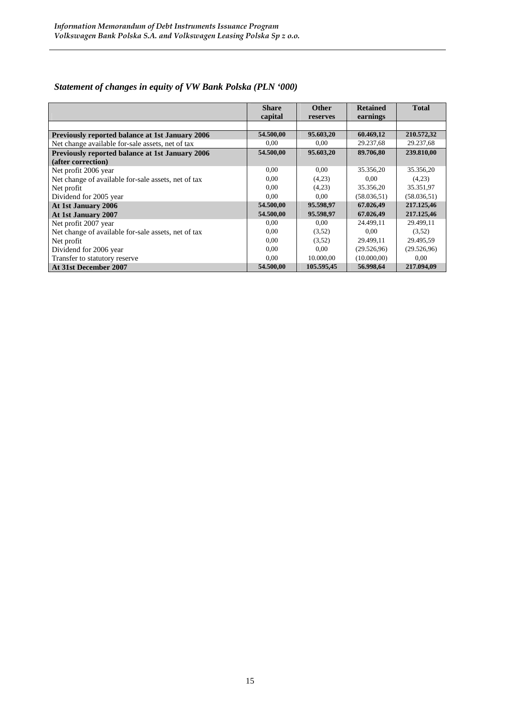|                                                        | <b>Share</b> | <b>Other</b> | <b>Retained</b> | <b>Total</b> |
|--------------------------------------------------------|--------------|--------------|-----------------|--------------|
|                                                        | capital      | reserves     | earnings        |              |
|                                                        |              |              |                 |              |
| <b>Previously reported balance at 1st January 2006</b> | 54.500,00    | 95.603,20    | 60.469,12       | 210.572,32   |
| Net change available for-sale assets, net of tax       | 0.00         | 0.00         | 29.237,68       | 29.237,68    |
| Previously reported balance at 1st January 2006        | 54.500,00    | 95.603,20    | 89.706,80       | 239.810,00   |
| (after correction)                                     |              |              |                 |              |
| Net profit 2006 year                                   | 0.00         | 0.00         | 35.356,20       | 35.356,20    |
| Net change of available for-sale assets, net of tax    | 0.00         | (4,23)       | 0.00            | (4,23)       |
| Net profit                                             | 0.00         | (4,23)       | 35.356,20       | 35.351,97    |
| Dividend for 2005 year                                 | 0.00         | 0.00         | (58.036.51)     | (58.036.51)  |
| At 1st January 2006                                    | 54.500,00    | 95.598,97    | 67.026,49       | 217.125,46   |
| At 1st January 2007                                    | 54.500,00    | 95.598,97    | 67.026,49       | 217.125,46   |
| Net profit 2007 year                                   | 0.00         | 0.00         | 24.499,11       | 29.499,11    |
| Net change of available for-sale assets, net of tax    | 0.00         | (3,52)       | 0,00            | (3.52)       |
| Net profit                                             | 0.00         | (3,52)       | 29.499,11       | 29.495,59    |
| Dividend for 2006 year                                 | 0.00         | 0.00         | (29.526.96)     | (29.526, 96) |
| Transfer to statutory reserve                          | 0.00         | 10.000,00    | (10.000, 00)    | 0.00         |
| At 31st December 2007                                  | 54.500,00    | 105.595,45   | 56.998,64       | 217.094.09   |

# *Statement of changes in equity of VW Bank Polska (PLN '000)*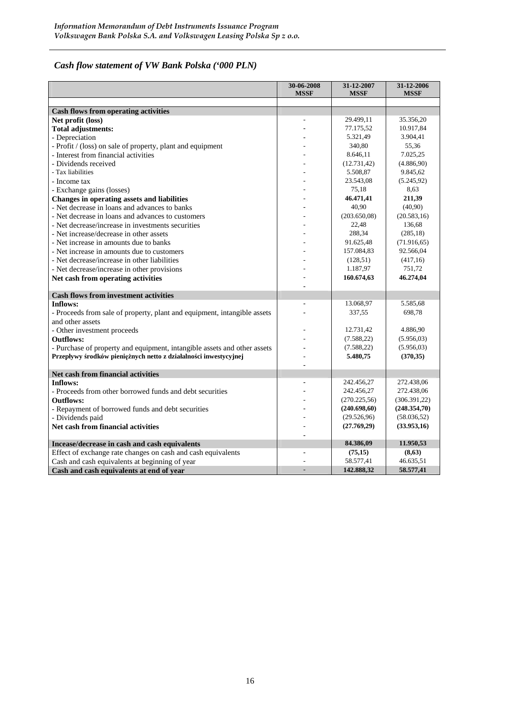# *Cash flow statement of VW Bank Polska ('000 PLN)*

|                                                                          | 30-06-2008<br><b>MSSF</b> | 31-12-2007<br><b>MSSF</b> | 31-12-2006<br><b>MSSF</b> |
|--------------------------------------------------------------------------|---------------------------|---------------------------|---------------------------|
|                                                                          |                           |                           |                           |
| <b>Cash flows from operating activities</b>                              |                           |                           |                           |
| Net profit (loss)                                                        |                           | 29.499,11                 | 35.356,20                 |
| <b>Total adjustments:</b>                                                |                           | 77.175,52                 | 10.917,84                 |
| - Depreciation                                                           |                           | 5.321,49                  | 3.904,41                  |
| - Profit / (loss) on sale of property, plant and equipment               |                           | 340,80                    | 55,36                     |
| - Interest from financial activities                                     |                           | 8.646,11                  | 7.025,25                  |
| - Dividends received                                                     |                           | (12.731, 42)              | (4.886, 90)               |
| - Tax liabilities                                                        |                           | 5.508,87                  | 9.845.62                  |
| - Income tax                                                             |                           | 23.543,08                 | (5.245, 92)               |
| - Exchange gains (losses)                                                |                           | 75,18                     | 8,63                      |
| Changes in operating assets and liabilities                              |                           | 46.471,41                 | 211,39                    |
| - Net decrease in loans and advances to banks                            |                           | 40,90                     | (40,90)                   |
| - Net decrease in loans and advances to customers                        |                           | (203.650,08)              | (20.583, 16)              |
| - Net decrease/increase in investments securities                        |                           | 22,48                     | 136,68                    |
| - Net increase/decrease in other assets                                  |                           | 288,34                    | (285, 18)                 |
| - Net increase in amounts due to banks                                   |                           | 91.625,48                 | (71.916, 65)              |
| - Net increase in amounts due to customers                               |                           | 157.084,83                | 92.566,04                 |
| - Net decrease/increase in other liabilities                             |                           | (128, 51)                 | (417, 16)                 |
| - Net decrease/increase in other provisions                              |                           | 1.187,97                  | 751,72                    |
| Net cash from operating activities                                       |                           | 160.674,63                | 46.274,04                 |
|                                                                          |                           |                           |                           |
| <b>Cash flows from investment activities</b>                             |                           |                           |                           |
| Inflows:                                                                 |                           | 13.068,97                 | 5.585,68                  |
| - Proceeds from sale of property, plant and equipment, intangible assets |                           | 337,55                    | 698,78                    |
| and other assets                                                         |                           |                           |                           |
| - Other investment proceeds                                              |                           | 12.731,42                 | 4.886,90                  |
| <b>Outflows:</b>                                                         |                           | (7.588, 22)               | (5.956, 03)               |
| - Purchase of property and equipment, intangible assets and other assets |                           | (7.588, 22)               | (5.956, 03)               |
| Przepływy środków pieniężnych netto z działalności inwestycyjnej         |                           | 5.480,75                  | (370, 35)                 |
|                                                                          |                           |                           |                           |
| Net cash from financial activities                                       |                           |                           |                           |
| Inflows:                                                                 |                           | 242.456,27                | 272.438,06                |
| - Proceeds from other borrowed funds and debt securities                 |                           | 242.456,27                | 272.438,06                |
| <b>Outflows:</b>                                                         |                           | (270.225, 56)             | (306.391,22)              |
| - Repayment of borrowed funds and debt securities                        |                           | (240.698, 60)             | (248.354,70)              |
| - Dividends paid                                                         |                           | (29.526,96)               | (58.036, 52)              |
| Net cash from financial activities                                       |                           | (27.769,29)               | (33.953,16)               |
|                                                                          |                           |                           |                           |
| Incease/decrease in cash and cash equivalents                            |                           | 84.386,09                 | 11.950,53                 |
| Effect of exchange rate changes on cash and cash equivalents             |                           | (75,15)                   | (8, 63)                   |
| Cash and cash equivalents at beginning of year                           |                           | 58.577.41                 | 46.635,51                 |
| Cash and cash equivalents at end of year                                 |                           | 142.888.32                | 58.577,41                 |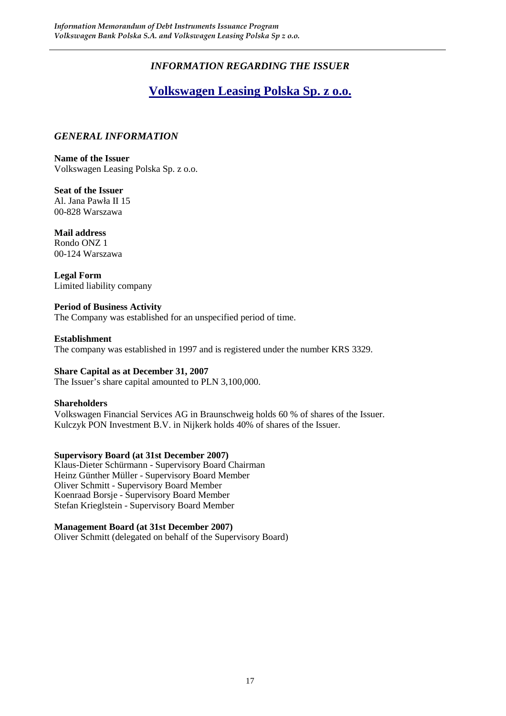# *INFORMATION REGARDING THE ISSUER*

# **Volkswagen Leasing Polska Sp. z o.o.**

#### *GENERAL INFORMATION*

**Name of the Issuer**  Volkswagen Leasing Polska Sp. z o.o.

**Seat of the Issuer**  Al. Jana Pawła II 15 00-828 Warszawa

**Mail address**  Rondo ONZ 1 00-124 Warszawa

**Legal Form**  Limited liability company

#### **Period of Business Activity**  The Company was established for an unspecified period of time.

#### **Establishment**  The company was established in 1997 and is registered under the number KRS 3329.

#### **Share Capital as at December 31, 2007**

The Issuer's share capital amounted to PLN 3,100,000.

#### **Shareholders**

Volkswagen Financial Services AG in Braunschweig holds 60 % of shares of the Issuer. Kulczyk PON Investment B.V. in Nijkerk holds 40% of shares of the Issuer.

#### **Supervisory Board (at 31st December 2007)**

Klaus-Dieter Schürmann - Supervisory Board Chairman Heinz Günther Müller - Supervisory Board Member Oliver Schmitt - Supervisory Board Member Koenraad Borsje - Supervisory Board Member Stefan Krieglstein - Supervisory Board Member

#### **Management Board (at 31st December 2007)**

Oliver Schmitt (delegated on behalf of the Supervisory Board)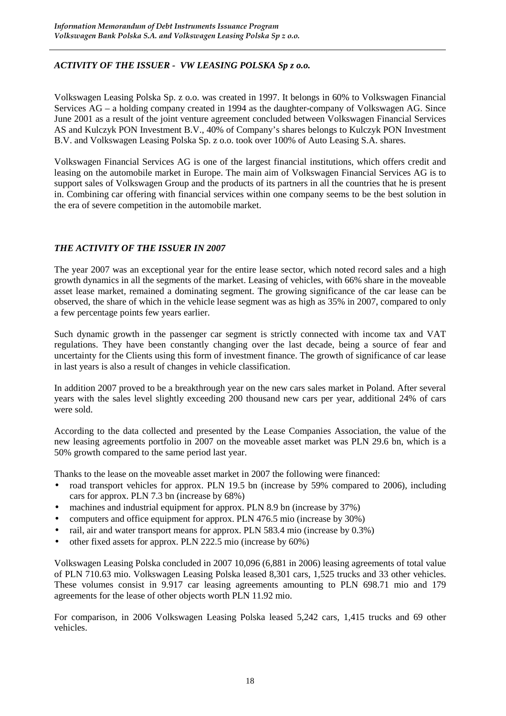#### *ACTIVITY OF THE ISSUER - VW LEASING POLSKA Sp z o.o.*

Volkswagen Leasing Polska Sp. z o.o. was created in 1997. It belongs in 60% to Volkswagen Financial Services AG – a holding company created in 1994 as the daughter-company of Volkswagen AG. Since June 2001 as a result of the joint venture agreement concluded between Volkswagen Financial Services AS and Kulczyk PON Investment B.V., 40% of Company's shares belongs to Kulczyk PON Investment B.V. and Volkswagen Leasing Polska Sp. z o.o. took over 100% of Auto Leasing S.A. shares.

Volkswagen Financial Services AG is one of the largest financial institutions, which offers credit and leasing on the automobile market in Europe. The main aim of Volkswagen Financial Services AG is to support sales of Volkswagen Group and the products of its partners in all the countries that he is present in. Combining car offering with financial services within one company seems to be the best solution in the era of severe competition in the automobile market.

#### *THE ACTIVITY OF THE ISSUER IN 2007*

The year 2007 was an exceptional year for the entire lease sector, which noted record sales and a high growth dynamics in all the segments of the market. Leasing of vehicles, with 66% share in the moveable asset lease market, remained a dominating segment. The growing significance of the car lease can be observed, the share of which in the vehicle lease segment was as high as 35% in 2007, compared to only a few percentage points few years earlier.

Such dynamic growth in the passenger car segment is strictly connected with income tax and VAT regulations. They have been constantly changing over the last decade, being a source of fear and uncertainty for the Clients using this form of investment finance. The growth of significance of car lease in last years is also a result of changes in vehicle classification.

In addition 2007 proved to be a breakthrough year on the new cars sales market in Poland. After several years with the sales level slightly exceeding 200 thousand new cars per year, additional 24% of cars were sold.

According to the data collected and presented by the Lease Companies Association, the value of the new leasing agreements portfolio in 2007 on the moveable asset market was PLN 29.6 bn, which is a 50% growth compared to the same period last year.

Thanks to the lease on the moveable asset market in 2007 the following were financed:

- road transport vehicles for approx. PLN 19.5 bn (increase by 59% compared to 2006), including cars for approx. PLN 7.3 bn (increase by 68%)
- machines and industrial equipment for approx. PLN 8.9 bn (increase by 37%)
- computers and office equipment for approx. PLN 476.5 mio (increase by 30%)
- rail, air and water transport means for approx. PLN 583.4 mio (increase by 0.3%)
- other fixed assets for approx. PLN 222.5 mio (increase by 60%)

Volkswagen Leasing Polska concluded in 2007 10,096 (6,881 in 2006) leasing agreements of total value of PLN 710.63 mio. Volkswagen Leasing Polska leased 8,301 cars, 1,525 trucks and 33 other vehicles. These volumes consist in 9.917 car leasing agreements amounting to PLN 698.71 mio and 179 agreements for the lease of other objects worth PLN 11.92 mio.

For comparison, in 2006 Volkswagen Leasing Polska leased 5,242 cars, 1,415 trucks and 69 other vehicles.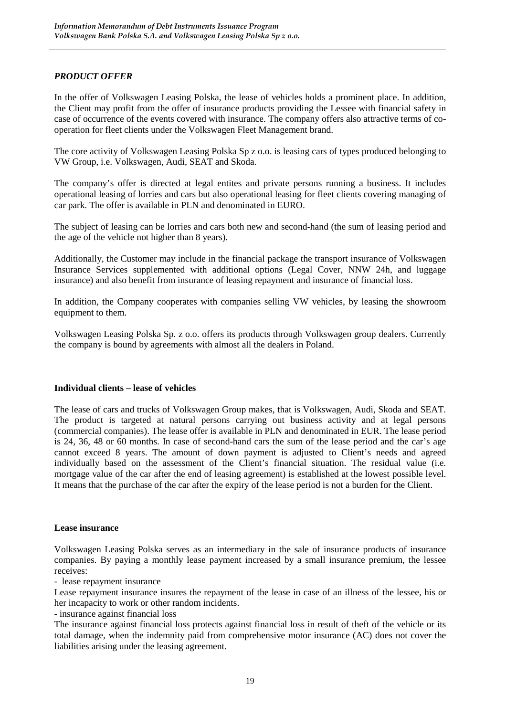#### *PRODUCT OFFER*

In the offer of Volkswagen Leasing Polska, the lease of vehicles holds a prominent place. In addition, the Client may profit from the offer of insurance products providing the Lessee with financial safety in case of occurrence of the events covered with insurance. The company offers also attractive terms of cooperation for fleet clients under the Volkswagen Fleet Management brand.

The core activity of Volkswagen Leasing Polska Sp z o.o. is leasing cars of types produced belonging to VW Group, i.e. Volkswagen, Audi, SEAT and Skoda.

The company's offer is directed at legal entites and private persons running a business. It includes operational leasing of lorries and cars but also operational leasing for fleet clients covering managing of car park. The offer is available in PLN and denominated in EURO.

The subject of leasing can be lorries and cars both new and second-hand (the sum of leasing period and the age of the vehicle not higher than 8 years).

Additionally, the Customer may include in the financial package the transport insurance of Volkswagen Insurance Services supplemented with additional options (Legal Cover, NNW 24h, and luggage insurance) and also benefit from insurance of leasing repayment and insurance of financial loss.

In addition, the Company cooperates with companies selling VW vehicles, by leasing the showroom equipment to them.

Volkswagen Leasing Polska Sp. z o.o. offers its products through Volkswagen group dealers. Currently the company is bound by agreements with almost all the dealers in Poland.

#### **Individual clients – lease of vehicles**

The lease of cars and trucks of Volkswagen Group makes, that is Volkswagen, Audi, Skoda and SEAT. The product is targeted at natural persons carrying out business activity and at legal persons (commercial companies). The lease offer is available in PLN and denominated in EUR. The lease period is 24, 36, 48 or 60 months. In case of second-hand cars the sum of the lease period and the car's age cannot exceed 8 years. The amount of down payment is adjusted to Client's needs and agreed individually based on the assessment of the Client's financial situation. The residual value (i.e. mortgage value of the car after the end of leasing agreement) is established at the lowest possible level. It means that the purchase of the car after the expiry of the lease period is not a burden for the Client.

#### **Lease insurance**

Volkswagen Leasing Polska serves as an intermediary in the sale of insurance products of insurance companies. By paying a monthly lease payment increased by a small insurance premium, the lessee receives:

- lease repayment insurance

Lease repayment insurance insures the repayment of the lease in case of an illness of the lessee, his or her incapacity to work or other random incidents.

- insurance against financial loss

The insurance against financial loss protects against financial loss in result of theft of the vehicle or its total damage, when the indemnity paid from comprehensive motor insurance (AC) does not cover the liabilities arising under the leasing agreement.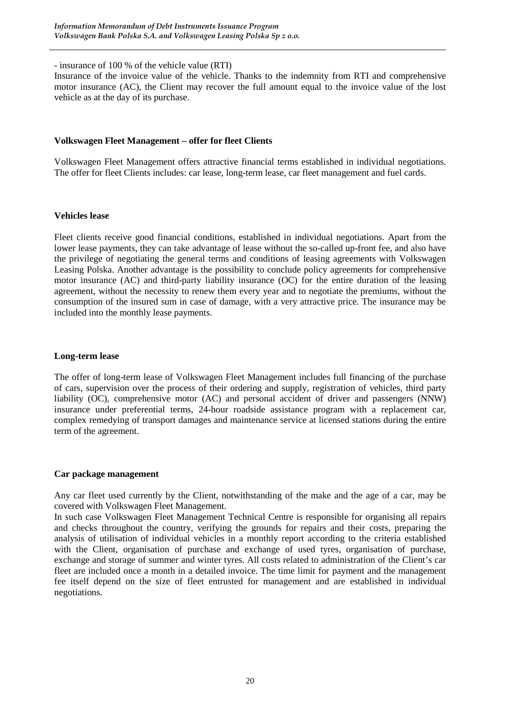- insurance of 100 % of the vehicle value (RTI)

Insurance of the invoice value of the vehicle. Thanks to the indemnity from RTI and comprehensive motor insurance (AC), the Client may recover the full amount equal to the invoice value of the lost vehicle as at the day of its purchase.

#### **Volkswagen Fleet Management – offer for fleet Clients**

Volkswagen Fleet Management offers attractive financial terms established in individual negotiations. The offer for fleet Clients includes: car lease, long-term lease, car fleet management and fuel cards.

#### **Vehicles lease**

Fleet clients receive good financial conditions, established in individual negotiations. Apart from the lower lease payments, they can take advantage of lease without the so-called up-front fee, and also have the privilege of negotiating the general terms and conditions of leasing agreements with Volkswagen Leasing Polska. Another advantage is the possibility to conclude policy agreements for comprehensive motor insurance (AC) and third-party liability insurance (OC) for the entire duration of the leasing agreement, without the necessity to renew them every year and to negotiate the premiums, without the consumption of the insured sum in case of damage, with a very attractive price. The insurance may be included into the monthly lease payments.

#### **Long-term lease**

The offer of long-term lease of Volkswagen Fleet Management includes full financing of the purchase of cars, supervision over the process of their ordering and supply, registration of vehicles, third party liability (OC), comprehensive motor (AC) and personal accident of driver and passengers (NNW) insurance under preferential terms, 24-hour roadside assistance program with a replacement car, complex remedying of transport damages and maintenance service at licensed stations during the entire term of the agreement.

#### **Car package management**

Any car fleet used currently by the Client, notwithstanding of the make and the age of a car, may be covered with Volkswagen Fleet Management.

In such case Volkswagen Fleet Management Technical Centre is responsible for organising all repairs and checks throughout the country, verifying the grounds for repairs and their costs, preparing the analysis of utilisation of individual vehicles in a monthly report according to the criteria established with the Client, organisation of purchase and exchange of used tyres, organisation of purchase, exchange and storage of summer and winter tyres. All costs related to administration of the Client's car fleet are included once a month in a detailed invoice. The time limit for payment and the management fee itself depend on the size of fleet entrusted for management and are established in individual negotiations.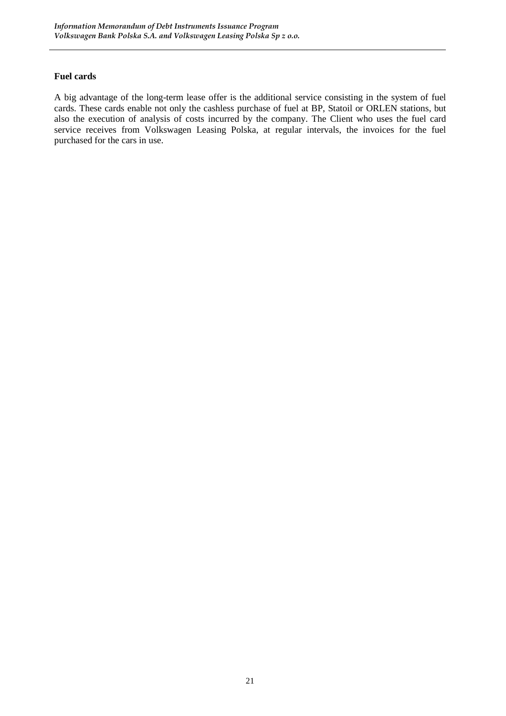#### **Fuel cards**

A big advantage of the long-term lease offer is the additional service consisting in the system of fuel cards. These cards enable not only the cashless purchase of fuel at BP, Statoil or ORLEN stations, but also the execution of analysis of costs incurred by the company. The Client who uses the fuel card service receives from Volkswagen Leasing Polska, at regular intervals, the invoices for the fuel purchased for the cars in use.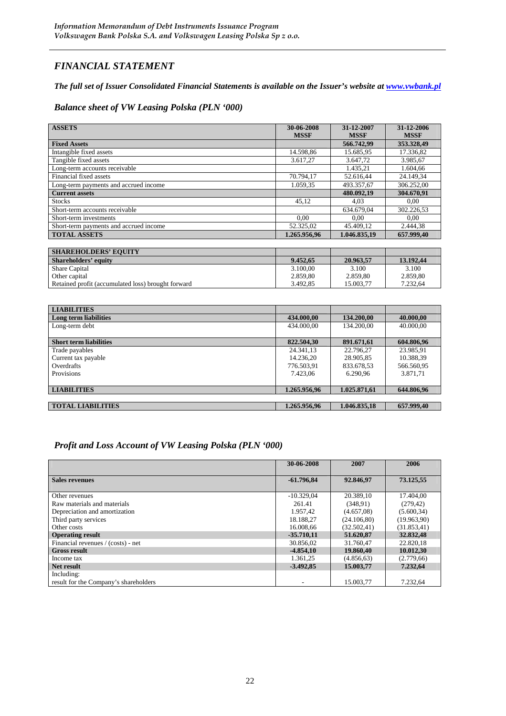# *FINANCIAL STATEMENT*

#### *The full set of Issuer Consolidated Financial Statements is available on the Issuer's website at www.vwbank.pl*

#### *Balance sheet of VW Leasing Polska (PLN '000)*

| <b>ASSETS</b>                          | 30-06-2008<br><b>MSSF</b> | 31-12-2007<br><b>MSSF</b> | 31-12-2006<br><b>MSSF</b> |
|----------------------------------------|---------------------------|---------------------------|---------------------------|
| <b>Fixed Assets</b>                    |                           | 566.742,99                | 353.328,49                |
| Intangible fixed assets                | 14.598,86                 | 15.685,95                 | 17.336,82                 |
| Tangible fixed assets                  | 3.617,27                  | 3.647,72                  | 3.985,67                  |
| Long-term accounts receivable          |                           | 1.435,21                  | 1.604,66                  |
| Financial fixed assets                 | 70.794.17                 | 52.616.44                 | 24.149,34                 |
| Long-term payments and accrued income  | 1.059,35                  | 493.357,67                | 306.252,00                |
| <b>Current assets</b>                  |                           | 480.092.19                | 304.670.91                |
| <b>Stocks</b>                          | 45,12                     | 4,03                      | 0.00                      |
| Short-term accounts receivable         |                           | 634.679.04                | 302.226,53                |
| Short-term investments                 | 0.00                      | 0,00                      | 0.00                      |
| Short-term payments and accrued income | 52.325,02                 | 45.409,12                 | 2.444,38                  |
| <b>TOTAL ASSETS</b>                    | 1.265.956.96              | 1.046.835.19              | 657.999.40                |
|                                        |                           |                           |                           |
| <b>SHAREHOLDERS' EQUITY</b>            |                           |                           |                           |
| <b>Shareholders' equity</b>            | 9.452,65                  | 20.963,57                 | 13.192,44                 |
| Share Capital                          | 3.100,00                  | 3.100                     | 3.100                     |
| Other capital                          | 2.859,80                  | 2.859,80                  | 2.859,80                  |

| <b>LIABILITIES</b>            |              |              |            |
|-------------------------------|--------------|--------------|------------|
| Long term liabilities         | 434.000,00   | 134.200,00   | 40.000,00  |
| Long-term debt                | 434,000,00   | 134.200.00   | 40.000,00  |
|                               |              |              |            |
| <b>Short term liabilities</b> | 822.504,30   | 891.671,61   | 604.806.96 |
| Trade payables                | 24.341.13    | 22.796.27    | 23.985.91  |
| Current tax payable           | 14.236.20    | 28.905.85    | 10.388,39  |
| Overdrafts                    | 776.503.91   | 833.678.53   | 566.560,95 |
| Provisions                    | 7.423,06     | 6.290.96     | 3.871,71   |
|                               |              |              |            |
| <b>LIABILITIES</b>            | 1.265.956,96 | 1.025.871,61 | 644.806,96 |
|                               |              |              |            |
| <b>TOTAL LIABILITIES</b>      | 1.265.956.96 | 1.046.835.18 | 657.999.40 |

Other capital 2.859,80 2.859,80 2.859,80 2.859,80 2.859,80 2.859,80 2.859,80 2.859,80 2.859,80 2.859,80 2.859,80 2.859,80 2.859,80 2.859,80 2.859,80 2.859,80 2.859,80 2.859,80 2.859,80 2.859,80 2.859,80 2.859,80 2.859,80 2 Retained profit (accumulated loss) brought forward 13.492,85 15.003,77 7.232,64

#### *Profit and Loss Account of VW Leasing Polska (PLN '000)*

|                                       | 30-06-2008   | 2007         | 2006         |
|---------------------------------------|--------------|--------------|--------------|
|                                       |              |              |              |
| <b>Sales revenues</b>                 | $-61.796,84$ | 92.846,97    | 73.125,55    |
|                                       |              |              |              |
| Other revenues                        | $-10.329.04$ | 20.389.10    | 17.404,00    |
| Raw materials and materials           | 261.41       | (348.91)     | (279, 42)    |
| Depreciation and amortization         | 1.957.42     | (4.657,08)   | (5.600, 34)  |
| Third party services                  | 18.188.27    | (24.106,80)  | (19.963.90)  |
| Other costs                           | 16.008.66    | (32.502, 41) | (31.853, 41) |
| <b>Operating result</b>               | $-35.710.11$ | 51.620,87    | 32.832,48    |
| Financial revenues / (costs) - net    | 30.856,02    | 31.760,47    | 22.820,18    |
| <b>Gross result</b>                   | $-4.854.10$  | 19.860,40    | 10.012,30    |
| Income tax                            | 1.361,25     | (4.856, 63)  | (2.779,66)   |
| Net result                            | $-3.492,85$  | 15.003,77    | 7.232,64     |
| Including:                            |              |              |              |
| result for the Company's shareholders |              | 15.003.77    | 7.232.64     |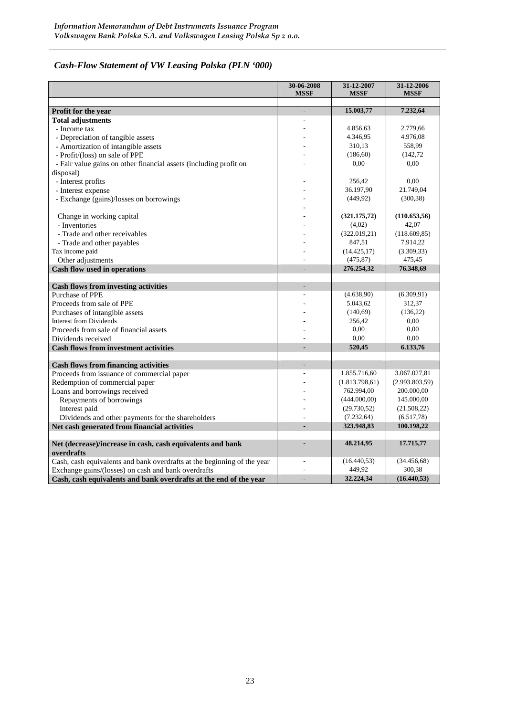# *Cash-Flow Statement of VW Leasing Polska (PLN '000)*

|                                                                                                                                                                                                                                                                                                                                                                                                                                                                                                                                                                                                                                                                                                                                                                                                                                                                                      | 30-06-2008<br><b>MSSF</b> | 31-12-2007<br><b>MSSF</b>                                                                                                                                                                                                  | 31-12-2006<br><b>MSSF</b>                                                                                                                                                                                              |
|--------------------------------------------------------------------------------------------------------------------------------------------------------------------------------------------------------------------------------------------------------------------------------------------------------------------------------------------------------------------------------------------------------------------------------------------------------------------------------------------------------------------------------------------------------------------------------------------------------------------------------------------------------------------------------------------------------------------------------------------------------------------------------------------------------------------------------------------------------------------------------------|---------------------------|----------------------------------------------------------------------------------------------------------------------------------------------------------------------------------------------------------------------------|------------------------------------------------------------------------------------------------------------------------------------------------------------------------------------------------------------------------|
|                                                                                                                                                                                                                                                                                                                                                                                                                                                                                                                                                                                                                                                                                                                                                                                                                                                                                      |                           |                                                                                                                                                                                                                            |                                                                                                                                                                                                                        |
| Profit for the year                                                                                                                                                                                                                                                                                                                                                                                                                                                                                                                                                                                                                                                                                                                                                                                                                                                                  | L.                        | 15.003,77                                                                                                                                                                                                                  | 7.232,64                                                                                                                                                                                                               |
| <b>Total adjustments</b>                                                                                                                                                                                                                                                                                                                                                                                                                                                                                                                                                                                                                                                                                                                                                                                                                                                             |                           |                                                                                                                                                                                                                            |                                                                                                                                                                                                                        |
| - Income tax                                                                                                                                                                                                                                                                                                                                                                                                                                                                                                                                                                                                                                                                                                                                                                                                                                                                         |                           | 4.856,63                                                                                                                                                                                                                   | 2.779,66                                                                                                                                                                                                               |
| - Depreciation of tangible assets                                                                                                                                                                                                                                                                                                                                                                                                                                                                                                                                                                                                                                                                                                                                                                                                                                                    |                           | 4.346,95                                                                                                                                                                                                                   | 4.976,08                                                                                                                                                                                                               |
| - Amortization of intangible assets                                                                                                                                                                                                                                                                                                                                                                                                                                                                                                                                                                                                                                                                                                                                                                                                                                                  |                           | 310,13                                                                                                                                                                                                                     | 558,99                                                                                                                                                                                                                 |
| - Profit/(loss) on sale of PPE                                                                                                                                                                                                                                                                                                                                                                                                                                                                                                                                                                                                                                                                                                                                                                                                                                                       |                           | (186, 60)                                                                                                                                                                                                                  | (142, 72)                                                                                                                                                                                                              |
| - Fair value gains on other financial assets (including profit on                                                                                                                                                                                                                                                                                                                                                                                                                                                                                                                                                                                                                                                                                                                                                                                                                    |                           | 0,00                                                                                                                                                                                                                       | 0.00                                                                                                                                                                                                                   |
| disposal)                                                                                                                                                                                                                                                                                                                                                                                                                                                                                                                                                                                                                                                                                                                                                                                                                                                                            |                           |                                                                                                                                                                                                                            |                                                                                                                                                                                                                        |
| - Interest profits                                                                                                                                                                                                                                                                                                                                                                                                                                                                                                                                                                                                                                                                                                                                                                                                                                                                   |                           | 256,42                                                                                                                                                                                                                     | 0,00                                                                                                                                                                                                                   |
| - Interest expense                                                                                                                                                                                                                                                                                                                                                                                                                                                                                                                                                                                                                                                                                                                                                                                                                                                                   |                           | 36.197,90                                                                                                                                                                                                                  | 21.749,04                                                                                                                                                                                                              |
| - Exchange (gains)/losses on borrowings                                                                                                                                                                                                                                                                                                                                                                                                                                                                                                                                                                                                                                                                                                                                                                                                                                              |                           | (449, 92)                                                                                                                                                                                                                  | (300, 38)                                                                                                                                                                                                              |
|                                                                                                                                                                                                                                                                                                                                                                                                                                                                                                                                                                                                                                                                                                                                                                                                                                                                                      |                           |                                                                                                                                                                                                                            |                                                                                                                                                                                                                        |
| Change in working capital                                                                                                                                                                                                                                                                                                                                                                                                                                                                                                                                                                                                                                                                                                                                                                                                                                                            |                           | (321.175,72)                                                                                                                                                                                                               | (110.653, 56)                                                                                                                                                                                                          |
| - Inventories                                                                                                                                                                                                                                                                                                                                                                                                                                                                                                                                                                                                                                                                                                                                                                                                                                                                        |                           | (4,02)                                                                                                                                                                                                                     | 42,07                                                                                                                                                                                                                  |
| - Trade and other receivables                                                                                                                                                                                                                                                                                                                                                                                                                                                                                                                                                                                                                                                                                                                                                                                                                                                        |                           | (322.019,21)                                                                                                                                                                                                               | (118.609, 85)                                                                                                                                                                                                          |
| - Trade and other payables                                                                                                                                                                                                                                                                                                                                                                                                                                                                                                                                                                                                                                                                                                                                                                                                                                                           |                           | 847,51                                                                                                                                                                                                                     | 7.914,22                                                                                                                                                                                                               |
| Tax income paid                                                                                                                                                                                                                                                                                                                                                                                                                                                                                                                                                                                                                                                                                                                                                                                                                                                                      |                           | (14.425, 17)                                                                                                                                                                                                               | (3.309, 33)                                                                                                                                                                                                            |
| Other adjustments                                                                                                                                                                                                                                                                                                                                                                                                                                                                                                                                                                                                                                                                                                                                                                                                                                                                    |                           | (475, 87)                                                                                                                                                                                                                  | 475,45                                                                                                                                                                                                                 |
| Cash flow used in operations                                                                                                                                                                                                                                                                                                                                                                                                                                                                                                                                                                                                                                                                                                                                                                                                                                                         |                           | 276.254,32                                                                                                                                                                                                                 | 76.348,69                                                                                                                                                                                                              |
|                                                                                                                                                                                                                                                                                                                                                                                                                                                                                                                                                                                                                                                                                                                                                                                                                                                                                      |                           |                                                                                                                                                                                                                            |                                                                                                                                                                                                                        |
|                                                                                                                                                                                                                                                                                                                                                                                                                                                                                                                                                                                                                                                                                                                                                                                                                                                                                      |                           |                                                                                                                                                                                                                            |                                                                                                                                                                                                                        |
|                                                                                                                                                                                                                                                                                                                                                                                                                                                                                                                                                                                                                                                                                                                                                                                                                                                                                      |                           |                                                                                                                                                                                                                            |                                                                                                                                                                                                                        |
|                                                                                                                                                                                                                                                                                                                                                                                                                                                                                                                                                                                                                                                                                                                                                                                                                                                                                      |                           |                                                                                                                                                                                                                            |                                                                                                                                                                                                                        |
|                                                                                                                                                                                                                                                                                                                                                                                                                                                                                                                                                                                                                                                                                                                                                                                                                                                                                      |                           |                                                                                                                                                                                                                            |                                                                                                                                                                                                                        |
|                                                                                                                                                                                                                                                                                                                                                                                                                                                                                                                                                                                                                                                                                                                                                                                                                                                                                      |                           |                                                                                                                                                                                                                            |                                                                                                                                                                                                                        |
|                                                                                                                                                                                                                                                                                                                                                                                                                                                                                                                                                                                                                                                                                                                                                                                                                                                                                      |                           |                                                                                                                                                                                                                            |                                                                                                                                                                                                                        |
|                                                                                                                                                                                                                                                                                                                                                                                                                                                                                                                                                                                                                                                                                                                                                                                                                                                                                      |                           |                                                                                                                                                                                                                            |                                                                                                                                                                                                                        |
|                                                                                                                                                                                                                                                                                                                                                                                                                                                                                                                                                                                                                                                                                                                                                                                                                                                                                      |                           |                                                                                                                                                                                                                            |                                                                                                                                                                                                                        |
|                                                                                                                                                                                                                                                                                                                                                                                                                                                                                                                                                                                                                                                                                                                                                                                                                                                                                      |                           |                                                                                                                                                                                                                            |                                                                                                                                                                                                                        |
|                                                                                                                                                                                                                                                                                                                                                                                                                                                                                                                                                                                                                                                                                                                                                                                                                                                                                      |                           |                                                                                                                                                                                                                            |                                                                                                                                                                                                                        |
|                                                                                                                                                                                                                                                                                                                                                                                                                                                                                                                                                                                                                                                                                                                                                                                                                                                                                      |                           |                                                                                                                                                                                                                            |                                                                                                                                                                                                                        |
|                                                                                                                                                                                                                                                                                                                                                                                                                                                                                                                                                                                                                                                                                                                                                                                                                                                                                      |                           |                                                                                                                                                                                                                            |                                                                                                                                                                                                                        |
|                                                                                                                                                                                                                                                                                                                                                                                                                                                                                                                                                                                                                                                                                                                                                                                                                                                                                      |                           |                                                                                                                                                                                                                            |                                                                                                                                                                                                                        |
|                                                                                                                                                                                                                                                                                                                                                                                                                                                                                                                                                                                                                                                                                                                                                                                                                                                                                      |                           |                                                                                                                                                                                                                            |                                                                                                                                                                                                                        |
|                                                                                                                                                                                                                                                                                                                                                                                                                                                                                                                                                                                                                                                                                                                                                                                                                                                                                      |                           |                                                                                                                                                                                                                            |                                                                                                                                                                                                                        |
|                                                                                                                                                                                                                                                                                                                                                                                                                                                                                                                                                                                                                                                                                                                                                                                                                                                                                      |                           |                                                                                                                                                                                                                            |                                                                                                                                                                                                                        |
|                                                                                                                                                                                                                                                                                                                                                                                                                                                                                                                                                                                                                                                                                                                                                                                                                                                                                      |                           |                                                                                                                                                                                                                            |                                                                                                                                                                                                                        |
|                                                                                                                                                                                                                                                                                                                                                                                                                                                                                                                                                                                                                                                                                                                                                                                                                                                                                      |                           |                                                                                                                                                                                                                            |                                                                                                                                                                                                                        |
|                                                                                                                                                                                                                                                                                                                                                                                                                                                                                                                                                                                                                                                                                                                                                                                                                                                                                      |                           |                                                                                                                                                                                                                            |                                                                                                                                                                                                                        |
|                                                                                                                                                                                                                                                                                                                                                                                                                                                                                                                                                                                                                                                                                                                                                                                                                                                                                      | $\overline{a}$            |                                                                                                                                                                                                                            |                                                                                                                                                                                                                        |
|                                                                                                                                                                                                                                                                                                                                                                                                                                                                                                                                                                                                                                                                                                                                                                                                                                                                                      |                           |                                                                                                                                                                                                                            |                                                                                                                                                                                                                        |
|                                                                                                                                                                                                                                                                                                                                                                                                                                                                                                                                                                                                                                                                                                                                                                                                                                                                                      | $\overline{a}$            | 32.224,34                                                                                                                                                                                                                  | (16.440, 53)                                                                                                                                                                                                           |
| <b>Cash flows from investing activities</b><br>Purchase of PPE<br>Proceeds from sale of PPE<br>Purchases of intangible assets<br><b>Interest from Dividends</b><br>Proceeds from sale of financial assets<br>Dividends received<br><b>Cash flows from investment activities</b><br><b>Cash flows from financing activities</b><br>Proceeds from issuance of commercial paper<br>Redemption of commercial paper<br>Loans and borrowings received<br>Repayments of borrowings<br>Interest paid<br>Dividends and other payments for the shareholders<br>Net cash generated from financial activities<br>Net (decrease)/increase in cash, cash equivalents and bank<br>overdrafts<br>Cash, cash equivalents and bank overdrafts at the beginning of the year<br>Exchange gains/(losses) on cash and bank overdrafts<br>Cash, cash equivalents and bank overdrafts at the end of the year | L,<br>L.                  | (4.638,90)<br>5.043,62<br>(140,69)<br>256,42<br>0,00<br>0,00<br>520,45<br>1.855.716,60<br>(1.813.798.61)<br>762.994,00<br>(444.000,00)<br>(29.730, 52)<br>(7.232, 64)<br>323.948,83<br>48.214,95<br>(16.440, 53)<br>449.92 | (6.309, 91)<br>312,37<br>(136,22)<br>0.00<br>0,00<br>0.00<br>6.133,76<br>3.067.027,81<br>(2.993.803,59)<br>200.000,00<br>145.000,00<br>(21.508, 22)<br>(6.517,78)<br>100.198,22<br>17.715,77<br>(34.456, 68)<br>300,38 |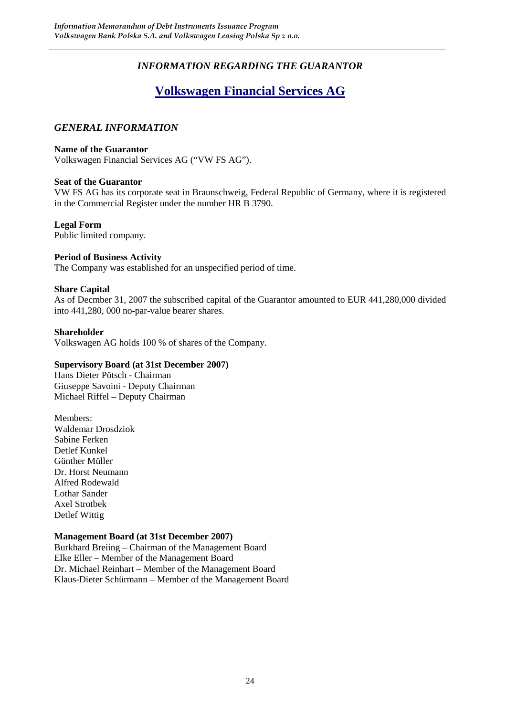# *INFORMATION REGARDING THE GUARANTOR*

# **Volkswagen Financial Services AG**

#### *GENERAL INFORMATION*

#### **Name of the Guarantor**

Volkswagen Financial Services AG ("VW FS AG").

#### **Seat of the Guarantor**

VW FS AG has its corporate seat in Braunschweig, Federal Republic of Germany, where it is registered in the Commercial Register under the number HR B 3790.

#### **Legal Form**

Public limited company.

#### **Period of Business Activity**

The Company was established for an unspecified period of time.

#### **Share Capital**

As of Decmber 31, 2007 the subscribed capital of the Guarantor amounted to EUR 441,280,000 divided into 441,280, 000 no-par-value bearer shares.

#### **Shareholder**

Volkswagen AG holds 100 % of shares of the Company.

#### **Supervisory Board (at 31st December 2007)**

Hans Dieter Pötsch - Chairman Giuseppe Savoini - Deputy Chairman Michael Riffel – Deputy Chairman

Members: Waldemar Drosdziok Sabine Ferken Detlef Kunkel Günther Müller Dr. Horst Neumann Alfred Rodewald Lothar Sander Axel Strotbek Detlef Wittig

#### **Management Board (at 31st December 2007)**

Burkhard Breiing – Chairman of the Management Board Elke Eller – Member of the Management Board Dr. Michael Reinhart – Member of the Management Board Klaus-Dieter Schürmann – Member of the Management Board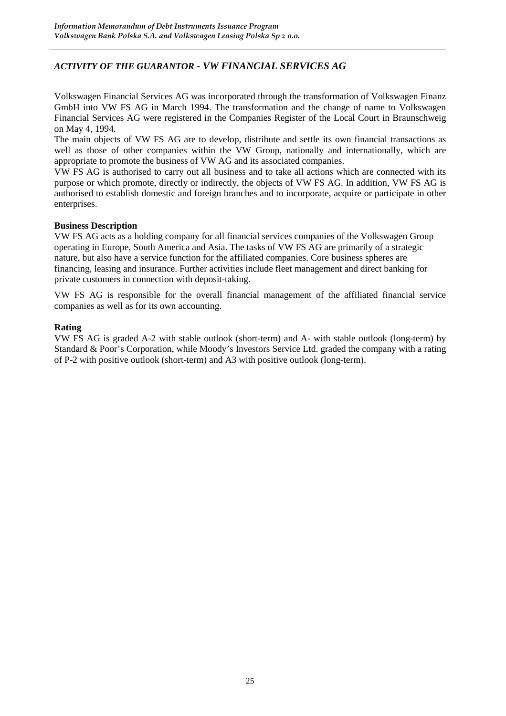#### *ACTIVITY OF THE GUARANTOR - VW FINANCIAL SERVICES AG*

Volkswagen Financial Services AG was incorporated through the transformation of Volkswagen Finanz GmbH into VW FS AG in March 1994. The transformation and the change of name to Volkswagen Financial Services AG were registered in the Companies Register of the Local Court in Braunschweig on May 4, 1994.

The main objects of VW FS AG are to develop, distribute and settle its own financial transactions as well as those of other companies within the VW Group, nationally and internationally, which are appropriate to promote the business of VW AG and its associated companies.

VW FS AG is authorised to carry out all business and to take all actions which are connected with its purpose or which promote, directly or indirectly, the objects of VW FS AG. In addition, VW FS AG is authorised to establish domestic and foreign branches and to incorporate, acquire or participate in other enterprises.

#### **Business Description**

VW FS AG acts as a holding company for all financial services companies of the Volkswagen Group operating in Europe, South America and Asia. The tasks of VW FS AG are primarily of a strategic nature, but also have a service function for the affiliated companies. Core business spheres are financing, leasing and insurance. Further activities include fleet management and direct banking for private customers in connection with deposit-taking.

VW FS AG is responsible for the overall financial management of the affiliated financial service companies as well as for its own accounting.

#### **Rating**

VW FS AG is graded A-2 with stable outlook (short-term) and A- with stable outlook (long-term) by Standard & Poor's Corporation, while Moody's Investors Service Ltd. graded the company with a rating of P-2 with positive outlook (short-term) and A3 with positive outlook (long-term).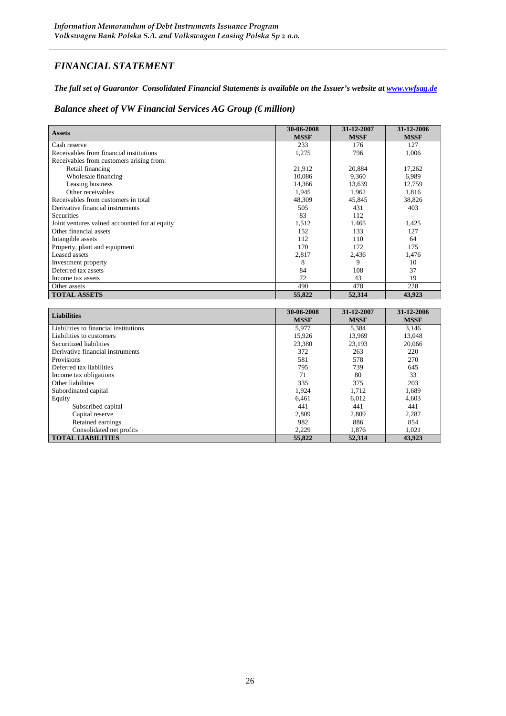# *FINANCIAL STATEMENT*

*The full set of Guarantor Consolidated Financial Statements is available on the Issuer's website at www.vwfsag.de*

#### *Balance sheet of VW Financial Services AG Group (€ million)*

| <b>Assets</b>                                 | 30-06-2008<br><b>MSSF</b> | 31-12-2007<br><b>MSSF</b> | 31-12-2006<br><b>MSSF</b> |
|-----------------------------------------------|---------------------------|---------------------------|---------------------------|
| Cash reserve                                  | 233                       | 176                       | 127                       |
| Receivables from financial institutions       | 1,275                     | 796                       | 1.006                     |
| Receivables from customers arising from:      |                           |                           |                           |
| Retail financing                              | 21,912                    | 20,884                    | 17,262                    |
| Wholesale financing                           | 10,086                    | 9,360                     | 6,989                     |
| Leasing business                              | 14,366                    | 13,639                    | 12,759                    |
| Other receivables                             | 1,945                     | 1,962                     | 1,816                     |
| Receivables from customers in total           | 48,309                    | 45,845                    | 38,826                    |
| Derivative financial instruments              | 505                       | 431                       | 403                       |
| <b>Securities</b>                             | 83                        | 112                       |                           |
| Joint ventures valued accounted for at equity | 1,512                     | 1,465                     | 1,425                     |
| Other financial assets                        | 152                       | 133                       | 127                       |
| Intangible assets                             | 112                       | 110                       | 64                        |
| Property, plant and equipment                 | 170                       | 172                       | 175                       |
| Leased assets                                 | 2,817                     | 2,436                     | 1,476                     |
| Investment property                           | 8                         | 9                         | 10                        |
| Deferred tax assets                           | 84                        | 108                       | 37                        |
| Income tax assets                             | 72                        | 43                        | 19                        |
| Other assets                                  | 490                       | 478                       | 228                       |
| <b>TOTAL ASSETS</b>                           | 55,822                    | 52,314                    | 43,923                    |

| <b>Liabilities</b>                    | 30-06-2008<br><b>MSSF</b> | 31-12-2007<br><b>MSSF</b> | 31-12-2006<br><b>MSSF</b> |
|---------------------------------------|---------------------------|---------------------------|---------------------------|
| Liabilities to financial institutions | 5,977                     | 5,384                     | 3.146                     |
| Liabilities to customers              | 15,926                    | 13,969                    | 13,048                    |
| Securitized liabilities               | 23,380                    | 23,193                    | 20,066                    |
| Derivative financial instruments      | 372                       | 263                       | 220                       |
| Provisions                            | 581                       | 578                       | 270                       |
| Deferred tax liabilities              | 795                       | 739                       | 645                       |
| Income tax obligations                | 71                        | 80                        | 33                        |
| Other liabilities                     | 335                       | 375                       | 203                       |
| Subordinated capital                  | 1,924                     | 1,712                     | 1,689                     |
| Equity                                | 6,461                     | 6,012                     | 4,603                     |
| Subscribed capital                    | 441                       | 441                       | 441                       |
| Capital reserve                       | 2,809                     | 2,809                     | 2,287                     |
| Retained earnings                     | 982                       | 886                       | 854                       |
| Consolidated net profits              | 2,229                     | 1,876                     | 1,021                     |
| <b>TOTAL LIABILITIES</b>              | 55,822                    | 52,314                    | 43,923                    |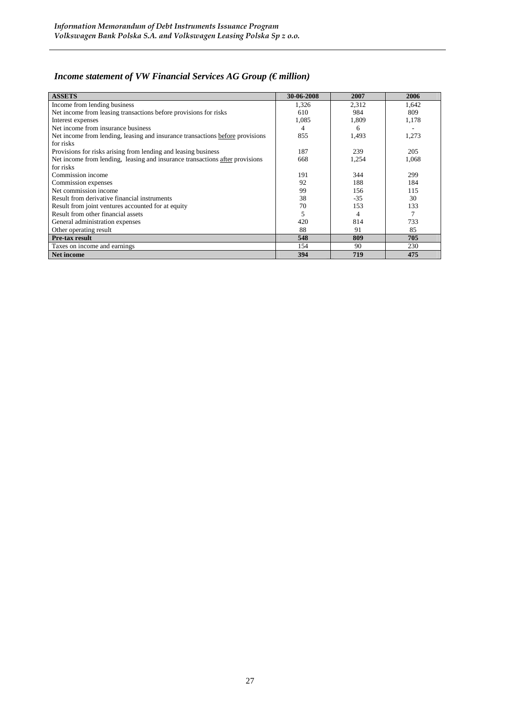# *Income statement of VW Financial Services AG Group (€ million)*

| <b>ASSETS</b>                                                                 | 30-06-2008 | 2007  | 2006  |
|-------------------------------------------------------------------------------|------------|-------|-------|
| Income from lending business                                                  | 1,326      | 2,312 | 1,642 |
| Net income from leasing transactions before provisions for risks              | 610        | 984   | 809   |
| Interest expenses                                                             | 1,085      | 1,809 | 1,178 |
| Net income from insurance business                                            | 4          | 6     |       |
| Net income from lending, leasing and insurance transactions before provisions | 855        | 1,493 | 1,273 |
| for risks                                                                     |            |       |       |
| Provisions for risks arising from lending and leasing business                | 187        | 239   | 205   |
| Net income from lending, leasing and insurance transactions after provisions  | 668        | 1,254 | 1,068 |
| for risks                                                                     |            |       |       |
| Commission income                                                             | 191        | 344   | 299   |
| Commission expenses                                                           | 92         | 188   | 184   |
| Net commission income                                                         | 99         | 156   | 115   |
| Result from derivative financial instruments                                  | 38         | $-35$ | 30    |
| Result from joint ventures accounted for at equity                            | 70         | 153   | 133   |
| Result from other financial assets                                            | 5          | 4     |       |
| General administration expenses                                               | 420        | 814   | 733   |
| Other operating result                                                        | 88         | 91    | 85    |
| <b>Pre-tax result</b>                                                         | 548        | 809   | 705   |
| Taxes on income and earnings                                                  | 154        | 90    | 230   |
| Net income                                                                    | 394        | 719   | 475   |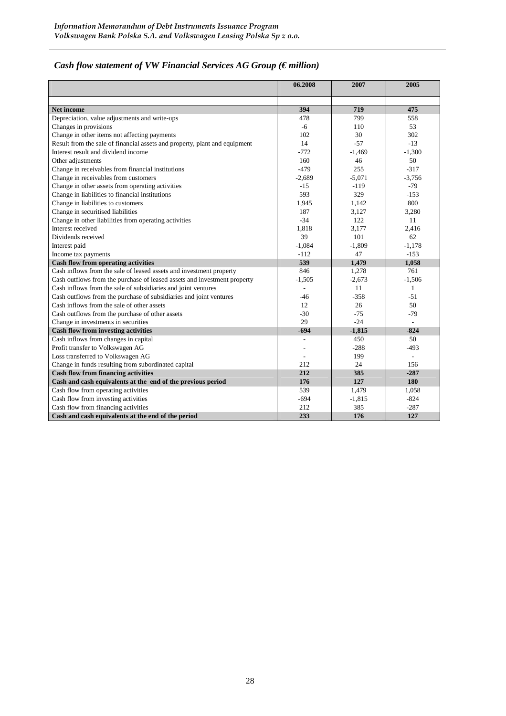# *Cash flow statement of VW Financial Services AG Group (€ million)*

|                                                                            | 06.2008        | 2007     | 2005     |
|----------------------------------------------------------------------------|----------------|----------|----------|
|                                                                            |                |          |          |
| <b>Net income</b>                                                          | 394            | 719      | 475      |
| Depreciation, value adjustments and write-ups                              | 478            | 799      | 558      |
| Changes in provisions                                                      | -6             | 110      | 53       |
| Change in other items not affecting payments                               | 102            | 30       | 302      |
| Result from the sale of financial assets and property, plant and equipment | 14             | $-57$    | $-13$    |
| Interest result and dividend income                                        | $-772$         | $-1.469$ | $-1,300$ |
| Other adjustments                                                          | 160            | 46       | 50       |
| Change in receivables from financial institutions                          | $-479$         | 255      | $-317$   |
| Change in receivables from customers                                       | $-2.689$       | $-5.071$ | $-3,756$ |
| Change in other assets from operating activities                           | $-15$          | $-119$   | $-79$    |
| Change in liabilities to financial institutions                            | 593            | 329      | $-153$   |
| Change in liabilities to customers                                         | 1,945          | 1,142    | 800      |
| Change in securitised liabilities                                          | 187            | 3,127    | 3,280    |
| Change in other liabilities from operating activities                      | $-34$          | 122      | 11       |
| Interest received                                                          | 1.818          | 3.177    | 2.416    |
| Dividends received                                                         | 39             | 101      | 62       |
| Interest paid                                                              | $-1.084$       | $-1,809$ | $-1,178$ |
| Income tax payments                                                        | $-112$         | 47       | $-1.53$  |
| <b>Cash flow from operating activities</b>                                 | 539            | 1,479    | 1,058    |
| Cash inflows from the sale of leased assets and investment property        | 846            | 1,278    | 761      |
| Cash outflows from the purchase of leased assets and investment property   | $-1,505$       | $-2,673$ | $-1,506$ |
| Cash inflows from the sale of subsidiaries and joint ventures              | $\blacksquare$ | 11       | 1        |
| Cash outflows from the purchase of subsidiaries and joint ventures         | -46            | $-358$   | -51      |
| Cash inflows from the sale of other assets                                 | 12             | 26       | 50       |
| Cash outflows from the purchase of other assets                            | $-30$          | $-75$    | $-79$    |
| Change in investments in securities                                        | 29             | $-24$    | ÷        |
| <b>Cash flow from investing activities</b>                                 | -694           | $-1,815$ | $-824$   |
| Cash inflows from changes in capital                                       |                | 450      | 50       |
| Profit transfer to Volkswagen AG                                           |                | $-288$   | $-493$   |
| Loss transferred to Volkswagen AG                                          |                | 199      | ÷,       |
| Change in funds resulting from subordinated capital                        | 212            | 24       | 156      |
| <b>Cash flow from financing activities</b>                                 | 212            | 385      | $-287$   |
| Cash and cash equivalents at the end of the previous period                | 176            | 127      | 180      |
| Cash flow from operating activities                                        | 539            | 1,479    | 1,058    |
| Cash flow from investing activities                                        | $-694$         | $-1,815$ | $-824$   |
| Cash flow from financing activities                                        | 212            | 385      | $-287$   |
| Cash and cash equivalents at the end of the period                         | 233            | 176      | 127      |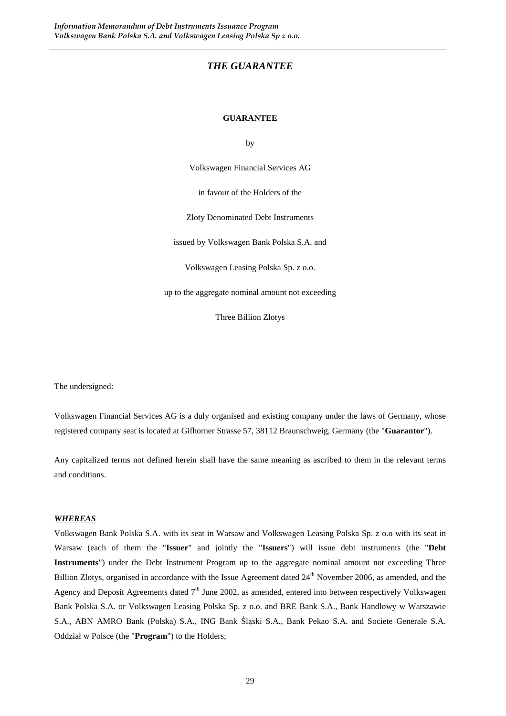#### *THE GUARANTEE*

#### **GUARANTEE**

by

Volkswagen Financial Services AG

in favour of the Holders of the

Zloty Denominated Debt Instruments

issued by Volkswagen Bank Polska S.A. and

Volkswagen Leasing Polska Sp. z o.o.

up to the aggregate nominal amount not exceeding

Three Billion Zlotys

The undersigned:

Volkswagen Financial Services AG is a duly organised and existing company under the laws of Germany, whose registered company seat is located at Gifhorner Strasse 57, 38112 Braunschweig, Germany (the "**Guarantor**").

Any capitalized terms not defined herein shall have the same meaning as ascribed to them in the relevant terms and conditions.

#### *WHEREAS*

Volkswagen Bank Polska S.A. with its seat in Warsaw and Volkswagen Leasing Polska Sp. z o.o with its seat in Warsaw (each of them the "**Issuer**" and jointly the "**Issuers**") will issue debt instruments (the "**Debt Instruments**") under the Debt Instrument Program up to the aggregate nominal amount not exceeding Three Billion Zlotys, organised in accordance with the Issue Agreement dated 24<sup>th</sup> November 2006, as amended, and the Agency and Deposit Agreements dated  $7<sup>th</sup>$  June 2002, as amended, entered into between respectively Volkswagen Bank Polska S.A. or Volkswagen Leasing Polska Sp. z o.o. and BRE Bank S.A., Bank Handlowy w Warszawie S.A., ABN AMRO Bank (Polska) S.A., ING Bank Śląski S.A., Bank Pekao S.A. and Societe Generale S.A. Oddział w Polsce (the "**Program**") to the Holders;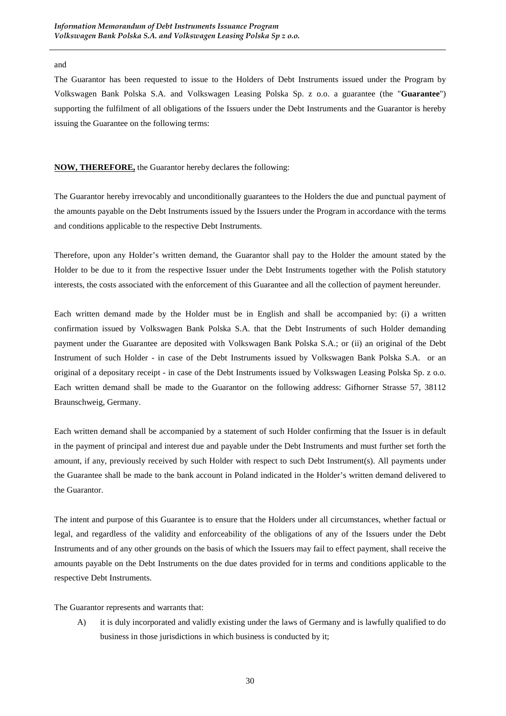#### and

The Guarantor has been requested to issue to the Holders of Debt Instruments issued under the Program by Volkswagen Bank Polska S.A. and Volkswagen Leasing Polska Sp. z o.o. a guarantee (the "**Guarantee**") supporting the fulfilment of all obligations of the Issuers under the Debt Instruments and the Guarantor is hereby issuing the Guarantee on the following terms:

#### **NOW, THEREFORE,** the Guarantor hereby declares the following:

The Guarantor hereby irrevocably and unconditionally guarantees to the Holders the due and punctual payment of the amounts payable on the Debt Instruments issued by the Issuers under the Program in accordance with the terms and conditions applicable to the respective Debt Instruments.

Therefore, upon any Holder's written demand, the Guarantor shall pay to the Holder the amount stated by the Holder to be due to it from the respective Issuer under the Debt Instruments together with the Polish statutory interests, the costs associated with the enforcement of this Guarantee and all the collection of payment hereunder.

Each written demand made by the Holder must be in English and shall be accompanied by: (i) a written confirmation issued by Volkswagen Bank Polska S.A. that the Debt Instruments of such Holder demanding payment under the Guarantee are deposited with Volkswagen Bank Polska S.A.; or (ii) an original of the Debt Instrument of such Holder - in case of the Debt Instruments issued by Volkswagen Bank Polska S.A. or an original of a depositary receipt - in case of the Debt Instruments issued by Volkswagen Leasing Polska Sp. z o.o. Each written demand shall be made to the Guarantor on the following address: Gifhorner Strasse 57, 38112 Braunschweig, Germany.

Each written demand shall be accompanied by a statement of such Holder confirming that the Issuer is in default in the payment of principal and interest due and payable under the Debt Instruments and must further set forth the amount, if any, previously received by such Holder with respect to such Debt Instrument(s). All payments under the Guarantee shall be made to the bank account in Poland indicated in the Holder's written demand delivered to the Guarantor.

The intent and purpose of this Guarantee is to ensure that the Holders under all circumstances, whether factual or legal, and regardless of the validity and enforceability of the obligations of any of the Issuers under the Debt Instruments and of any other grounds on the basis of which the Issuers may fail to effect payment, shall receive the amounts payable on the Debt Instruments on the due dates provided for in terms and conditions applicable to the respective Debt Instruments.

The Guarantor represents and warrants that:

A) it is duly incorporated and validly existing under the laws of Germany and is lawfully qualified to do business in those jurisdictions in which business is conducted by it;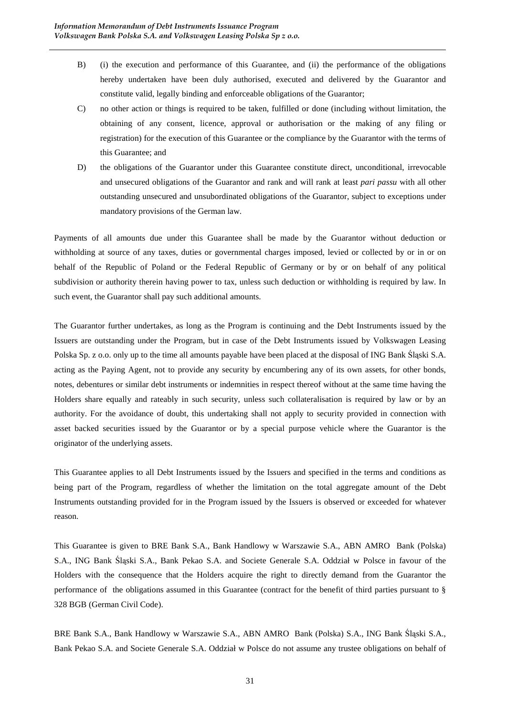- B) (i) the execution and performance of this Guarantee, and (ii) the performance of the obligations hereby undertaken have been duly authorised, executed and delivered by the Guarantor and constitute valid, legally binding and enforceable obligations of the Guarantor;
- C) no other action or things is required to be taken, fulfilled or done (including without limitation, the obtaining of any consent, licence, approval or authorisation or the making of any filing or registration) for the execution of this Guarantee or the compliance by the Guarantor with the terms of this Guarantee; and
- D) the obligations of the Guarantor under this Guarantee constitute direct, unconditional, irrevocable and unsecured obligations of the Guarantor and rank and will rank at least *pari passu* with all other outstanding unsecured and unsubordinated obligations of the Guarantor, subject to exceptions under mandatory provisions of the German law.

Payments of all amounts due under this Guarantee shall be made by the Guarantor without deduction or withholding at source of any taxes, duties or governmental charges imposed, levied or collected by or in or on behalf of the Republic of Poland or the Federal Republic of Germany or by or on behalf of any political subdivision or authority therein having power to tax, unless such deduction or withholding is required by law. In such event, the Guarantor shall pay such additional amounts.

The Guarantor further undertakes, as long as the Program is continuing and the Debt Instruments issued by the Issuers are outstanding under the Program, but in case of the Debt Instruments issued by Volkswagen Leasing Polska Sp. z o.o. only up to the time all amounts payable have been placed at the disposal of ING Bank Śląski S.A. acting as the Paying Agent, not to provide any security by encumbering any of its own assets, for other bonds, notes, debentures or similar debt instruments or indemnities in respect thereof without at the same time having the Holders share equally and rateably in such security, unless such collateralisation is required by law or by an authority. For the avoidance of doubt, this undertaking shall not apply to security provided in connection with asset backed securities issued by the Guarantor or by a special purpose vehicle where the Guarantor is the originator of the underlying assets.

This Guarantee applies to all Debt Instruments issued by the Issuers and specified in the terms and conditions as being part of the Program, regardless of whether the limitation on the total aggregate amount of the Debt Instruments outstanding provided for in the Program issued by the Issuers is observed or exceeded for whatever reason.

This Guarantee is given to BRE Bank S.A., Bank Handlowy w Warszawie S.A., ABN AMRO Bank (Polska) S.A., ING Bank Śląski S.A., Bank Pekao S.A. and Societe Generale S.A. Oddział w Polsce in favour of the Holders with the consequence that the Holders acquire the right to directly demand from the Guarantor the performance of the obligations assumed in this Guarantee (contract for the benefit of third parties pursuant to § 328 BGB (German Civil Code).

BRE Bank S.A., Bank Handlowy w Warszawie S.A., ABN AMRO Bank (Polska) S.A., ING Bank Śląski S.A., Bank Pekao S.A. and Societe Generale S.A. Oddział w Polsce do not assume any trustee obligations on behalf of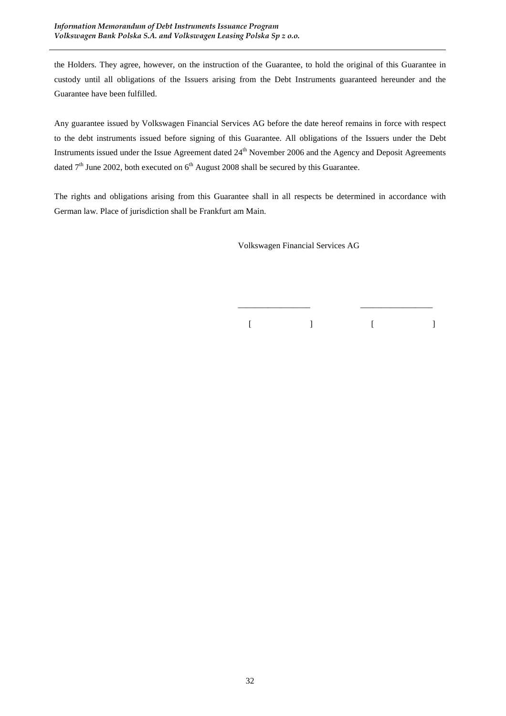the Holders. They agree, however, on the instruction of the Guarantee, to hold the original of this Guarantee in custody until all obligations of the Issuers arising from the Debt Instruments guaranteed hereunder and the Guarantee have been fulfilled.

Any guarantee issued by Volkswagen Financial Services AG before the date hereof remains in force with respect to the debt instruments issued before signing of this Guarantee. All obligations of the Issuers under the Debt Instruments issued under the Issue Agreement dated 24<sup>th</sup> November 2006 and the Agency and Deposit Agreements dated  $7<sup>th</sup>$  June 2002, both executed on  $6<sup>th</sup>$  August 2008 shall be secured by this Guarantee.

The rights and obligations arising from this Guarantee shall in all respects be determined in accordance with German law. Place of jurisdiction shall be Frankfurt am Main.

 $\frac{1}{\sqrt{2}}$  ,  $\frac{1}{\sqrt{2}}$  ,  $\frac{1}{\sqrt{2}}$  ,  $\frac{1}{\sqrt{2}}$  ,  $\frac{1}{\sqrt{2}}$  ,  $\frac{1}{\sqrt{2}}$  ,  $\frac{1}{\sqrt{2}}$  ,  $\frac{1}{\sqrt{2}}$  ,  $\frac{1}{\sqrt{2}}$  ,  $\frac{1}{\sqrt{2}}$  ,  $\frac{1}{\sqrt{2}}$  ,  $\frac{1}{\sqrt{2}}$  ,  $\frac{1}{\sqrt{2}}$  ,  $\frac{1}{\sqrt{2}}$  ,  $\frac{1}{\sqrt{2}}$ 

Volkswagen Financial Services AG

 $[$   $]$   $[$   $]$   $[$   $]$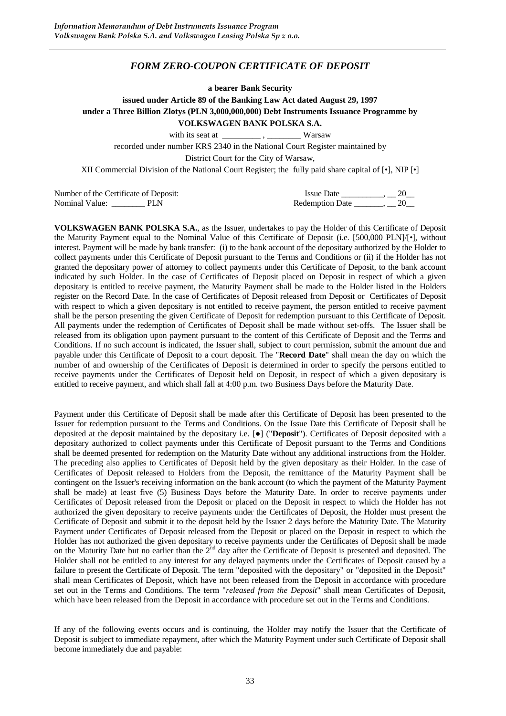#### *FORM ZERO-COUPON CERTIFICATE OF DEPOSIT*

**a bearer Bank Security** 

**issued under Article 89 of the Banking Law Act dated August 29, 1997 under a Three Billion Zlotys (PLN 3,000,000,000) Debt Instruments Issuance Programme by** 

**VOLKSWAGEN BANK POLSKA S.A.**

with its seat at  $\frac{1}{\sqrt{2}}$ ,  $\frac{1}{\sqrt{2}}$  Warsaw

recorded under number KRS 2340 in the National Court Register maintained by

District Court for the City of Warsaw,

XII Commercial Division of the National Court Register; the fully paid share capital of [•], NIP [•]

| Number of the Certificate of Deposit: | <b>Issue Date</b>      |  |
|---------------------------------------|------------------------|--|
| Nominal Value:<br>PLN                 | <b>Redemption Date</b> |  |

**VOLKSWAGEN BANK POLSKA S.A.**, as the Issuer, undertakes to pay the Holder of this Certificate of Deposit the Maturity Payment equal to the Nominal Value of this Certificate of Deposit (i.e. [500,000 PLN]/[•], without interest. Payment will be made by bank transfer: (i) to the bank account of the depositary authorized by the Holder to collect payments under this Certificate of Deposit pursuant to the Terms and Conditions or (ii) if the Holder has not granted the depositary power of attorney to collect payments under this Certificate of Deposit, to the bank account indicated by such Holder. In the case of Certificates of Deposit placed on Deposit in respect of which a given depositary is entitled to receive payment, the Maturity Payment shall be made to the Holder listed in the Holders register on the Record Date. In the case of Certificates of Deposit released from Deposit or Certificates of Deposit with respect to which a given depositary is not entitled to receive payment, the person entitled to receive payment shall be the person presenting the given Certificate of Deposit for redemption pursuant to this Certificate of Deposit. All payments under the redemption of Certificates of Deposit shall be made without set-offs. The Issuer shall be released from its obligation upon payment pursuant to the content of this Certificate of Deposit and the Terms and Conditions. If no such account is indicated, the Issuer shall, subject to court permission, submit the amount due and payable under this Certificate of Deposit to a court deposit. The "**Record Date**" shall mean the day on which the number of and ownership of the Certificates of Deposit is determined in order to specify the persons entitled to receive payments under the Certificates of Deposit held on Deposit, in respect of which a given depositary is entitled to receive payment, and which shall fall at 4:00 p.m. two Business Days before the Maturity Date.

Payment under this Certificate of Deposit shall be made after this Certificate of Deposit has been presented to the Issuer for redemption pursuant to the Terms and Conditions. On the Issue Date this Certificate of Deposit shall be deposited at the deposit maintained by the depositary i.e. [●] ("**Deposit**"). Certificates of Deposit deposited with a depositary authorized to collect payments under this Certificate of Deposit pursuant to the Terms and Conditions shall be deemed presented for redemption on the Maturity Date without any additional instructions from the Holder. The preceding also applies to Certificates of Deposit held by the given depositary as their Holder. In the case of Certificates of Deposit released to Holders from the Deposit, the remittance of the Maturity Payment shall be contingent on the Issuer's receiving information on the bank account (to which the payment of the Maturity Payment shall be made) at least five (5) Business Days before the Maturity Date. In order to receive payments under Certificates of Deposit released from the Deposit or placed on the Deposit in respect to which the Holder has not authorized the given depositary to receive payments under the Certificates of Deposit, the Holder must present the Certificate of Deposit and submit it to the deposit held by the Issuer 2 days before the Maturity Date. The Maturity Payment under Certificates of Deposit released from the Deposit or placed on the Deposit in respect to which the Holder has not authorized the given depositary to receive payments under the Certificates of Deposit shall be made on the Maturity Date but no earlier than the  $2^{nd}$  day after the Certificate of Deposit is presented and deposited. The Holder shall not be entitled to any interest for any delayed payments under the Certificates of Deposit caused by a failure to present the Certificate of Deposit. The term "deposited with the depositary" or "deposited in the Deposit" shall mean Certificates of Deposit, which have not been released from the Deposit in accordance with procedure set out in the Terms and Conditions. The term "*released from the Deposit*" shall mean Certificates of Deposit, which have been released from the Deposit in accordance with procedure set out in the Terms and Conditions.

If any of the following events occurs and is continuing, the Holder may notify the Issuer that the Certificate of Deposit is subject to immediate repayment, after which the Maturity Payment under such Certificate of Deposit shall become immediately due and payable: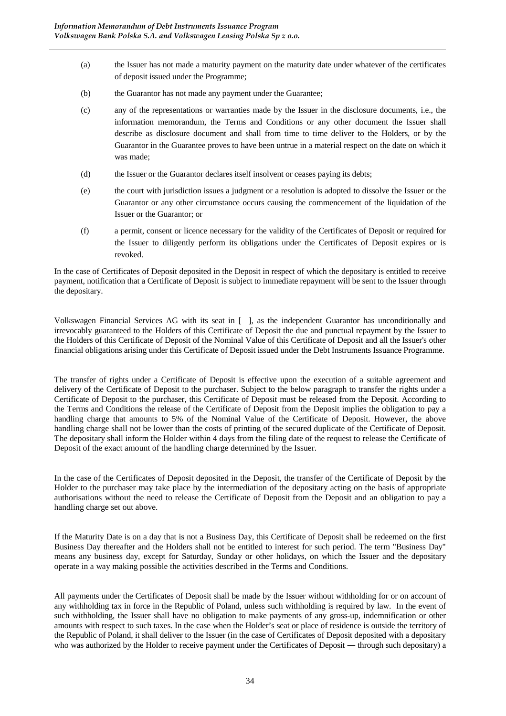- (a) the Issuer has not made a maturity payment on the maturity date under whatever of the certificates of deposit issued under the Programme;
- (b) the Guarantor has not made any payment under the Guarantee;
- (c) any of the representations or warranties made by the Issuer in the disclosure documents, i.e., the information memorandum, the Terms and Conditions or any other document the Issuer shall describe as disclosure document and shall from time to time deliver to the Holders, or by the Guarantor in the Guarantee proves to have been untrue in a material respect on the date on which it was made;
- (d) the Issuer or the Guarantor declares itself insolvent or ceases paying its debts;
- (e) the court with jurisdiction issues a judgment or a resolution is adopted to dissolve the Issuer or the Guarantor or any other circumstance occurs causing the commencement of the liquidation of the Issuer or the Guarantor; or
- (f) a permit, consent or licence necessary for the validity of the Certificates of Deposit or required for the Issuer to diligently perform its obligations under the Certificates of Deposit expires or is revoked.

In the case of Certificates of Deposit deposited in the Deposit in respect of which the depositary is entitled to receive payment, notification that a Certificate of Deposit is subject to immediate repayment will be sent to the Issuer through the depositary.

Volkswagen Financial Services AG with its seat in [ ], as the independent Guarantor has unconditionally and irrevocably guaranteed to the Holders of this Certificate of Deposit the due and punctual repayment by the Issuer to the Holders of this Certificate of Deposit of the Nominal Value of this Certificate of Deposit and all the Issuer's other financial obligations arising under this Certificate of Deposit issued under the Debt Instruments Issuance Programme.

The transfer of rights under a Certificate of Deposit is effective upon the execution of a suitable agreement and delivery of the Certificate of Deposit to the purchaser. Subject to the below paragraph to transfer the rights under a Certificate of Deposit to the purchaser, this Certificate of Deposit must be released from the Deposit. According to the Terms and Conditions the release of the Certificate of Deposit from the Deposit implies the obligation to pay a handling charge that amounts to 5% of the Nominal Value of the Certificate of Deposit. However, the above handling charge shall not be lower than the costs of printing of the secured duplicate of the Certificate of Deposit. The depositary shall inform the Holder within 4 days from the filing date of the request to release the Certificate of Deposit of the exact amount of the handling charge determined by the Issuer.

In the case of the Certificates of Deposit deposited in the Deposit, the transfer of the Certificate of Deposit by the Holder to the purchaser may take place by the intermediation of the depositary acting on the basis of appropriate authorisations without the need to release the Certificate of Deposit from the Deposit and an obligation to pay a handling charge set out above.

If the Maturity Date is on a day that is not a Business Day, this Certificate of Deposit shall be redeemed on the first Business Day thereafter and the Holders shall not be entitled to interest for such period. The term "Business Day" means any business day, except for Saturday, Sunday or other holidays, on which the Issuer and the depositary operate in a way making possible the activities described in the Terms and Conditions.

All payments under the Certificates of Deposit shall be made by the Issuer without withholding for or on account of any withholding tax in force in the Republic of Poland, unless such withholding is required by law. In the event of such withholding, the Issuer shall have no obligation to make payments of any gross-up, indemnification or other amounts with respect to such taxes. In the case when the Holder's seat or place of residence is outside the territory of the Republic of Poland, it shall deliver to the Issuer (in the case of Certificates of Deposit deposited with a depositary who was authorized by the Holder to receive payment under the Certificates of Deposit — through such depositary) a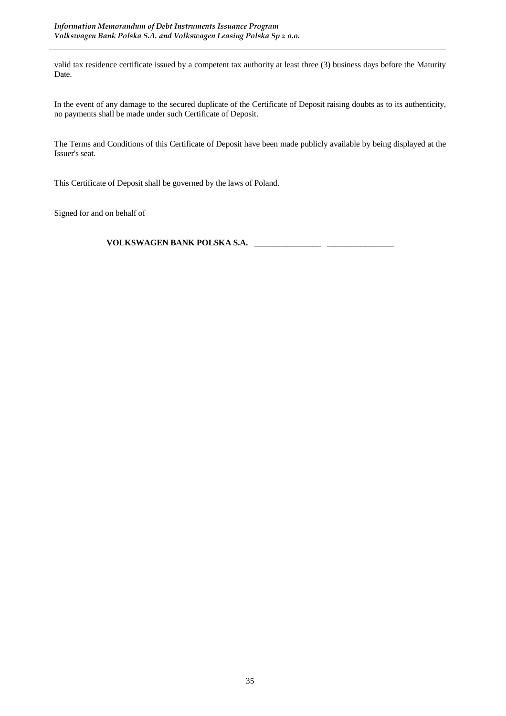valid tax residence certificate issued by a competent tax authority at least three (3) business days before the Maturity Date.

In the event of any damage to the secured duplicate of the Certificate of Deposit raising doubts as to its authenticity, no payments shall be made under such Certificate of Deposit.

The Terms and Conditions of this Certificate of Deposit have been made publicly available by being displayed at the Issuer's seat.

This Certificate of Deposit shall be governed by the laws of Poland.

Signed for and on behalf of

**VOLKSWAGEN BANK POLSKA S.A.** \_\_\_\_\_\_\_\_\_\_\_\_\_\_\_\_ \_\_\_\_\_\_\_\_\_\_\_\_\_\_\_\_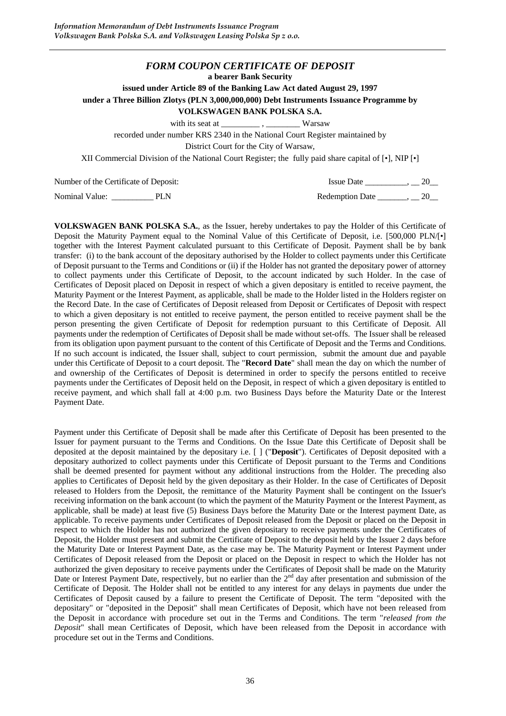#### *FORM COUPON CERTIFICATE OF DEPOSIT*

**a bearer Bank Security** 

**issued under Article 89 of the Banking Law Act dated August 29, 1997** 

**under a Three Billion Zlotys (PLN 3,000,000,000) Debt Instruments Issuance Programme by** 

#### **VOLKSWAGEN BANK POLSKA S.A.**

with its seat at \_\_\_\_\_\_\_\_\_\_\_\_\_\_\_, \_\_\_\_\_\_\_\_\_\_\_\_\_\_ Warsaw

recorded under number KRS 2340 in the National Court Register maintained by

District Court for the City of Warsaw,

XII Commercial Division of the National Court Register; the fully paid share capital of [•], NIP [•]

Number of the Certificate of Deposit: Issue Date and Issue Date and Issue Date and Issue Date and Issue Date and Issue Date and Issue Date and Issue Date and Issue Date and Issue Date and Issue Date and Issue Date and Issu

Nominal Value: \_\_\_\_\_\_\_\_\_\_\_\_\_ PLN Redemption Date \_\_\_\_\_\_\_, \_\_ 20\_\_\_

**VOLKSWAGEN BANK POLSKA S.A.**, as the Issuer, hereby undertakes to pay the Holder of this Certificate of Deposit the Maturity Payment equal to the Nominal Value of this Certificate of Deposit, i.e. [500,000 PLN/[•] together with the Interest Payment calculated pursuant to this Certificate of Deposit. Payment shall be by bank transfer: (i) to the bank account of the depositary authorised by the Holder to collect payments under this Certificate of Deposit pursuant to the Terms and Conditions or (ii) if the Holder has not granted the depositary power of attorney to collect payments under this Certificate of Deposit, to the account indicated by such Holder. In the case of Certificates of Deposit placed on Deposit in respect of which a given depositary is entitled to receive payment, the Maturity Payment or the Interest Payment, as applicable, shall be made to the Holder listed in the Holders register on the Record Date. In the case of Certificates of Deposit released from Deposit or Certificates of Deposit with respect to which a given depositary is not entitled to receive payment, the person entitled to receive payment shall be the person presenting the given Certificate of Deposit for redemption pursuant to this Certificate of Deposit. All payments under the redemption of Certificates of Deposit shall be made without set-offs. The Issuer shall be released from its obligation upon payment pursuant to the content of this Certificate of Deposit and the Terms and Conditions. If no such account is indicated, the Issuer shall, subject to court permission, submit the amount due and payable under this Certificate of Deposit to a court deposit. The "**Record Date**" shall mean the day on which the number of and ownership of the Certificates of Deposit is determined in order to specify the persons entitled to receive payments under the Certificates of Deposit held on the Deposit, in respect of which a given depositary is entitled to receive payment, and which shall fall at 4:00 p.m. two Business Days before the Maturity Date or the Interest Payment Date.

Payment under this Certificate of Deposit shall be made after this Certificate of Deposit has been presented to the Issuer for payment pursuant to the Terms and Conditions. On the Issue Date this Certificate of Deposit shall be deposited at the deposit maintained by the depositary i.e. [ ] ("**Deposit**"). Certificates of Deposit deposited with a depositary authorized to collect payments under this Certificate of Deposit pursuant to the Terms and Conditions shall be deemed presented for payment without any additional instructions from the Holder. The preceding also applies to Certificates of Deposit held by the given depositary as their Holder. In the case of Certificates of Deposit released to Holders from the Deposit, the remittance of the Maturity Payment shall be contingent on the Issuer's receiving information on the bank account (to which the payment of the Maturity Payment or the Interest Payment, as applicable, shall be made) at least five (5) Business Days before the Maturity Date or the Interest payment Date, as applicable. To receive payments under Certificates of Deposit released from the Deposit or placed on the Deposit in respect to which the Holder has not authorized the given depositary to receive payments under the Certificates of Deposit, the Holder must present and submit the Certificate of Deposit to the deposit held by the Issuer 2 days before the Maturity Date or Interest Payment Date, as the case may be. The Maturity Payment or Interest Payment under Certificates of Deposit released from the Deposit or placed on the Deposit in respect to which the Holder has not authorized the given depositary to receive payments under the Certificates of Deposit shall be made on the Maturity Date or Interest Payment Date, respectively, but no earlier than the  $2<sup>nd</sup>$  day after presentation and submission of the Certificate of Deposit. The Holder shall not be entitled to any interest for any delays in payments due under the Certificates of Deposit caused by a failure to present the Certificate of Deposit. The term "deposited with the depositary" or "deposited in the Deposit" shall mean Certificates of Deposit, which have not been released from the Deposit in accordance with procedure set out in the Terms and Conditions. The term "*released from the Deposit*" shall mean Certificates of Deposit, which have been released from the Deposit in accordance with procedure set out in the Terms and Conditions.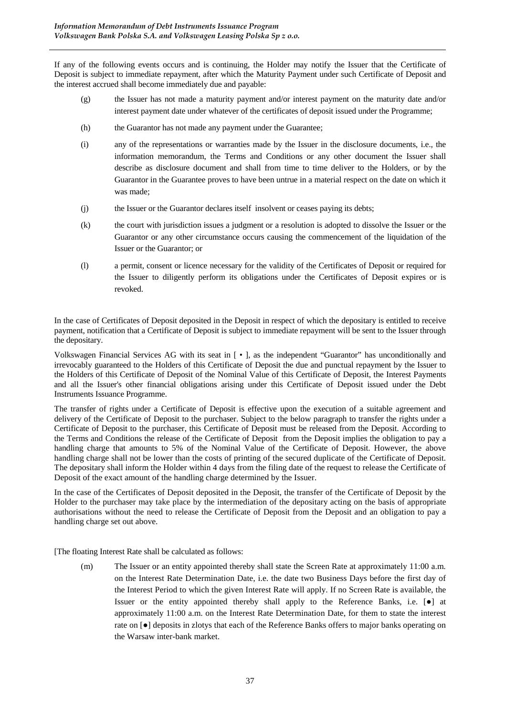If any of the following events occurs and is continuing, the Holder may notify the Issuer that the Certificate of Deposit is subject to immediate repayment, after which the Maturity Payment under such Certificate of Deposit and the interest accrued shall become immediately due and payable:

- (g) the Issuer has not made a maturity payment and/or interest payment on the maturity date and/or interest payment date under whatever of the certificates of deposit issued under the Programme;
- (h) the Guarantor has not made any payment under the Guarantee;
- (i) any of the representations or warranties made by the Issuer in the disclosure documents, i.e., the information memorandum, the Terms and Conditions or any other document the Issuer shall describe as disclosure document and shall from time to time deliver to the Holders, or by the Guarantor in the Guarantee proves to have been untrue in a material respect on the date on which it was made;
- (j) the Issuer or the Guarantor declares itself insolvent or ceases paying its debts;
- (k) the court with jurisdiction issues a judgment or a resolution is adopted to dissolve the Issuer or the Guarantor or any other circumstance occurs causing the commencement of the liquidation of the Issuer or the Guarantor; or
- (l) a permit, consent or licence necessary for the validity of the Certificates of Deposit or required for the Issuer to diligently perform its obligations under the Certificates of Deposit expires or is revoked.

In the case of Certificates of Deposit deposited in the Deposit in respect of which the depositary is entitled to receive payment, notification that a Certificate of Deposit is subject to immediate repayment will be sent to the Issuer through the depositary.

Volkswagen Financial Services AG with its seat in [ • ], as the independent "Guarantor" has unconditionally and irrevocably guaranteed to the Holders of this Certificate of Deposit the due and punctual repayment by the Issuer to the Holders of this Certificate of Deposit of the Nominal Value of this Certificate of Deposit, the Interest Payments and all the Issuer's other financial obligations arising under this Certificate of Deposit issued under the Debt Instruments Issuance Programme.

The transfer of rights under a Certificate of Deposit is effective upon the execution of a suitable agreement and delivery of the Certificate of Deposit to the purchaser. Subject to the below paragraph to transfer the rights under a Certificate of Deposit to the purchaser, this Certificate of Deposit must be released from the Deposit. According to the Terms and Conditions the release of the Certificate of Deposit from the Deposit implies the obligation to pay a handling charge that amounts to 5% of the Nominal Value of the Certificate of Deposit. However, the above handling charge shall not be lower than the costs of printing of the secured duplicate of the Certificate of Deposit. The depositary shall inform the Holder within 4 days from the filing date of the request to release the Certificate of Deposit of the exact amount of the handling charge determined by the Issuer.

In the case of the Certificates of Deposit deposited in the Deposit, the transfer of the Certificate of Deposit by the Holder to the purchaser may take place by the intermediation of the depositary acting on the basis of appropriate authorisations without the need to release the Certificate of Deposit from the Deposit and an obligation to pay a handling charge set out above.

[The floating Interest Rate shall be calculated as follows:

(m) The Issuer or an entity appointed thereby shall state the Screen Rate at approximately 11:00 a.m. on the Interest Rate Determination Date, i.e. the date two Business Days before the first day of the Interest Period to which the given Interest Rate will apply. If no Screen Rate is available, the Issuer or the entity appointed thereby shall apply to the Reference Banks, i.e. [●] at approximately 11:00 a.m. on the Interest Rate Determination Date, for them to state the interest rate on [●] deposits in zlotys that each of the Reference Banks offers to major banks operating on the Warsaw inter-bank market.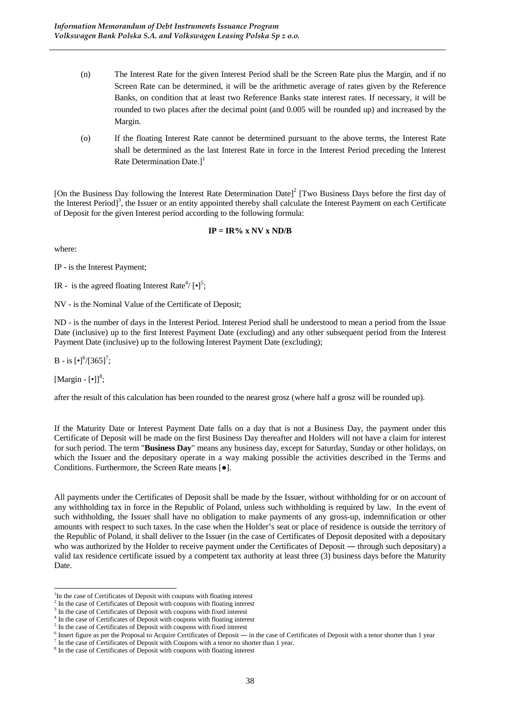- (n) The Interest Rate for the given Interest Period shall be the Screen Rate plus the Margin, and if no Screen Rate can be determined, it will be the arithmetic average of rates given by the Reference Banks, on condition that at least two Reference Banks state interest rates. If necessary, it will be rounded to two places after the decimal point (and 0.005 will be rounded up) and increased by the Margin.
- (o) If the floating Interest Rate cannot be determined pursuant to the above terms, the Interest Rate shall be determined as the last Interest Rate in force in the Interest Period preceding the Interest Rate Determination Date.]<sup>1</sup>

[On the Business Day following the Interest Rate Determination Date]<sup>2</sup> [Two Business Days before the first day of the Interest Period]<sup>3</sup>, the Issuer or an entity appointed thereby shall calculate the Interest Payment on each Certificate of Deposit for the given Interest period according to the following formula:

### $IP = IR\%$  x NV x ND/B

where:

IP - is the Interest Payment;

IR - is the agreed floating Interest Rate<sup>4</sup>/ $\left[\bullet\right]^5$ ;

NV - is the Nominal Value of the Certificate of Deposit;

ND - is the number of days in the Interest Period. Interest Period shall be understood to mean a period from the Issue Date (inclusive) up to the first Interest Payment Date (excluding) and any other subsequent period from the Interest Payment Date (inclusive) up to the following Interest Payment Date (excluding);

B - is  $[\cdot]$ <sup>6</sup>/[365]<sup>7</sup>;

[Margin -  $[\bullet]$ ]<sup>8</sup>;

 $\overline{a}$ 

after the result of this calculation has been rounded to the nearest grosz (where half a grosz will be rounded up).

If the Maturity Date or Interest Payment Date falls on a day that is not a Business Day, the payment under this Certificate of Deposit will be made on the first Business Day thereafter and Holders will not have a claim for interest for such period. The term "**Business Day**" means any business day, except for Saturday, Sunday or other holidays, on which the Issuer and the depositary operate in a way making possible the activities described in the Terms and Conditions. Furthermore, the Screen Rate means [●].

All payments under the Certificates of Deposit shall be made by the Issuer, without withholding for or on account of any withholding tax in force in the Republic of Poland, unless such withholding is required by law. In the event of such withholding, the Issuer shall have no obligation to make payments of any gross-up, indemnification or other amounts with respect to such taxes. In the case when the Holder's seat or place of residence is outside the territory of the Republic of Poland, it shall deliver to the Issuer (in the case of Certificates of Deposit deposited with a depositary who was authorized by the Holder to receive payment under the Certificates of Deposit — through such depositary) a valid tax residence certificate issued by a competent tax authority at least three (3) business days before the Maturity Date.

 $<sup>7</sup>$  In the case of Certificates of Deposit with Coupons with a tenor no shorter than 1 year.</sup>

<sup>&</sup>lt;sup>1</sup>In the case of Certificates of Deposit with coupons with floating interest

<sup>&</sup>lt;sup>2</sup> In the case of Certificates of Deposit with coupons with floating interest

<sup>&</sup>lt;sup>3</sup> In the case of Certificates of Deposit with coupons with fixed interest

<sup>&</sup>lt;sup>4</sup> In the case of Certificates of Deposit with coupons with floating interest

<sup>&</sup>lt;sup>5</sup> In the case of Certificates of Deposit with coupons with fixed interest

<sup>&</sup>lt;sup>6</sup> Insert figure as per the Proposal to Acquire Certificates of Deposit — in the case of Certificates of Deposit with a tenor shorter than 1 year

<sup>&</sup>lt;sup>8</sup> In the case of Certificates of Deposit with coupons with floating interest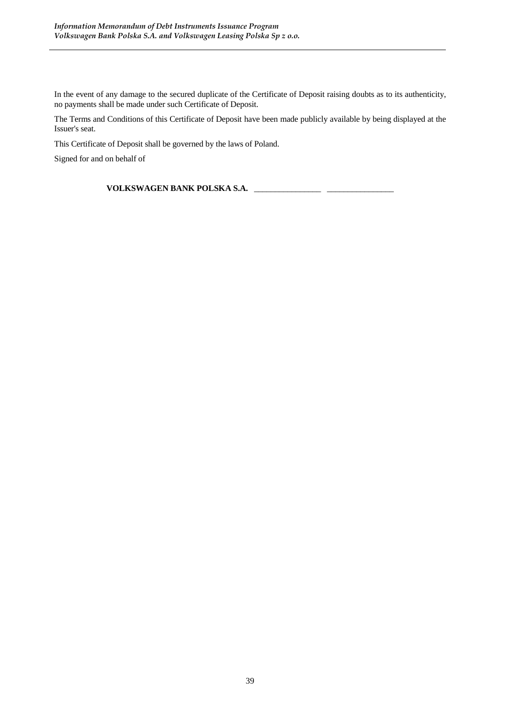In the event of any damage to the secured duplicate of the Certificate of Deposit raising doubts as to its authenticity, no payments shall be made under such Certificate of Deposit.

The Terms and Conditions of this Certificate of Deposit have been made publicly available by being displayed at the Issuer's seat.

This Certificate of Deposit shall be governed by the laws of Poland.

Signed for and on behalf of

**VOLKSWAGEN BANK POLSKA S.A.** \_\_\_\_\_\_\_\_\_\_\_\_\_\_\_\_ \_\_\_\_\_\_\_\_\_\_\_\_\_\_\_\_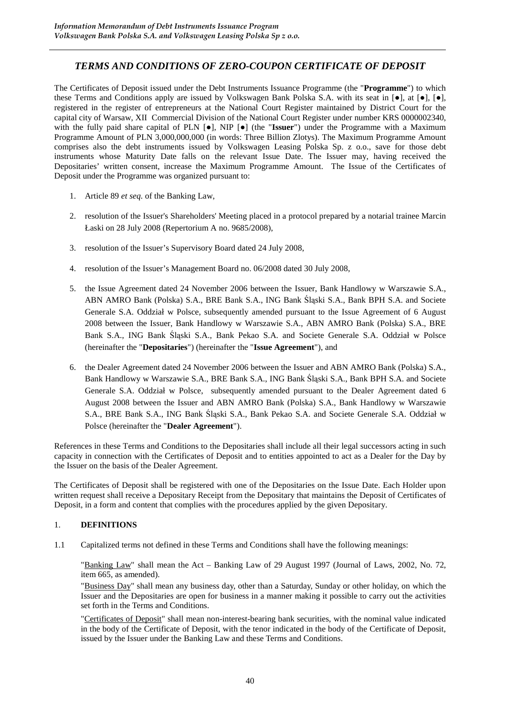# *TERMS AND CONDITIONS OF ZERO-COUPON CERTIFICATE OF DEPOSIT*

The Certificates of Deposit issued under the Debt Instruments Issuance Programme (the "**Programme**") to which these Terms and Conditions apply are issued by Volkswagen Bank Polska S.A. with its seat in  $[\bullet]$ ,  $[\bullet]$ ,  $[\bullet]$ , registered in the register of entrepreneurs at the National Court Register maintained by District Court for the capital city of Warsaw, XII Commercial Division of the National Court Register under number KRS 0000002340, with the fully paid share capital of PLN  $[\bullet]$ , NIP  $[\bullet]$  (the "**Issuer**") under the Programme with a Maximum Programme Amount of PLN 3,000,000,000 (in words: Three Billion Zlotys). The Maximum Programme Amount comprises also the debt instruments issued by Volkswagen Leasing Polska Sp. z o.o., save for those debt instruments whose Maturity Date falls on the relevant Issue Date. The Issuer may, having received the Depositaries' written consent, increase the Maximum Programme Amount. The Issue of the Certificates of Deposit under the Programme was organized pursuant to:

- 1. Article 89 *et seq.* of the Banking Law,
- 2. resolution of the Issuer's Shareholders' Meeting placed in a protocol prepared by a notarial trainee Marcin Łaski on 28 July 2008 (Repertorium A no. 9685/2008),
- 3. resolution of the Issuer's Supervisory Board dated 24 July 2008,
- 4. resolution of the Issuer's Management Board no. 06/2008 dated 30 July 2008,
- 5. the Issue Agreement dated 24 November 2006 between the Issuer, Bank Handlowy w Warszawie S.A., ABN AMRO Bank (Polska) S.A., BRE Bank S.A., ING Bank Śląski S.A., Bank BPH S.A. and Societe Generale S.A. Oddział w Polsce, subsequently amended pursuant to the Issue Agreement of 6 August 2008 between the Issuer, Bank Handlowy w Warszawie S.A., ABN AMRO Bank (Polska) S.A., BRE Bank S.A., ING Bank Śląski S.A., Bank Pekao S.A. and Societe Generale S.A. Oddział w Polsce (hereinafter the "**Depositaries**") (hereinafter the "**Issue Agreement**"), and
- 6. the Dealer Agreement dated 24 November 2006 between the Issuer and ABN AMRO Bank (Polska) S.A., Bank Handlowy w Warszawie S.A., BRE Bank S.A., ING Bank Śląski S.A., Bank BPH S.A. and Societe Generale S.A. Oddział w Polsce, subsequently amended pursuant to the Dealer Agreement dated 6 August 2008 between the Issuer and ABN AMRO Bank (Polska) S.A., Bank Handlowy w Warszawie S.A., BRE Bank S.A., ING Bank Śląski S.A., Bank Pekao S.A. and Societe Generale S.A. Oddział w Polsce (hereinafter the "**Dealer Agreement**").

References in these Terms and Conditions to the Depositaries shall include all their legal successors acting in such capacity in connection with the Certificates of Deposit and to entities appointed to act as a Dealer for the Day by the Issuer on the basis of the Dealer Agreement.

The Certificates of Deposit shall be registered with one of the Depositaries on the Issue Date. Each Holder upon written request shall receive a Depositary Receipt from the Depositary that maintains the Deposit of Certificates of Deposit, in a form and content that complies with the procedures applied by the given Depositary.

### 1. **DEFINITIONS**

1.1 Capitalized terms not defined in these Terms and Conditions shall have the following meanings:

"Banking Law" shall mean the Act – Banking Law of 29 August 1997 (Journal of Laws, 2002, No. 72, item 665, as amended).

"Business Day" shall mean any business day, other than a Saturday, Sunday or other holiday, on which the Issuer and the Depositaries are open for business in a manner making it possible to carry out the activities set forth in the Terms and Conditions.

"Certificates of Deposit" shall mean non-interest-bearing bank securities, with the nominal value indicated in the body of the Certificate of Deposit, with the tenor indicated in the body of the Certificate of Deposit, issued by the Issuer under the Banking Law and these Terms and Conditions.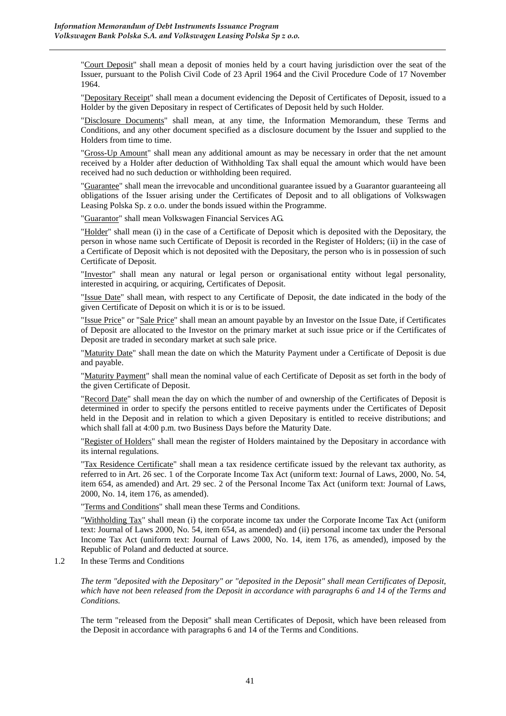"Court Deposit" shall mean a deposit of monies held by a court having jurisdiction over the seat of the Issuer, pursuant to the Polish Civil Code of 23 April 1964 and the Civil Procedure Code of 17 November 1964.

"Depositary Receipt" shall mean a document evidencing the Deposit of Certificates of Deposit, issued to a Holder by the given Depositary in respect of Certificates of Deposit held by such Holder.

"Disclosure Documents" shall mean, at any time, the Information Memorandum, these Terms and Conditions, and any other document specified as a disclosure document by the Issuer and supplied to the Holders from time to time.

"Gross-Up Amount" shall mean any additional amount as may be necessary in order that the net amount received by a Holder after deduction of Withholding Tax shall equal the amount which would have been received had no such deduction or withholding been required.

"Guarantee" shall mean the irrevocable and unconditional guarantee issued by a Guarantor guaranteeing all obligations of the Issuer arising under the Certificates of Deposit and to all obligations of Volkswagen Leasing Polska Sp. z o.o. under the bonds issued within the Programme.

"Guarantor" shall mean Volkswagen Financial Services AG.

"Holder" shall mean (i) in the case of a Certificate of Deposit which is deposited with the Depositary, the person in whose name such Certificate of Deposit is recorded in the Register of Holders; (ii) in the case of a Certificate of Deposit which is not deposited with the Depositary, the person who is in possession of such Certificate of Deposit.

"Investor" shall mean any natural or legal person or organisational entity without legal personality, interested in acquiring, or acquiring, Certificates of Deposit.

"Issue Date" shall mean, with respect to any Certificate of Deposit, the date indicated in the body of the given Certificate of Deposit on which it is or is to be issued.

"Issue Price" or "Sale Price" shall mean an amount payable by an Investor on the Issue Date, if Certificates of Deposit are allocated to the Investor on the primary market at such issue price or if the Certificates of Deposit are traded in secondary market at such sale price.

"Maturity Date" shall mean the date on which the Maturity Payment under a Certificate of Deposit is due and payable.

"Maturity Payment" shall mean the nominal value of each Certificate of Deposit as set forth in the body of the given Certificate of Deposit.

"Record Date" shall mean the day on which the number of and ownership of the Certificates of Deposit is determined in order to specify the persons entitled to receive payments under the Certificates of Deposit held in the Deposit and in relation to which a given Depositary is entitled to receive distributions; and which shall fall at 4:00 p.m. two Business Days before the Maturity Date.

"Register of Holders" shall mean the register of Holders maintained by the Depositary in accordance with its internal regulations.

"Tax Residence Certificate" shall mean a tax residence certificate issued by the relevant tax authority, as referred to in Art. 26 sec. 1 of the Corporate Income Tax Act (uniform text: Journal of Laws, 2000, No. 54, item 654, as amended) and Art. 29 sec. 2 of the Personal Income Tax Act (uniform text: Journal of Laws, 2000, No. 14, item 176, as amended).

"Terms and Conditions" shall mean these Terms and Conditions.

"Withholding Tax" shall mean (i) the corporate income tax under the Corporate Income Tax Act (uniform text: Journal of Laws 2000, No. 54, item 654, as amended) and (ii) personal income tax under the Personal Income Tax Act (uniform text: Journal of Laws 2000, No. 14, item 176, as amended), imposed by the Republic of Poland and deducted at source.

1.2 In these Terms and Conditions

*The term "deposited with the Depositary" or "deposited in the Deposit" shall mean Certificates of Deposit, which have not been released from the Deposit in accordance with paragraphs 6 and 14 of the Terms and Conditions.* 

The term "released from the Deposit" shall mean Certificates of Deposit, which have been released from the Deposit in accordance with paragraphs 6 and 14 of the Terms and Conditions.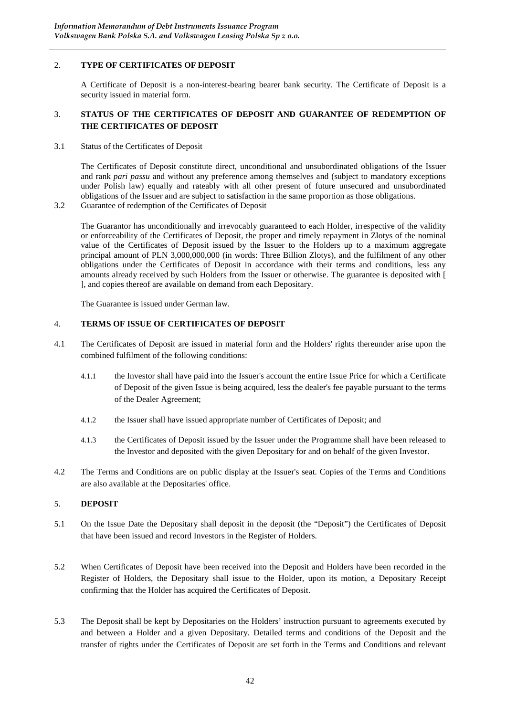## 2. **TYPE OF CERTIFICATES OF DEPOSIT**

A Certificate of Deposit is a non-interest-bearing bearer bank security. The Certificate of Deposit is a security issued in material form.

### 3. **STATUS OF THE CERTIFICATES OF DEPOSIT AND GUARANTEE OF REDEMPTION OF THE CERTIFICATES OF DEPOSIT**

3.1 Status of the Certificates of Deposit

The Certificates of Deposit constitute direct, unconditional and unsubordinated obligations of the Issuer and rank *pari passu* and without any preference among themselves and (subject to mandatory exceptions under Polish law) equally and rateably with all other present of future unsecured and unsubordinated obligations of the Issuer and are subject to satisfaction in the same proportion as those obligations.

3.2 Guarantee of redemption of the Certificates of Deposit

The Guarantor has unconditionally and irrevocably guaranteed to each Holder, irrespective of the validity or enforceability of the Certificates of Deposit, the proper and timely repayment in Zlotys of the nominal value of the Certificates of Deposit issued by the Issuer to the Holders up to a maximum aggregate principal amount of PLN 3,000,000,000 (in words: Three Billion Zlotys), and the fulfilment of any other obligations under the Certificates of Deposit in accordance with their terms and conditions, less any amounts already received by such Holders from the Issuer or otherwise. The guarantee is deposited with [ ], and copies thereof are available on demand from each Depositary.

The Guarantee is issued under German law.

### 4. **TERMS OF ISSUE OF CERTIFICATES OF DEPOSIT**

- 4.1 The Certificates of Deposit are issued in material form and the Holders' rights thereunder arise upon the combined fulfilment of the following conditions:
	- 4.1.1 the Investor shall have paid into the Issuer's account the entire Issue Price for which a Certificate of Deposit of the given Issue is being acquired, less the dealer's fee payable pursuant to the terms of the Dealer Agreement;
	- 4.1.2 the Issuer shall have issued appropriate number of Certificates of Deposit; and
	- 4.1.3 the Certificates of Deposit issued by the Issuer under the Programme shall have been released to the Investor and deposited with the given Depositary for and on behalf of the given Investor.
- 4.2 The Terms and Conditions are on public display at the Issuer's seat. Copies of the Terms and Conditions are also available at the Depositaries' office.

## 5. **DEPOSIT**

- 5.1 On the Issue Date the Depositary shall deposit in the deposit (the "Deposit") the Certificates of Deposit that have been issued and record Investors in the Register of Holders.
- 5.2 When Certificates of Deposit have been received into the Deposit and Holders have been recorded in the Register of Holders, the Depositary shall issue to the Holder, upon its motion, a Depositary Receipt confirming that the Holder has acquired the Certificates of Deposit.
- 5.3 The Deposit shall be kept by Depositaries on the Holders' instruction pursuant to agreements executed by and between a Holder and a given Depositary. Detailed terms and conditions of the Deposit and the transfer of rights under the Certificates of Deposit are set forth in the Terms and Conditions and relevant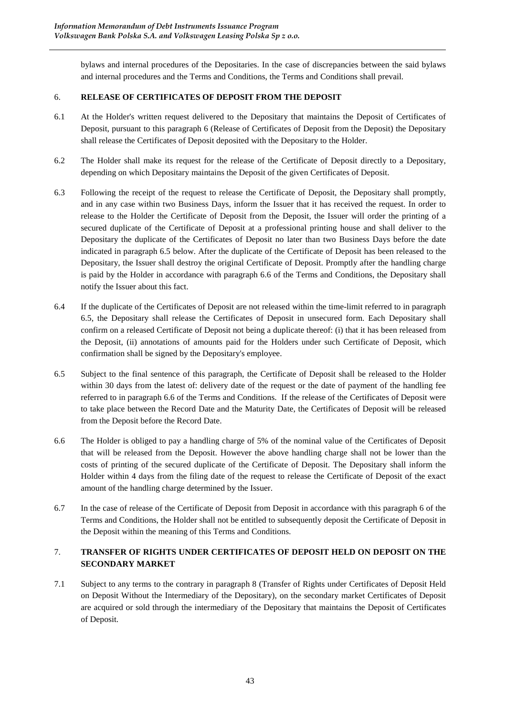bylaws and internal procedures of the Depositaries. In the case of discrepancies between the said bylaws and internal procedures and the Terms and Conditions, the Terms and Conditions shall prevail.

# 6. **RELEASE OF CERTIFICATES OF DEPOSIT FROM THE DEPOSIT**

- 6.1 At the Holder's written request delivered to the Depositary that maintains the Deposit of Certificates of Deposit, pursuant to this paragraph 6 (Release of Certificates of Deposit from the Deposit) the Depositary shall release the Certificates of Deposit deposited with the Depositary to the Holder.
- 6.2 The Holder shall make its request for the release of the Certificate of Deposit directly to a Depositary, depending on which Depositary maintains the Deposit of the given Certificates of Deposit.
- 6.3 Following the receipt of the request to release the Certificate of Deposit, the Depositary shall promptly, and in any case within two Business Days, inform the Issuer that it has received the request. In order to release to the Holder the Certificate of Deposit from the Deposit, the Issuer will order the printing of a secured duplicate of the Certificate of Deposit at a professional printing house and shall deliver to the Depositary the duplicate of the Certificates of Deposit no later than two Business Days before the date indicated in paragraph 6.5 below. After the duplicate of the Certificate of Deposit has been released to the Depositary, the Issuer shall destroy the original Certificate of Deposit. Promptly after the handling charge is paid by the Holder in accordance with paragraph 6.6 of the Terms and Conditions, the Depositary shall notify the Issuer about this fact.
- 6.4 If the duplicate of the Certificates of Deposit are not released within the time-limit referred to in paragraph 6.5, the Depositary shall release the Certificates of Deposit in unsecured form. Each Depositary shall confirm on a released Certificate of Deposit not being a duplicate thereof: (i) that it has been released from the Deposit, (ii) annotations of amounts paid for the Holders under such Certificate of Deposit, which confirmation shall be signed by the Depositary's employee.
- 6.5 Subject to the final sentence of this paragraph, the Certificate of Deposit shall be released to the Holder within 30 days from the latest of: delivery date of the request or the date of payment of the handling fee referred to in paragraph 6.6 of the Terms and Conditions. If the release of the Certificates of Deposit were to take place between the Record Date and the Maturity Date, the Certificates of Deposit will be released from the Deposit before the Record Date.
- 6.6 The Holder is obliged to pay a handling charge of 5% of the nominal value of the Certificates of Deposit that will be released from the Deposit. However the above handling charge shall not be lower than the costs of printing of the secured duplicate of the Certificate of Deposit. The Depositary shall inform the Holder within 4 days from the filing date of the request to release the Certificate of Deposit of the exact amount of the handling charge determined by the Issuer.
- 6.7 In the case of release of the Certificate of Deposit from Deposit in accordance with this paragraph 6 of the Terms and Conditions, the Holder shall not be entitled to subsequently deposit the Certificate of Deposit in the Deposit within the meaning of this Terms and Conditions.

# 7. **TRANSFER OF RIGHTS UNDER CERTIFICATES OF DEPOSIT HELD ON DEPOSIT ON THE SECONDARY MARKET**

7.1 Subject to any terms to the contrary in paragraph 8 (Transfer of Rights under Certificates of Deposit Held on Deposit Without the Intermediary of the Depositary), on the secondary market Certificates of Deposit are acquired or sold through the intermediary of the Depositary that maintains the Deposit of Certificates of Deposit.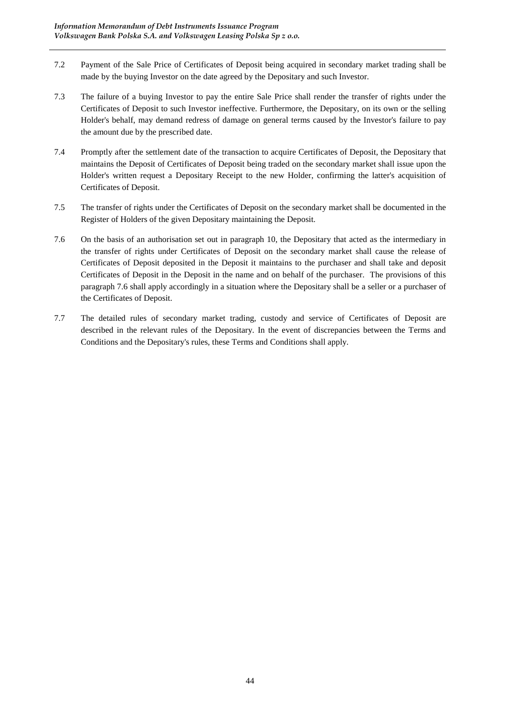- 7.2 Payment of the Sale Price of Certificates of Deposit being acquired in secondary market trading shall be made by the buying Investor on the date agreed by the Depositary and such Investor.
- 7.3 The failure of a buying Investor to pay the entire Sale Price shall render the transfer of rights under the Certificates of Deposit to such Investor ineffective. Furthermore, the Depositary, on its own or the selling Holder's behalf, may demand redress of damage on general terms caused by the Investor's failure to pay the amount due by the prescribed date.
- 7.4 Promptly after the settlement date of the transaction to acquire Certificates of Deposit, the Depositary that maintains the Deposit of Certificates of Deposit being traded on the secondary market shall issue upon the Holder's written request a Depositary Receipt to the new Holder, confirming the latter's acquisition of Certificates of Deposit.
- 7.5 The transfer of rights under the Certificates of Deposit on the secondary market shall be documented in the Register of Holders of the given Depositary maintaining the Deposit.
- 7.6 On the basis of an authorisation set out in paragraph 10, the Depositary that acted as the intermediary in the transfer of rights under Certificates of Deposit on the secondary market shall cause the release of Certificates of Deposit deposited in the Deposit it maintains to the purchaser and shall take and deposit Certificates of Deposit in the Deposit in the name and on behalf of the purchaser. The provisions of this paragraph 7.6 shall apply accordingly in a situation where the Depositary shall be a seller or a purchaser of the Certificates of Deposit.
- 7.7 The detailed rules of secondary market trading, custody and service of Certificates of Deposit are described in the relevant rules of the Depositary. In the event of discrepancies between the Terms and Conditions and the Depositary's rules, these Terms and Conditions shall apply.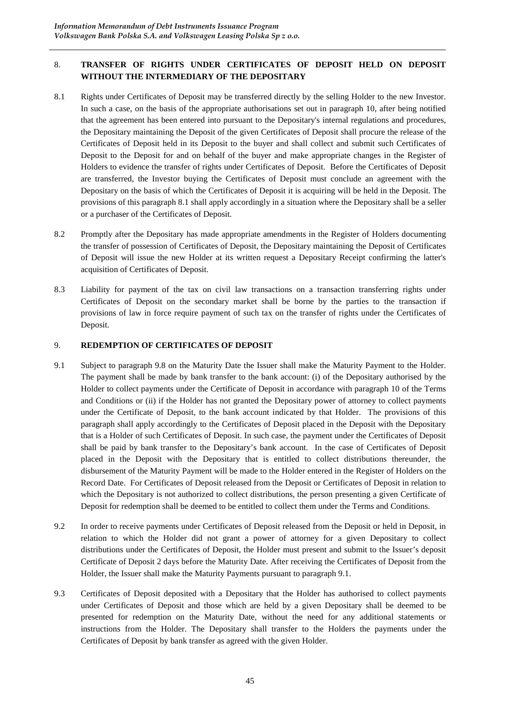# 8. **TRANSFER OF RIGHTS UNDER CERTIFICATES OF DEPOSIT HELD ON DEPOSIT WITHOUT THE INTERMEDIARY OF THE DEPOSITARY**

- 8.1 Rights under Certificates of Deposit may be transferred directly by the selling Holder to the new Investor. In such a case, on the basis of the appropriate authorisations set out in paragraph 10, after being notified that the agreement has been entered into pursuant to the Depositary's internal regulations and procedures, the Depositary maintaining the Deposit of the given Certificates of Deposit shall procure the release of the Certificates of Deposit held in its Deposit to the buyer and shall collect and submit such Certificates of Deposit to the Deposit for and on behalf of the buyer and make appropriate changes in the Register of Holders to evidence the transfer of rights under Certificates of Deposit. Before the Certificates of Deposit are transferred, the Investor buying the Certificates of Deposit must conclude an agreement with the Depositary on the basis of which the Certificates of Deposit it is acquiring will be held in the Deposit. The provisions of this paragraph 8.1 shall apply accordingly in a situation where the Depositary shall be a seller or a purchaser of the Certificates of Deposit.
- 8.2 Promptly after the Depositary has made appropriate amendments in the Register of Holders documenting the transfer of possession of Certificates of Deposit, the Depositary maintaining the Deposit of Certificates of Deposit will issue the new Holder at its written request a Depositary Receipt confirming the latter's acquisition of Certificates of Deposit.
- 8.3 Liability for payment of the tax on civil law transactions on a transaction transferring rights under Certificates of Deposit on the secondary market shall be borne by the parties to the transaction if provisions of law in force require payment of such tax on the transfer of rights under the Certificates of Deposit.

## 9. **REDEMPTION OF CERTIFICATES OF DEPOSIT**

- 9.1 Subject to paragraph 9.8 on the Maturity Date the Issuer shall make the Maturity Payment to the Holder. The payment shall be made by bank transfer to the bank account: (i) of the Depositary authorised by the Holder to collect payments under the Certificate of Deposit in accordance with paragraph 10 of the Terms and Conditions or (ii) if the Holder has not granted the Depositary power of attorney to collect payments under the Certificate of Deposit, to the bank account indicated by that Holder. The provisions of this paragraph shall apply accordingly to the Certificates of Deposit placed in the Deposit with the Depositary that is a Holder of such Certificates of Deposit. In such case, the payment under the Certificates of Deposit shall be paid by bank transfer to the Depositary's bank account. In the case of Certificates of Deposit placed in the Deposit with the Depositary that is entitled to collect distributions thereunder, the disbursement of the Maturity Payment will be made to the Holder entered in the Register of Holders on the Record Date. For Certificates of Deposit released from the Deposit or Certificates of Deposit in relation to which the Depositary is not authorized to collect distributions, the person presenting a given Certificate of Deposit for redemption shall be deemed to be entitled to collect them under the Terms and Conditions.
- 9.2 In order to receive payments under Certificates of Deposit released from the Deposit or held in Deposit, in relation to which the Holder did not grant a power of attorney for a given Depositary to collect distributions under the Certificates of Deposit, the Holder must present and submit to the Issuer's deposit Certificate of Deposit 2 days before the Maturity Date. After receiving the Certificates of Deposit from the Holder, the Issuer shall make the Maturity Payments pursuant to paragraph 9.1.
- 9.3 Certificates of Deposit deposited with a Depositary that the Holder has authorised to collect payments under Certificates of Deposit and those which are held by a given Depositary shall be deemed to be presented for redemption on the Maturity Date, without the need for any additional statements or instructions from the Holder. The Depositary shall transfer to the Holders the payments under the Certificates of Deposit by bank transfer as agreed with the given Holder.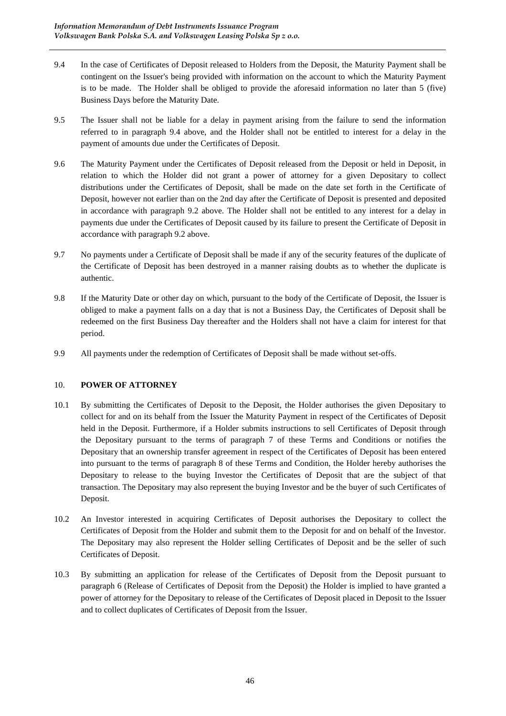- 9.4 In the case of Certificates of Deposit released to Holders from the Deposit, the Maturity Payment shall be contingent on the Issuer's being provided with information on the account to which the Maturity Payment is to be made. The Holder shall be obliged to provide the aforesaid information no later than 5 (five) Business Days before the Maturity Date.
- 9.5 The Issuer shall not be liable for a delay in payment arising from the failure to send the information referred to in paragraph 9.4 above, and the Holder shall not be entitled to interest for a delay in the payment of amounts due under the Certificates of Deposit.
- 9.6 The Maturity Payment under the Certificates of Deposit released from the Deposit or held in Deposit, in relation to which the Holder did not grant a power of attorney for a given Depositary to collect distributions under the Certificates of Deposit, shall be made on the date set forth in the Certificate of Deposit, however not earlier than on the 2nd day after the Certificate of Deposit is presented and deposited in accordance with paragraph 9.2 above. The Holder shall not be entitled to any interest for a delay in payments due under the Certificates of Deposit caused by its failure to present the Certificate of Deposit in accordance with paragraph 9.2 above.
- 9.7 No payments under a Certificate of Deposit shall be made if any of the security features of the duplicate of the Certificate of Deposit has been destroyed in a manner raising doubts as to whether the duplicate is authentic.
- 9.8 If the Maturity Date or other day on which, pursuant to the body of the Certificate of Deposit, the Issuer is obliged to make a payment falls on a day that is not a Business Day, the Certificates of Deposit shall be redeemed on the first Business Day thereafter and the Holders shall not have a claim for interest for that period.
- 9.9 All payments under the redemption of Certificates of Deposit shall be made without set-offs.

## 10. **POWER OF ATTORNEY**

- 10.1 By submitting the Certificates of Deposit to the Deposit, the Holder authorises the given Depositary to collect for and on its behalf from the Issuer the Maturity Payment in respect of the Certificates of Deposit held in the Deposit. Furthermore, if a Holder submits instructions to sell Certificates of Deposit through the Depositary pursuant to the terms of paragraph 7 of these Terms and Conditions or notifies the Depositary that an ownership transfer agreement in respect of the Certificates of Deposit has been entered into pursuant to the terms of paragraph 8 of these Terms and Condition, the Holder hereby authorises the Depositary to release to the buying Investor the Certificates of Deposit that are the subject of that transaction. The Depositary may also represent the buying Investor and be the buyer of such Certificates of Deposit.
- 10.2 An Investor interested in acquiring Certificates of Deposit authorises the Depositary to collect the Certificates of Deposit from the Holder and submit them to the Deposit for and on behalf of the Investor. The Depositary may also represent the Holder selling Certificates of Deposit and be the seller of such Certificates of Deposit.
- 10.3 By submitting an application for release of the Certificates of Deposit from the Deposit pursuant to paragraph 6 (Release of Certificates of Deposit from the Deposit) the Holder is implied to have granted a power of attorney for the Depositary to release of the Certificates of Deposit placed in Deposit to the Issuer and to collect duplicates of Certificates of Deposit from the Issuer.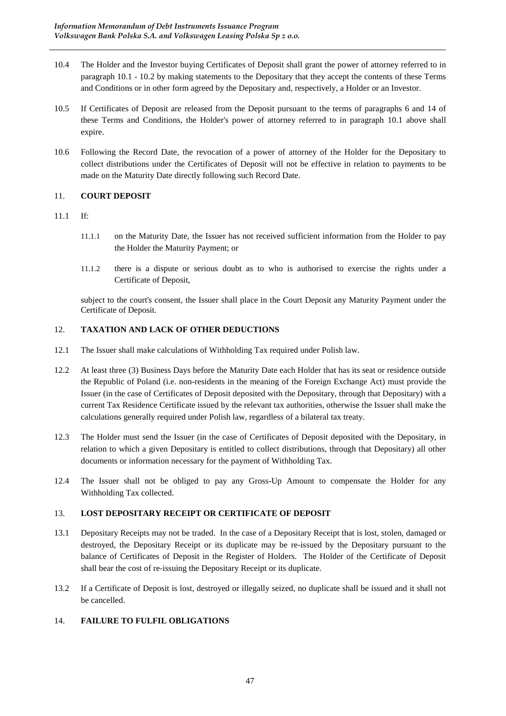- 10.4 The Holder and the Investor buying Certificates of Deposit shall grant the power of attorney referred to in paragraph 10.1 - 10.2 by making statements to the Depositary that they accept the contents of these Terms and Conditions or in other form agreed by the Depositary and, respectively, a Holder or an Investor.
- 10.5 If Certificates of Deposit are released from the Deposit pursuant to the terms of paragraphs 6 and 14 of these Terms and Conditions, the Holder's power of attorney referred to in paragraph 10.1 above shall expire.
- 10.6 Following the Record Date, the revocation of a power of attorney of the Holder for the Depositary to collect distributions under the Certificates of Deposit will not be effective in relation to payments to be made on the Maturity Date directly following such Record Date.

### 11. **COURT DEPOSIT**

### 11.1 If:

- 11.1.1 on the Maturity Date, the Issuer has not received sufficient information from the Holder to pay the Holder the Maturity Payment; or
- 11.1.2 there is a dispute or serious doubt as to who is authorised to exercise the rights under a Certificate of Deposit,

subject to the court's consent, the Issuer shall place in the Court Deposit any Maturity Payment under the Certificate of Deposit.

## 12. **TAXATION AND LACK OF OTHER DEDUCTIONS**

- 12.1 The Issuer shall make calculations of Withholding Tax required under Polish law.
- 12.2 At least three (3) Business Days before the Maturity Date each Holder that has its seat or residence outside the Republic of Poland (i.e. non-residents in the meaning of the Foreign Exchange Act) must provide the Issuer (in the case of Certificates of Deposit deposited with the Depositary, through that Depositary) with a current Tax Residence Certificate issued by the relevant tax authorities, otherwise the Issuer shall make the calculations generally required under Polish law, regardless of a bilateral tax treaty.
- 12.3 The Holder must send the Issuer (in the case of Certificates of Deposit deposited with the Depositary, in relation to which a given Depositary is entitled to collect distributions, through that Depositary) all other documents or information necessary for the payment of Withholding Tax.
- 12.4 The Issuer shall not be obliged to pay any Gross-Up Amount to compensate the Holder for any Withholding Tax collected.

### 13. **LOST DEPOSITARY RECEIPT OR CERTIFICATE OF DEPOSIT**

- 13.1 Depositary Receipts may not be traded. In the case of a Depositary Receipt that is lost, stolen, damaged or destroyed, the Depositary Receipt or its duplicate may be re-issued by the Depositary pursuant to the balance of Certificates of Deposit in the Register of Holders. The Holder of the Certificate of Deposit shall bear the cost of re-issuing the Depositary Receipt or its duplicate.
- 13.2 If a Certificate of Deposit is lost, destroyed or illegally seized, no duplicate shall be issued and it shall not be cancelled.

# 14. **FAILURE TO FULFIL OBLIGATIONS**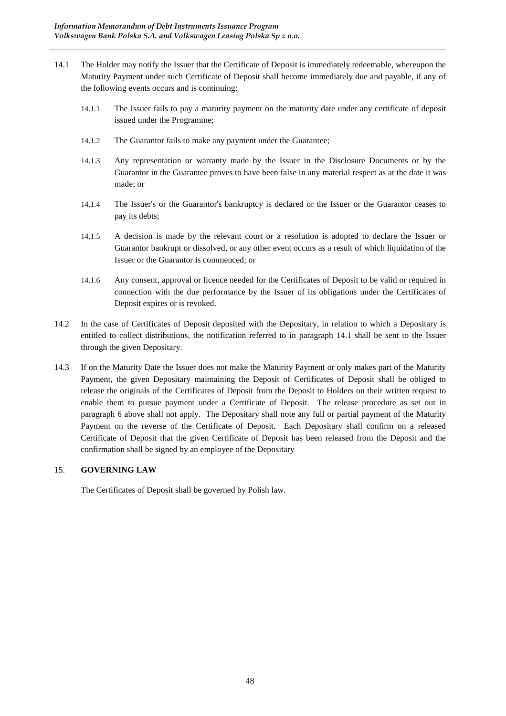- 14.1 The Holder may notify the Issuer that the Certificate of Deposit is immediately redeemable, whereupon the Maturity Payment under such Certificate of Deposit shall become immediately due and payable, if any of the following events occurs and is continuing:
	- 14.1.1 The Issuer fails to pay a maturity payment on the maturity date under any certificate of deposit issued under the Programme;
	- 14.1.2 The Guarantor fails to make any payment under the Guarantee;
	- 14.1.3 Any representation or warranty made by the Issuer in the Disclosure Documents or by the Guarantor in the Guarantee proves to have been false in any material respect as at the date it was made; or
	- 14.1.4 The Issuer's or the Guarantor's bankruptcy is declared or the Issuer or the Guarantor ceases to pay its debts;
	- 14.1.5 A decision is made by the relevant court or a resolution is adopted to declare the Issuer or Guarantor bankrupt or dissolved, or any other event occurs as a result of which liquidation of the Issuer or the Guarantor is commenced; or
	- 14.1.6 Any consent, approval or licence needed for the Certificates of Deposit to be valid or required in connection with the due performance by the Issuer of its obligations under the Certificates of Deposit expires or is revoked.
- 14.2 In the case of Certificates of Deposit deposited with the Depositary, in relation to which a Depositary is entitled to collect distributions, the notification referred to in paragraph 14.1 shall be sent to the Issuer through the given Depositary.
- 14.3 If on the Maturity Date the Issuer does not make the Maturity Payment or only makes part of the Maturity Payment, the given Depositary maintaining the Deposit of Certificates of Deposit shall be obliged to release the originals of the Certificates of Deposit from the Deposit to Holders on their written request to enable them to pursue payment under a Certificate of Deposit. The release procedure as set out in paragraph 6 above shall not apply. The Depositary shall note any full or partial payment of the Maturity Payment on the reverse of the Certificate of Deposit. Each Depositary shall confirm on a released Certificate of Deposit that the given Certificate of Deposit has been released from the Deposit and the confirmation shall be signed by an employee of the Depositary

## 15. **GOVERNING LAW**

The Certificates of Deposit shall be governed by Polish law.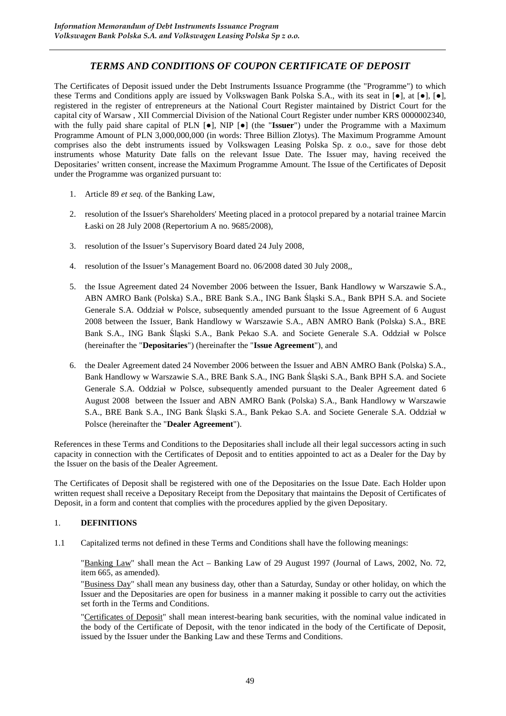# *TERMS AND CONDITIONS OF COUPON CERTIFICATE OF DEPOSIT*

The Certificates of Deposit issued under the Debt Instruments Issuance Programme (the "Programme") to which these Terms and Conditions apply are issued by Volkswagen Bank Polska S.A., with its seat in [●], at [●], [●], registered in the register of entrepreneurs at the National Court Register maintained by District Court for the capital city of Warsaw , XII Commercial Division of the National Court Register under number KRS 0000002340, with the fully paid share capital of PLN [●], NIP [●] (the "**Issuer**") under the Programme with a Maximum Programme Amount of PLN 3,000,000,000 (in words: Three Billion Zlotys). The Maximum Programme Amount comprises also the debt instruments issued by Volkswagen Leasing Polska Sp. z o.o., save for those debt instruments whose Maturity Date falls on the relevant Issue Date. The Issuer may, having received the Depositaries' written consent, increase the Maximum Programme Amount. The Issue of the Certificates of Deposit under the Programme was organized pursuant to:

- 1. Article 89 *et seq.* of the Banking Law,
- 2. resolution of the Issuer's Shareholders' Meeting placed in a protocol prepared by a notarial trainee Marcin Łaski on 28 July 2008 (Repertorium A no. 9685/2008),
- 3. resolution of the Issuer's Supervisory Board dated 24 July 2008,
- 4. resolution of the Issuer's Management Board no. 06/2008 dated 30 July 2008,,
- 5. the Issue Agreement dated 24 November 2006 between the Issuer, Bank Handlowy w Warszawie S.A., ABN AMRO Bank (Polska) S.A., BRE Bank S.A., ING Bank Śląski S.A., Bank BPH S.A. and Societe Generale S.A. Oddział w Polsce, subsequently amended pursuant to the Issue Agreement of 6 August 2008 between the Issuer, Bank Handlowy w Warszawie S.A., ABN AMRO Bank (Polska) S.A., BRE Bank S.A., ING Bank Śląski S.A., Bank Pekao S.A. and Societe Generale S.A. Oddział w Polsce (hereinafter the "**Depositaries**") (hereinafter the "**Issue Agreement**"), and
- 6. the Dealer Agreement dated 24 November 2006 between the Issuer and ABN AMRO Bank (Polska) S.A., Bank Handlowy w Warszawie S.A., BRE Bank S.A., ING Bank Śląski S.A., Bank BPH S.A. and Societe Generale S.A. Oddział w Polsce, subsequently amended pursuant to the Dealer Agreement dated 6 August 2008 between the Issuer and ABN AMRO Bank (Polska) S.A., Bank Handlowy w Warszawie S.A., BRE Bank S.A., ING Bank Śląski S.A., Bank Pekao S.A. and Societe Generale S.A. Oddział w Polsce (hereinafter the "**Dealer Agreement**").

References in these Terms and Conditions to the Depositaries shall include all their legal successors acting in such capacity in connection with the Certificates of Deposit and to entities appointed to act as a Dealer for the Day by the Issuer on the basis of the Dealer Agreement.

The Certificates of Deposit shall be registered with one of the Depositaries on the Issue Date. Each Holder upon written request shall receive a Depositary Receipt from the Depositary that maintains the Deposit of Certificates of Deposit, in a form and content that complies with the procedures applied by the given Depositary.

### 1. **DEFINITIONS**

1.1 Capitalized terms not defined in these Terms and Conditions shall have the following meanings:

"Banking Law" shall mean the Act – Banking Law of 29 August 1997 (Journal of Laws, 2002, No. 72, item 665, as amended).

"Business Day" shall mean any business day, other than a Saturday, Sunday or other holiday, on which the Issuer and the Depositaries are open for business in a manner making it possible to carry out the activities set forth in the Terms and Conditions.

"Certificates of Deposit" shall mean interest-bearing bank securities, with the nominal value indicated in the body of the Certificate of Deposit, with the tenor indicated in the body of the Certificate of Deposit, issued by the Issuer under the Banking Law and these Terms and Conditions.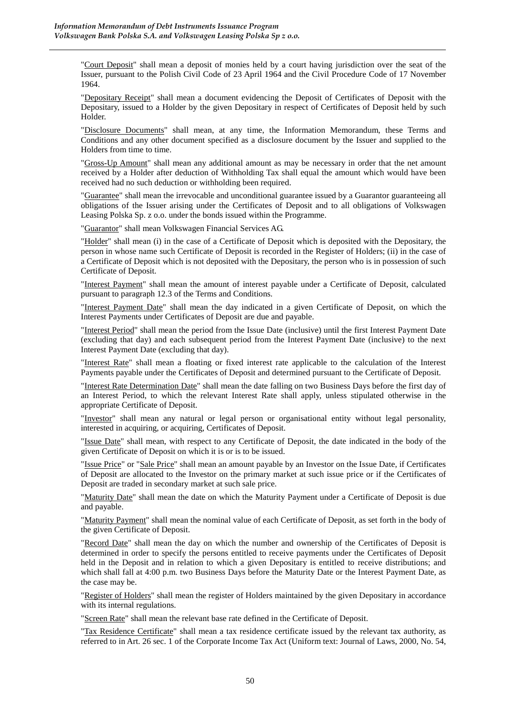"Court Deposit" shall mean a deposit of monies held by a court having jurisdiction over the seat of the Issuer, pursuant to the Polish Civil Code of 23 April 1964 and the Civil Procedure Code of 17 November 1964.

"Depositary Receipt" shall mean a document evidencing the Deposit of Certificates of Deposit with the Depositary, issued to a Holder by the given Depositary in respect of Certificates of Deposit held by such Holder.

"Disclosure Documents" shall mean, at any time, the Information Memorandum, these Terms and Conditions and any other document specified as a disclosure document by the Issuer and supplied to the Holders from time to time.

"Gross-Up Amount" shall mean any additional amount as may be necessary in order that the net amount received by a Holder after deduction of Withholding Tax shall equal the amount which would have been received had no such deduction or withholding been required.

"Guarantee" shall mean the irrevocable and unconditional guarantee issued by a Guarantor guaranteeing all obligations of the Issuer arising under the Certificates of Deposit and to all obligations of Volkswagen Leasing Polska Sp. z o.o. under the bonds issued within the Programme.

"Guarantor" shall mean Volkswagen Financial Services AG.

"Holder" shall mean (i) in the case of a Certificate of Deposit which is deposited with the Depositary, the person in whose name such Certificate of Deposit is recorded in the Register of Holders; (ii) in the case of a Certificate of Deposit which is not deposited with the Depositary, the person who is in possession of such Certificate of Deposit.

"Interest Payment" shall mean the amount of interest payable under a Certificate of Deposit, calculated pursuant to paragraph 12.3 of the Terms and Conditions.

"Interest Payment Date" shall mean the day indicated in a given Certificate of Deposit, on which the Interest Payments under Certificates of Deposit are due and payable.

"Interest Period" shall mean the period from the Issue Date (inclusive) until the first Interest Payment Date (excluding that day) and each subsequent period from the Interest Payment Date (inclusive) to the next Interest Payment Date (excluding that day).

"Interest Rate" shall mean a floating or fixed interest rate applicable to the calculation of the Interest Payments payable under the Certificates of Deposit and determined pursuant to the Certificate of Deposit.

"Interest Rate Determination Date" shall mean the date falling on two Business Days before the first day of an Interest Period, to which the relevant Interest Rate shall apply, unless stipulated otherwise in the appropriate Certificate of Deposit.

"Investor" shall mean any natural or legal person or organisational entity without legal personality, interested in acquiring, or acquiring, Certificates of Deposit.

"Issue Date" shall mean, with respect to any Certificate of Deposit, the date indicated in the body of the given Certificate of Deposit on which it is or is to be issued.

"Issue Price" or "Sale Price" shall mean an amount payable by an Investor on the Issue Date, if Certificates of Deposit are allocated to the Investor on the primary market at such issue price or if the Certificates of Deposit are traded in secondary market at such sale price.

"Maturity Date" shall mean the date on which the Maturity Payment under a Certificate of Deposit is due and payable.

"Maturity Payment" shall mean the nominal value of each Certificate of Deposit, as set forth in the body of the given Certificate of Deposit.

"Record Date" shall mean the day on which the number and ownership of the Certificates of Deposit is determined in order to specify the persons entitled to receive payments under the Certificates of Deposit held in the Deposit and in relation to which a given Depositary is entitled to receive distributions; and which shall fall at 4:00 p.m. two Business Days before the Maturity Date or the Interest Payment Date, as the case may be.

"Register of Holders" shall mean the register of Holders maintained by the given Depositary in accordance with its internal regulations.

"Screen Rate" shall mean the relevant base rate defined in the Certificate of Deposit.

"Tax Residence Certificate" shall mean a tax residence certificate issued by the relevant tax authority, as referred to in Art. 26 sec. 1 of the Corporate Income Tax Act (Uniform text: Journal of Laws, 2000, No. 54,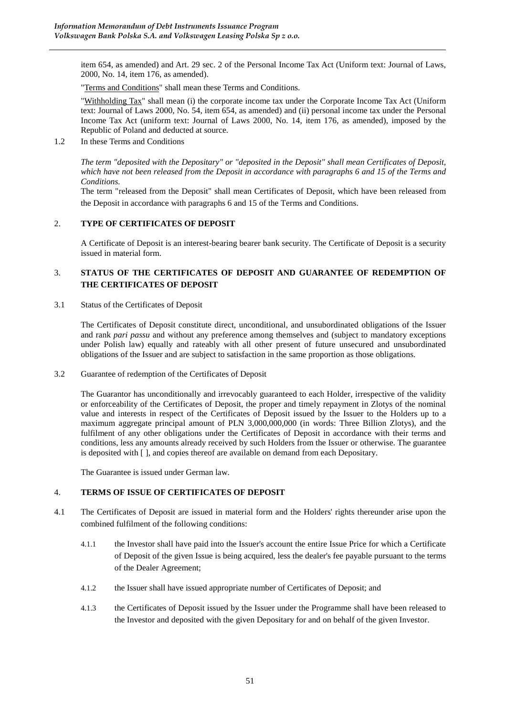item 654, as amended) and Art. 29 sec. 2 of the Personal Income Tax Act (Uniform text: Journal of Laws, 2000, No. 14, item 176, as amended).

"Terms and Conditions" shall mean these Terms and Conditions.

"Withholding Tax" shall mean (i) the corporate income tax under the Corporate Income Tax Act (Uniform text: Journal of Laws 2000, No. 54, item 654, as amended) and (ii) personal income tax under the Personal Income Tax Act (uniform text: Journal of Laws 2000, No. 14, item 176, as amended), imposed by the Republic of Poland and deducted at source.

1.2 In these Terms and Conditions

*The term "deposited with the Depositary" or "deposited in the Deposit" shall mean Certificates of Deposit, which have not been released from the Deposit in accordance with paragraphs 6 and 15 of the Terms and Conditions.* 

The term "released from the Deposit" shall mean Certificates of Deposit, which have been released from the Deposit in accordance with paragraphs 6 and 15 of the Terms and Conditions.

## 2. **TYPE OF CERTIFICATES OF DEPOSIT**

A Certificate of Deposit is an interest-bearing bearer bank security. The Certificate of Deposit is a security issued in material form.

## 3. **STATUS OF THE CERTIFICATES OF DEPOSIT AND GUARANTEE OF REDEMPTION OF THE CERTIFICATES OF DEPOSIT**

3.1 Status of the Certificates of Deposit

The Certificates of Deposit constitute direct, unconditional, and unsubordinated obligations of the Issuer and rank *pari passu* and without any preference among themselves and (subject to mandatory exceptions under Polish law) equally and rateably with all other present of future unsecured and unsubordinated obligations of the Issuer and are subject to satisfaction in the same proportion as those obligations.

3.2 Guarantee of redemption of the Certificates of Deposit

The Guarantor has unconditionally and irrevocably guaranteed to each Holder, irrespective of the validity or enforceability of the Certificates of Deposit, the proper and timely repayment in Zlotys of the nominal value and interests in respect of the Certificates of Deposit issued by the Issuer to the Holders up to a maximum aggregate principal amount of PLN 3,000,000,000 (in words: Three Billion Zlotys), and the fulfilment of any other obligations under the Certificates of Deposit in accordance with their terms and conditions, less any amounts already received by such Holders from the Issuer or otherwise. The guarantee is deposited with [ ], and copies thereof are available on demand from each Depositary.

The Guarantee is issued under German law.

## 4. **TERMS OF ISSUE OF CERTIFICATES OF DEPOSIT**

- 4.1 The Certificates of Deposit are issued in material form and the Holders' rights thereunder arise upon the combined fulfilment of the following conditions:
	- 4.1.1 the Investor shall have paid into the Issuer's account the entire Issue Price for which a Certificate of Deposit of the given Issue is being acquired, less the dealer's fee payable pursuant to the terms of the Dealer Agreement;
	- 4.1.2 the Issuer shall have issued appropriate number of Certificates of Deposit; and
	- 4.1.3 the Certificates of Deposit issued by the Issuer under the Programme shall have been released to the Investor and deposited with the given Depositary for and on behalf of the given Investor.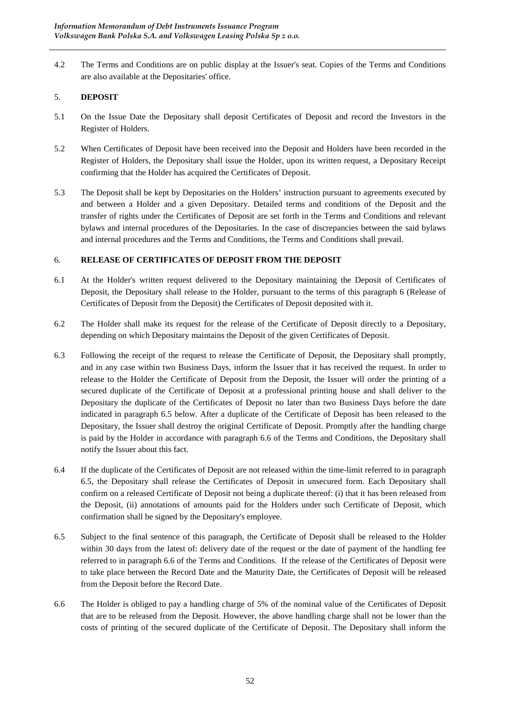4.2 The Terms and Conditions are on public display at the Issuer's seat. Copies of the Terms and Conditions are also available at the Depositaries' office.

## 5. **DEPOSIT**

- 5.1 On the Issue Date the Depositary shall deposit Certificates of Deposit and record the Investors in the Register of Holders.
- 5.2 When Certificates of Deposit have been received into the Deposit and Holders have been recorded in the Register of Holders, the Depositary shall issue the Holder, upon its written request, a Depositary Receipt confirming that the Holder has acquired the Certificates of Deposit.
- 5.3 The Deposit shall be kept by Depositaries on the Holders' instruction pursuant to agreements executed by and between a Holder and a given Depositary. Detailed terms and conditions of the Deposit and the transfer of rights under the Certificates of Deposit are set forth in the Terms and Conditions and relevant bylaws and internal procedures of the Depositaries. In the case of discrepancies between the said bylaws and internal procedures and the Terms and Conditions, the Terms and Conditions shall prevail.

# 6. **RELEASE OF CERTIFICATES OF DEPOSIT FROM THE DEPOSIT**

- 6.1 At the Holder's written request delivered to the Depositary maintaining the Deposit of Certificates of Deposit, the Depositary shall release to the Holder, pursuant to the terms of this paragraph 6 (Release of Certificates of Deposit from the Deposit) the Certificates of Deposit deposited with it.
- 6.2 The Holder shall make its request for the release of the Certificate of Deposit directly to a Depositary, depending on which Depositary maintains the Deposit of the given Certificates of Deposit.
- 6.3 Following the receipt of the request to release the Certificate of Deposit, the Depositary shall promptly, and in any case within two Business Days, inform the Issuer that it has received the request. In order to release to the Holder the Certificate of Deposit from the Deposit, the Issuer will order the printing of a secured duplicate of the Certificate of Deposit at a professional printing house and shall deliver to the Depositary the duplicate of the Certificates of Deposit no later than two Business Days before the date indicated in paragraph 6.5 below. After a duplicate of the Certificate of Deposit has been released to the Depositary, the Issuer shall destroy the original Certificate of Deposit. Promptly after the handling charge is paid by the Holder in accordance with paragraph 6.6 of the Terms and Conditions, the Depositary shall notify the Issuer about this fact.
- 6.4 If the duplicate of the Certificates of Deposit are not released within the time-limit referred to in paragraph 6.5, the Depositary shall release the Certificates of Deposit in unsecured form. Each Depositary shall confirm on a released Certificate of Deposit not being a duplicate thereof: (i) that it has been released from the Deposit, (ii) annotations of amounts paid for the Holders under such Certificate of Deposit, which confirmation shall be signed by the Depositary's employee.
- 6.5 Subject to the final sentence of this paragraph, the Certificate of Deposit shall be released to the Holder within 30 days from the latest of: delivery date of the request or the date of payment of the handling fee referred to in paragraph 6.6 of the Terms and Conditions. If the release of the Certificates of Deposit were to take place between the Record Date and the Maturity Date, the Certificates of Deposit will be released from the Deposit before the Record Date.
- 6.6 The Holder is obliged to pay a handling charge of 5% of the nominal value of the Certificates of Deposit that are to be released from the Deposit. However, the above handling charge shall not be lower than the costs of printing of the secured duplicate of the Certificate of Deposit. The Depositary shall inform the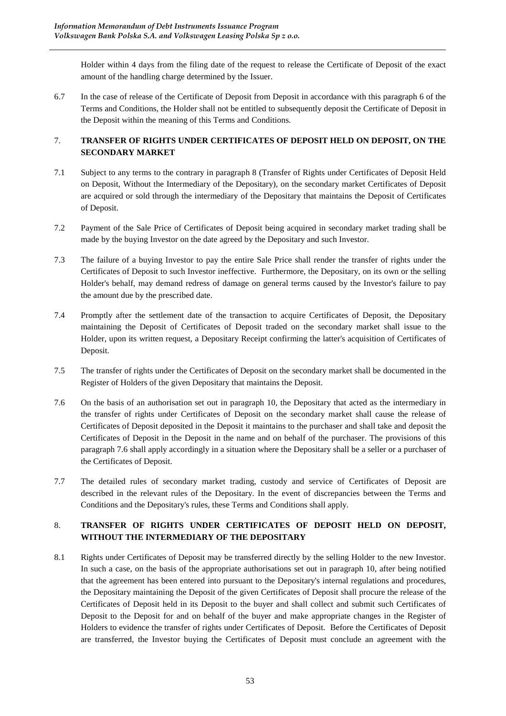Holder within 4 days from the filing date of the request to release the Certificate of Deposit of the exact amount of the handling charge determined by the Issuer.

6.7 In the case of release of the Certificate of Deposit from Deposit in accordance with this paragraph 6 of the Terms and Conditions, the Holder shall not be entitled to subsequently deposit the Certificate of Deposit in the Deposit within the meaning of this Terms and Conditions.

# 7. **TRANSFER OF RIGHTS UNDER CERTIFICATES OF DEPOSIT HELD ON DEPOSIT, ON THE SECONDARY MARKET**

- 7.1 Subject to any terms to the contrary in paragraph 8 (Transfer of Rights under Certificates of Deposit Held on Deposit, Without the Intermediary of the Depositary), on the secondary market Certificates of Deposit are acquired or sold through the intermediary of the Depositary that maintains the Deposit of Certificates of Deposit.
- 7.2 Payment of the Sale Price of Certificates of Deposit being acquired in secondary market trading shall be made by the buying Investor on the date agreed by the Depositary and such Investor.
- 7.3 The failure of a buying Investor to pay the entire Sale Price shall render the transfer of rights under the Certificates of Deposit to such Investor ineffective. Furthermore, the Depositary, on its own or the selling Holder's behalf, may demand redress of damage on general terms caused by the Investor's failure to pay the amount due by the prescribed date.
- 7.4 Promptly after the settlement date of the transaction to acquire Certificates of Deposit, the Depositary maintaining the Deposit of Certificates of Deposit traded on the secondary market shall issue to the Holder, upon its written request, a Depositary Receipt confirming the latter's acquisition of Certificates of Deposit.
- 7.5 The transfer of rights under the Certificates of Deposit on the secondary market shall be documented in the Register of Holders of the given Depositary that maintains the Deposit.
- 7.6 On the basis of an authorisation set out in paragraph 10, the Depositary that acted as the intermediary in the transfer of rights under Certificates of Deposit on the secondary market shall cause the release of Certificates of Deposit deposited in the Deposit it maintains to the purchaser and shall take and deposit the Certificates of Deposit in the Deposit in the name and on behalf of the purchaser. The provisions of this paragraph 7.6 shall apply accordingly in a situation where the Depositary shall be a seller or a purchaser of the Certificates of Deposit.
- 7.7 The detailed rules of secondary market trading, custody and service of Certificates of Deposit are described in the relevant rules of the Depositary. In the event of discrepancies between the Terms and Conditions and the Depositary's rules, these Terms and Conditions shall apply.

# 8. **TRANSFER OF RIGHTS UNDER CERTIFICATES OF DEPOSIT HELD ON DEPOSIT, WITHOUT THE INTERMEDIARY OF THE DEPOSITARY**

8.1 Rights under Certificates of Deposit may be transferred directly by the selling Holder to the new Investor. In such a case, on the basis of the appropriate authorisations set out in paragraph 10, after being notified that the agreement has been entered into pursuant to the Depositary's internal regulations and procedures, the Depositary maintaining the Deposit of the given Certificates of Deposit shall procure the release of the Certificates of Deposit held in its Deposit to the buyer and shall collect and submit such Certificates of Deposit to the Deposit for and on behalf of the buyer and make appropriate changes in the Register of Holders to evidence the transfer of rights under Certificates of Deposit. Before the Certificates of Deposit are transferred, the Investor buying the Certificates of Deposit must conclude an agreement with the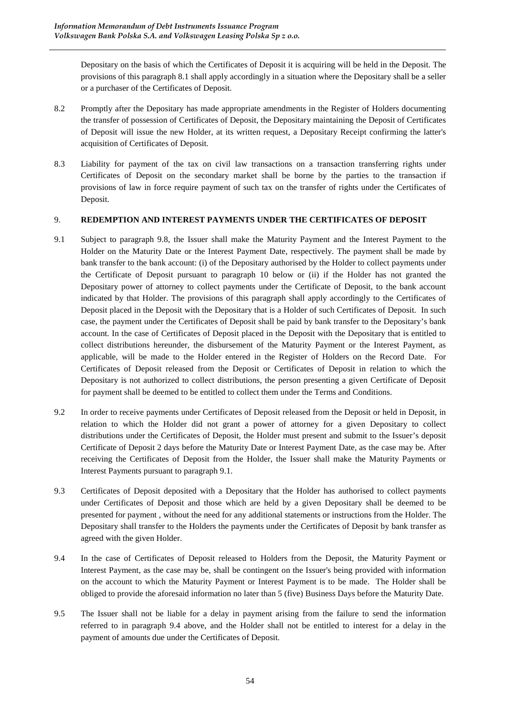Depositary on the basis of which the Certificates of Deposit it is acquiring will be held in the Deposit. The provisions of this paragraph 8.1 shall apply accordingly in a situation where the Depositary shall be a seller or a purchaser of the Certificates of Deposit.

- 8.2 Promptly after the Depositary has made appropriate amendments in the Register of Holders documenting the transfer of possession of Certificates of Deposit, the Depositary maintaining the Deposit of Certificates of Deposit will issue the new Holder, at its written request, a Depositary Receipt confirming the latter's acquisition of Certificates of Deposit.
- 8.3 Liability for payment of the tax on civil law transactions on a transaction transferring rights under Certificates of Deposit on the secondary market shall be borne by the parties to the transaction if provisions of law in force require payment of such tax on the transfer of rights under the Certificates of Deposit.

# 9. **REDEMPTION AND INTEREST PAYMENTS UNDER THE CERTIFICATES OF DEPOSIT**

- 9.1 Subject to paragraph 9.8, the Issuer shall make the Maturity Payment and the Interest Payment to the Holder on the Maturity Date or the Interest Payment Date, respectively. The payment shall be made by bank transfer to the bank account: (i) of the Depositary authorised by the Holder to collect payments under the Certificate of Deposit pursuant to paragraph 10 below or (ii) if the Holder has not granted the Depositary power of attorney to collect payments under the Certificate of Deposit, to the bank account indicated by that Holder. The provisions of this paragraph shall apply accordingly to the Certificates of Deposit placed in the Deposit with the Depositary that is a Holder of such Certificates of Deposit. In such case, the payment under the Certificates of Deposit shall be paid by bank transfer to the Depositary's bank account. In the case of Certificates of Deposit placed in the Deposit with the Depositary that is entitled to collect distributions hereunder, the disbursement of the Maturity Payment or the Interest Payment, as applicable, will be made to the Holder entered in the Register of Holders on the Record Date. For Certificates of Deposit released from the Deposit or Certificates of Deposit in relation to which the Depositary is not authorized to collect distributions, the person presenting a given Certificate of Deposit for payment shall be deemed to be entitled to collect them under the Terms and Conditions.
- 9.2 In order to receive payments under Certificates of Deposit released from the Deposit or held in Deposit, in relation to which the Holder did not grant a power of attorney for a given Depositary to collect distributions under the Certificates of Deposit, the Holder must present and submit to the Issuer's deposit Certificate of Deposit 2 days before the Maturity Date or Interest Payment Date, as the case may be. After receiving the Certificates of Deposit from the Holder, the Issuer shall make the Maturity Payments or Interest Payments pursuant to paragraph 9.1.
- 9.3 Certificates of Deposit deposited with a Depositary that the Holder has authorised to collect payments under Certificates of Deposit and those which are held by a given Depositary shall be deemed to be presented for payment , without the need for any additional statements or instructions from the Holder. The Depositary shall transfer to the Holders the payments under the Certificates of Deposit by bank transfer as agreed with the given Holder.
- 9.4 In the case of Certificates of Deposit released to Holders from the Deposit, the Maturity Payment or Interest Payment, as the case may be, shall be contingent on the Issuer's being provided with information on the account to which the Maturity Payment or Interest Payment is to be made. The Holder shall be obliged to provide the aforesaid information no later than 5 (five) Business Days before the Maturity Date.
- 9.5 The Issuer shall not be liable for a delay in payment arising from the failure to send the information referred to in paragraph 9.4 above, and the Holder shall not be entitled to interest for a delay in the payment of amounts due under the Certificates of Deposit.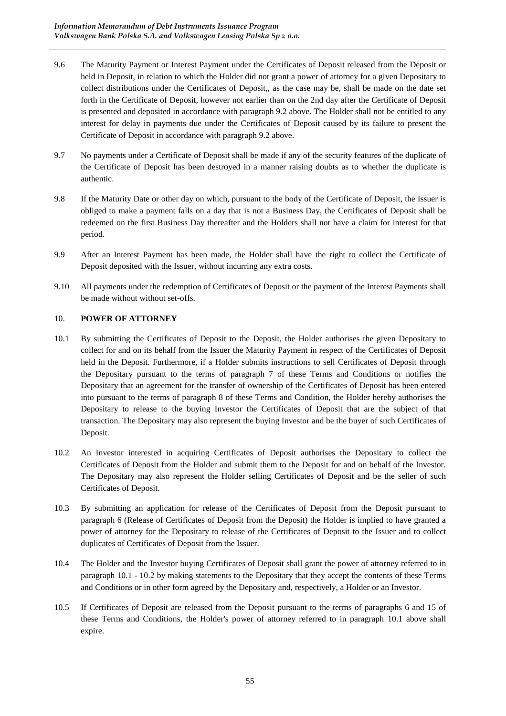- 9.6 The Maturity Payment or Interest Payment under the Certificates of Deposit released from the Deposit or held in Deposit, in relation to which the Holder did not grant a power of attorney for a given Depositary to collect distributions under the Certificates of Deposit,, as the case may be, shall be made on the date set forth in the Certificate of Deposit, however not earlier than on the 2nd day after the Certificate of Deposit is presented and deposited in accordance with paragraph 9.2 above. The Holder shall not be entitled to any interest for delay in payments due under the Certificates of Deposit caused by its failure to present the Certificate of Deposit in accordance with paragraph 9.2 above.
- 9.7 No payments under a Certificate of Deposit shall be made if any of the security features of the duplicate of the Certificate of Deposit has been destroyed in a manner raising doubts as to whether the duplicate is authentic.
- 9.8 If the Maturity Date or other day on which, pursuant to the body of the Certificate of Deposit, the Issuer is obliged to make a payment falls on a day that is not a Business Day, the Certificates of Deposit shall be redeemed on the first Business Day thereafter and the Holders shall not have a claim for interest for that period.
- 9.9 After an Interest Payment has been made, the Holder shall have the right to collect the Certificate of Deposit deposited with the Issuer, without incurring any extra costs.
- 9.10 All payments under the redemption of Certificates of Deposit or the payment of the Interest Payments shall be made without without set-offs.

## 10. **POWER OF ATTORNEY**

- 10.1 By submitting the Certificates of Deposit to the Deposit, the Holder authorises the given Depositary to collect for and on its behalf from the Issuer the Maturity Payment in respect of the Certificates of Deposit held in the Deposit. Furthermore, if a Holder submits instructions to sell Certificates of Deposit through the Depositary pursuant to the terms of paragraph 7 of these Terms and Conditions or notifies the Depositary that an agreement for the transfer of ownership of the Certificates of Deposit has been entered into pursuant to the terms of paragraph 8 of these Terms and Condition, the Holder hereby authorises the Depositary to release to the buying Investor the Certificates of Deposit that are the subject of that transaction. The Depositary may also represent the buying Investor and be the buyer of such Certificates of Deposit.
- 10.2 An Investor interested in acquiring Certificates of Deposit authorises the Depositary to collect the Certificates of Deposit from the Holder and submit them to the Deposit for and on behalf of the Investor. The Depositary may also represent the Holder selling Certificates of Deposit and be the seller of such Certificates of Deposit.
- 10.3 By submitting an application for release of the Certificates of Deposit from the Deposit pursuant to paragraph 6 (Release of Certificates of Deposit from the Deposit) the Holder is implied to have granted a power of attorney for the Depositary to release of the Certificates of Deposit to the Issuer and to collect duplicates of Certificates of Deposit from the Issuer.
- 10.4 The Holder and the Investor buying Certificates of Deposit shall grant the power of attorney referred to in paragraph 10.1 - 10.2 by making statements to the Depositary that they accept the contents of these Terms and Conditions or in other form agreed by the Depositary and, respectively, a Holder or an Investor.
- 10.5 If Certificates of Deposit are released from the Deposit pursuant to the terms of paragraphs 6 and 15 of these Terms and Conditions, the Holder's power of attorney referred to in paragraph 10.1 above shall expire.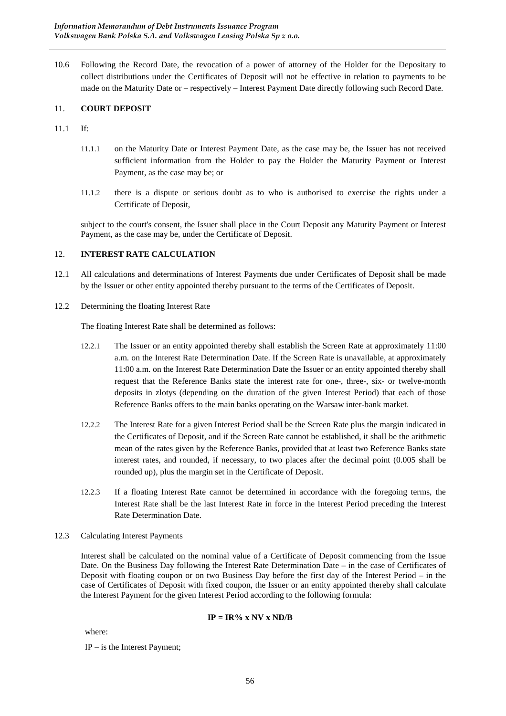10.6 Following the Record Date, the revocation of a power of attorney of the Holder for the Depositary to collect distributions under the Certificates of Deposit will not be effective in relation to payments to be made on the Maturity Date or – respectively – Interest Payment Date directly following such Record Date.

# 11. **COURT DEPOSIT**

- 11.1 If:
	- 11.1.1 on the Maturity Date or Interest Payment Date, as the case may be, the Issuer has not received sufficient information from the Holder to pay the Holder the Maturity Payment or Interest Payment, as the case may be; or
	- 11.1.2 there is a dispute or serious doubt as to who is authorised to exercise the rights under a Certificate of Deposit,

subject to the court's consent, the Issuer shall place in the Court Deposit any Maturity Payment or Interest Payment, as the case may be, under the Certificate of Deposit.

### 12. **INTEREST RATE CALCULATION**

- 12.1 All calculations and determinations of Interest Payments due under Certificates of Deposit shall be made by the Issuer or other entity appointed thereby pursuant to the terms of the Certificates of Deposit.
- 12.2 Determining the floating Interest Rate

The floating Interest Rate shall be determined as follows:

- 12.2.1 The Issuer or an entity appointed thereby shall establish the Screen Rate at approximately 11:00 a.m. on the Interest Rate Determination Date. If the Screen Rate is unavailable, at approximately 11:00 a.m. on the Interest Rate Determination Date the Issuer or an entity appointed thereby shall request that the Reference Banks state the interest rate for one-, three-, six- or twelve-month deposits in zlotys (depending on the duration of the given Interest Period) that each of those Reference Banks offers to the main banks operating on the Warsaw inter-bank market.
- 12.2.2 The Interest Rate for a given Interest Period shall be the Screen Rate plus the margin indicated in the Certificates of Deposit, and if the Screen Rate cannot be established, it shall be the arithmetic mean of the rates given by the Reference Banks, provided that at least two Reference Banks state interest rates, and rounded, if necessary, to two places after the decimal point (0.005 shall be rounded up), plus the margin set in the Certificate of Deposit.
- 12.2.3 If a floating Interest Rate cannot be determined in accordance with the foregoing terms, the Interest Rate shall be the last Interest Rate in force in the Interest Period preceding the Interest Rate Determination Date.

#### 12.3 Calculating Interest Payments

Interest shall be calculated on the nominal value of a Certificate of Deposit commencing from the Issue Date. On the Business Day following the Interest Rate Determination Date – in the case of Certificates of Deposit with floating coupon or on two Business Day before the first day of the Interest Period – in the case of Certificates of Deposit with fixed coupon, the Issuer or an entity appointed thereby shall calculate the Interest Payment for the given Interest Period according to the following formula:

### **IP = IR% x NV x ND/B**

where:

IP – is the Interest Payment;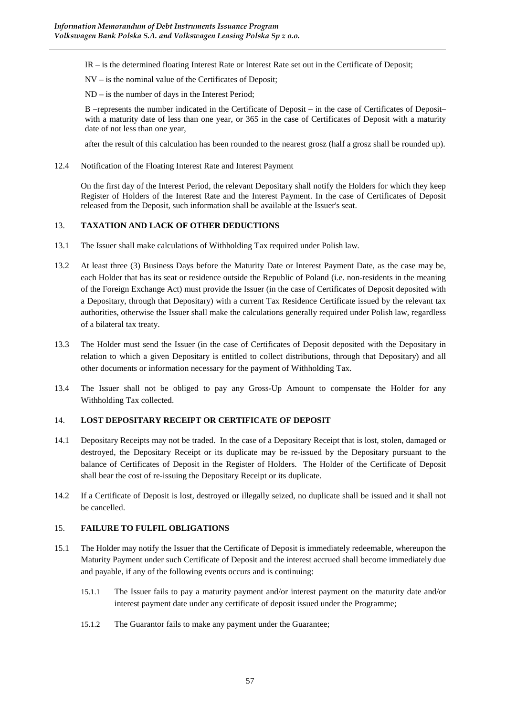IR – is the determined floating Interest Rate or Interest Rate set out in the Certificate of Deposit;

NV – is the nominal value of the Certificates of Deposit;

ND – is the number of days in the Interest Period;

B –represents the number indicated in the Certificate of Deposit – in the case of Certificates of Deposit– with a maturity date of less than one year, or 365 in the case of Certificates of Deposit with a maturity date of not less than one year,

after the result of this calculation has been rounded to the nearest grosz (half a grosz shall be rounded up).

12.4 Notification of the Floating Interest Rate and Interest Payment

On the first day of the Interest Period, the relevant Depositary shall notify the Holders for which they keep Register of Holders of the Interest Rate and the Interest Payment. In the case of Certificates of Deposit released from the Deposit, such information shall be available at the Issuer's seat.

## 13. **TAXATION AND LACK OF OTHER DEDUCTIONS**

- 13.1 The Issuer shall make calculations of Withholding Tax required under Polish law.
- 13.2 At least three (3) Business Days before the Maturity Date or Interest Payment Date, as the case may be, each Holder that has its seat or residence outside the Republic of Poland (i.e. non-residents in the meaning of the Foreign Exchange Act) must provide the Issuer (in the case of Certificates of Deposit deposited with a Depositary, through that Depositary) with a current Tax Residence Certificate issued by the relevant tax authorities, otherwise the Issuer shall make the calculations generally required under Polish law, regardless of a bilateral tax treaty.
- 13.3 The Holder must send the Issuer (in the case of Certificates of Deposit deposited with the Depositary in relation to which a given Depositary is entitled to collect distributions, through that Depositary) and all other documents or information necessary for the payment of Withholding Tax.
- 13.4 The Issuer shall not be obliged to pay any Gross-Up Amount to compensate the Holder for any Withholding Tax collected.

## 14. **LOST DEPOSITARY RECEIPT OR CERTIFICATE OF DEPOSIT**

- 14.1 Depositary Receipts may not be traded. In the case of a Depositary Receipt that is lost, stolen, damaged or destroyed, the Depositary Receipt or its duplicate may be re-issued by the Depositary pursuant to the balance of Certificates of Deposit in the Register of Holders. The Holder of the Certificate of Deposit shall bear the cost of re-issuing the Depositary Receipt or its duplicate.
- 14.2 If a Certificate of Deposit is lost, destroyed or illegally seized, no duplicate shall be issued and it shall not be cancelled.

# 15. **FAILURE TO FULFIL OBLIGATIONS**

- 15.1 The Holder may notify the Issuer that the Certificate of Deposit is immediately redeemable, whereupon the Maturity Payment under such Certificate of Deposit and the interest accrued shall become immediately due and payable, if any of the following events occurs and is continuing:
	- 15.1.1 The Issuer fails to pay a maturity payment and/or interest payment on the maturity date and/or interest payment date under any certificate of deposit issued under the Programme;
	- 15.1.2 The Guarantor fails to make any payment under the Guarantee;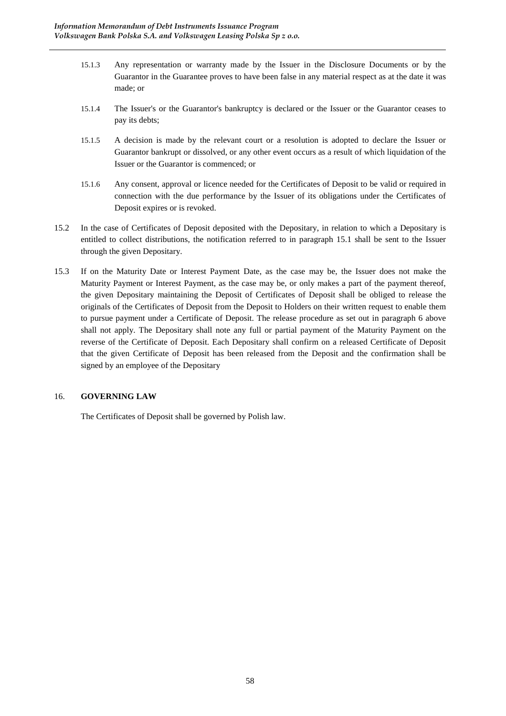- 15.1.3 Any representation or warranty made by the Issuer in the Disclosure Documents or by the Guarantor in the Guarantee proves to have been false in any material respect as at the date it was made; or
- 15.1.4 The Issuer's or the Guarantor's bankruptcy is declared or the Issuer or the Guarantor ceases to pay its debts;
- 15.1.5 A decision is made by the relevant court or a resolution is adopted to declare the Issuer or Guarantor bankrupt or dissolved, or any other event occurs as a result of which liquidation of the Issuer or the Guarantor is commenced; or
- 15.1.6 Any consent, approval or licence needed for the Certificates of Deposit to be valid or required in connection with the due performance by the Issuer of its obligations under the Certificates of Deposit expires or is revoked.
- 15.2 In the case of Certificates of Deposit deposited with the Depositary, in relation to which a Depositary is entitled to collect distributions, the notification referred to in paragraph 15.1 shall be sent to the Issuer through the given Depositary.
- 15.3 If on the Maturity Date or Interest Payment Date, as the case may be, the Issuer does not make the Maturity Payment or Interest Payment, as the case may be, or only makes a part of the payment thereof, the given Depositary maintaining the Deposit of Certificates of Deposit shall be obliged to release the originals of the Certificates of Deposit from the Deposit to Holders on their written request to enable them to pursue payment under a Certificate of Deposit. The release procedure as set out in paragraph 6 above shall not apply. The Depositary shall note any full or partial payment of the Maturity Payment on the reverse of the Certificate of Deposit. Each Depositary shall confirm on a released Certificate of Deposit that the given Certificate of Deposit has been released from the Deposit and the confirmation shall be signed by an employee of the Depositary

## 16. **GOVERNING LAW**

The Certificates of Deposit shall be governed by Polish law.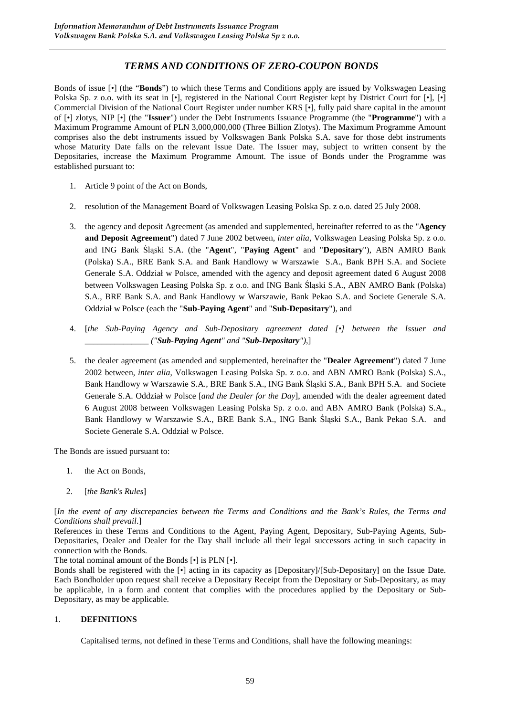# *TERMS AND CONDITIONS OF ZERO-COUPON BONDS*

Bonds of issue [•] (the "**Bonds**") to which these Terms and Conditions apply are issued by Volkswagen Leasing Polska Sp. z o.o. with its seat in [•], registered in the National Court Register kept by District Court for [•], [•] Commercial Division of the National Court Register under number KRS [•], fully paid share capital in the amount of [•] zlotys, NIP [•] (the "**Issuer**") under the Debt Instruments Issuance Programme (the "**Programme**") with a Maximum Programme Amount of PLN 3,000,000,000 (Three Billion Zlotys). The Maximum Programme Amount comprises also the debt instruments issued by Volkswagen Bank Polska S.A. save for those debt instruments whose Maturity Date falls on the relevant Issue Date. The Issuer may, subject to written consent by the Depositaries, increase the Maximum Programme Amount. The issue of Bonds under the Programme was established pursuant to:

- 1. Article 9 point of the Act on Bonds,
- 2. resolution of the Management Board of Volkswagen Leasing Polska Sp. z o.o. dated 25 July 2008.
- 3. the agency and deposit Agreement (as amended and supplemented, hereinafter referred to as the "**Agency and Deposit Agreement**") dated 7 June 2002 between, *inter alia*, Volkswagen Leasing Polska Sp. z o.o. and ING Bank Śląski S.A. (the "**Agent**", "**Paying Agent**" and "**Depositary**"), ABN AMRO Bank (Polska) S.A., BRE Bank S.A. and Bank Handlowy w Warszawie S.A., Bank BPH S.A. and Societe Generale S.A. Oddział w Polsce, amended with the agency and deposit agreement dated 6 August 2008 between Volkswagen Leasing Polska Sp. z o.o. and ING Bank Śląski S.A., ABN AMRO Bank (Polska) S.A., BRE Bank S.A. and Bank Handlowy w Warszawie, Bank Pekao S.A. and Societe Generale S.A. Oddział w Polsce (each the "**Sub-Paying Agent**" and "**Sub-Depositary**"), and
- 4. [*the Sub-Paying Agency and Sub-Depositary agreement dated [•] between the Issuer and \_\_\_\_\_\_\_\_\_\_\_\_\_\_\_ ("Sub-Paying Agent" and "Sub-Depositary")*,]
- 5. the dealer agreement (as amended and supplemented, hereinafter the "**Dealer Agreement**") dated 7 June 2002 between, *inter alia*, Volkswagen Leasing Polska Sp. z o.o. and ABN AMRO Bank (Polska) S.A., Bank Handlowy w Warszawie S.A., BRE Bank S.A., ING Bank Śląski S.A., Bank BPH S.A. and Societe Generale S.A. Oddział w Polsce [*and the Dealer for the Day*], amended with the dealer agreement dated 6 August 2008 between Volkswagen Leasing Polska Sp. z o.o. and ABN AMRO Bank (Polska) S.A., Bank Handlowy w Warszawie S.A., BRE Bank S.A., ING Bank Śląski S.A., Bank Pekao S.A. and Societe Generale S.A. Oddział w Polsce.

The Bonds are issued pursuant to:

- 1. the Act on Bonds,
- 2. [*the Bank's Rules*]

[*In the event of any discrepancies between the Terms and Conditions and the Bank's Rules, the Terms and Conditions shall prevail*.]

References in these Terms and Conditions to the Agent, Paying Agent, Depositary, Sub-Paying Agents, Sub-Depositaries, Dealer and Dealer for the Day shall include all their legal successors acting in such capacity in connection with the Bonds.

The total nominal amount of the Bonds [•] is PLN [•].

Bonds shall be registered with the [•] acting in its capacity as [Depositary]/[Sub-Depositary] on the Issue Date. Each Bondholder upon request shall receive a Depositary Receipt from the Depositary or Sub-Depositary, as may be applicable, in a form and content that complies with the procedures applied by the Depositary or Sub-Depositary, as may be applicable.

## 1. **DEFINITIONS**

Capitalised terms, not defined in these Terms and Conditions, shall have the following meanings: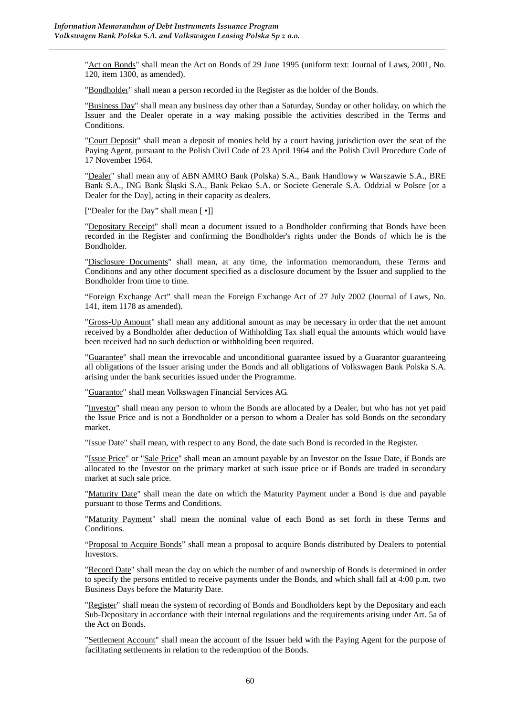"Act on Bonds" shall mean the Act on Bonds of 29 June 1995 (uniform text: Journal of Laws, 2001, No. 120, item 1300, as amended).

"Bondholder" shall mean a person recorded in the Register as the holder of the Bonds.

"Business Day" shall mean any business day other than a Saturday, Sunday or other holiday, on which the Issuer and the Dealer operate in a way making possible the activities described in the Terms and Conditions.

"Court Deposit" shall mean a deposit of monies held by a court having jurisdiction over the seat of the Paying Agent, pursuant to the Polish Civil Code of 23 April 1964 and the Polish Civil Procedure Code of 17 November 1964.

"Dealer" shall mean any of ABN AMRO Bank (Polska) S.A., Bank Handlowy w Warszawie S.A., BRE Bank S.A., ING Bank Śląski S.A., Bank Pekao S.A. or Societe Generale S.A. Oddział w Polsce [or a Dealer for the Day], acting in their capacity as dealers.

["Dealer for the Day" shall mean  $\lceil \cdot \rceil$ ]

"Depositary Receipt" shall mean a document issued to a Bondholder confirming that Bonds have been recorded in the Register and confirming the Bondholder's rights under the Bonds of which he is the Bondholder.

"Disclosure Documents" shall mean, at any time, the information memorandum, these Terms and Conditions and any other document specified as a disclosure document by the Issuer and supplied to the Bondholder from time to time.

"Foreign Exchange Act" shall mean the Foreign Exchange Act of 27 July 2002 (Journal of Laws, No. 141, item 1178 as amended).

"Gross-Up Amount" shall mean any additional amount as may be necessary in order that the net amount received by a Bondholder after deduction of Withholding Tax shall equal the amounts which would have been received had no such deduction or withholding been required.

"Guarantee" shall mean the irrevocable and unconditional guarantee issued by a Guarantor guaranteeing all obligations of the Issuer arising under the Bonds and all obligations of Volkswagen Bank Polska S.A. arising under the bank securities issued under the Programme.

"Guarantor" shall mean Volkswagen Financial Services AG.

"Investor" shall mean any person to whom the Bonds are allocated by a Dealer, but who has not yet paid the Issue Price and is not a Bondholder or a person to whom a Dealer has sold Bonds on the secondary market.

"Issue Date" shall mean, with respect to any Bond, the date such Bond is recorded in the Register.

"Issue Price" or "Sale Price" shall mean an amount payable by an Investor on the Issue Date, if Bonds are allocated to the Investor on the primary market at such issue price or if Bonds are traded in secondary market at such sale price.

"Maturity Date" shall mean the date on which the Maturity Payment under a Bond is due and payable pursuant to those Terms and Conditions.

"Maturity Payment" shall mean the nominal value of each Bond as set forth in these Terms and **Conditions** 

"Proposal to Acquire Bonds" shall mean a proposal to acquire Bonds distributed by Dealers to potential Investors.

"Record Date" shall mean the day on which the number of and ownership of Bonds is determined in order to specify the persons entitled to receive payments under the Bonds, and which shall fall at 4:00 p.m. two Business Days before the Maturity Date.

"Register" shall mean the system of recording of Bonds and Bondholders kept by the Depositary and each Sub-Depositary in accordance with their internal regulations and the requirements arising under Art. 5a of the Act on Bonds.

"Settlement Account" shall mean the account of the Issuer held with the Paying Agent for the purpose of facilitating settlements in relation to the redemption of the Bonds.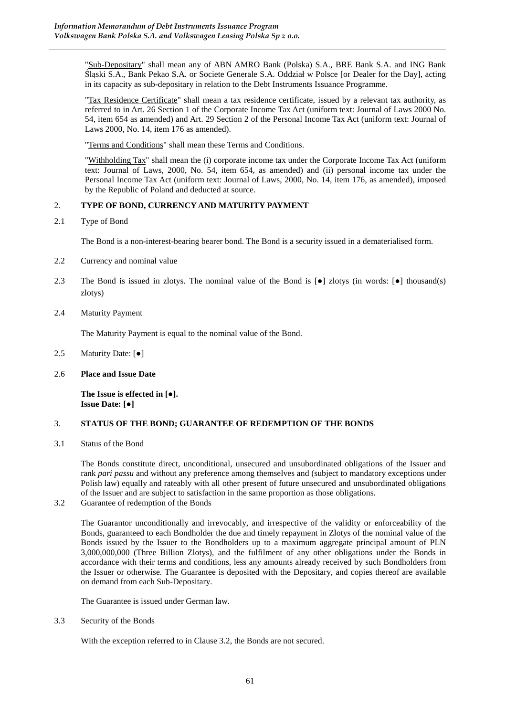"Sub-Depositary" shall mean any of ABN AMRO Bank (Polska) S.A., BRE Bank S.A. and ING Bank Śląski S.A., Bank Pekao S.A. or Societe Generale S.A. Oddział w Polsce [or Dealer for the Day], acting in its capacity as sub-depositary in relation to the Debt Instruments Issuance Programme.

"Tax Residence Certificate" shall mean a tax residence certificate, issued by a relevant tax authority, as referred to in Art. 26 Section 1 of the Corporate Income Tax Act (uniform text: Journal of Laws 2000 No. 54, item 654 as amended) and Art. 29 Section 2 of the Personal Income Tax Act (uniform text: Journal of Laws 2000, No. 14, item 176 as amended).

"Terms and Conditions" shall mean these Terms and Conditions.

"Withholding Tax" shall mean the (i) corporate income tax under the Corporate Income Tax Act (uniform text: Journal of Laws, 2000, No. 54, item 654, as amended) and (ii) personal income tax under the Personal Income Tax Act (uniform text: Journal of Laws, 2000, No. 14, item 176, as amended), imposed by the Republic of Poland and deducted at source.

## 2. **TYPE OF BOND, CURRENCY AND MATURITY PAYMENT**

2.1 Type of Bond

The Bond is a non-interest-bearing bearer bond. The Bond is a security issued in a dematerialised form.

- 2.2 Currency and nominal value
- 2.3 The Bond is issued in zlotys. The nominal value of the Bond is [●] zlotys (in words: [●] thousand(s) zlotys)
- 2.4 Maturity Payment

The Maturity Payment is equal to the nominal value of the Bond.

- 2.5 Maturity Date: [●]
- 2.6 **Place and Issue Date**

**The Issue is effected in [**●**]. Issue Date: [**●**]** 

## 3. **STATUS OF THE BOND; GUARANTEE OF REDEMPTION OF THE BONDS**

3.1 Status of the Bond

The Bonds constitute direct, unconditional, unsecured and unsubordinated obligations of the Issuer and rank *pari passu* and without any preference among themselves and (subject to mandatory exceptions under Polish law) equally and rateably with all other present of future unsecured and unsubordinated obligations of the Issuer and are subject to satisfaction in the same proportion as those obligations.

3.2 Guarantee of redemption of the Bonds

The Guarantor unconditionally and irrevocably, and irrespective of the validity or enforceability of the Bonds, guaranteed to each Bondholder the due and timely repayment in Zlotys of the nominal value of the Bonds issued by the Issuer to the Bondholders up to a maximum aggregate principal amount of PLN 3,000,000,000 (Three Billion Zlotys), and the fulfilment of any other obligations under the Bonds in accordance with their terms and conditions, less any amounts already received by such Bondholders from the Issuer or otherwise. The Guarantee is deposited with the Depositary, and copies thereof are available on demand from each Sub-Depositary.

The Guarantee is issued under German law.

3.3 Security of the Bonds

With the exception referred to in Clause 3.2, the Bonds are not secured.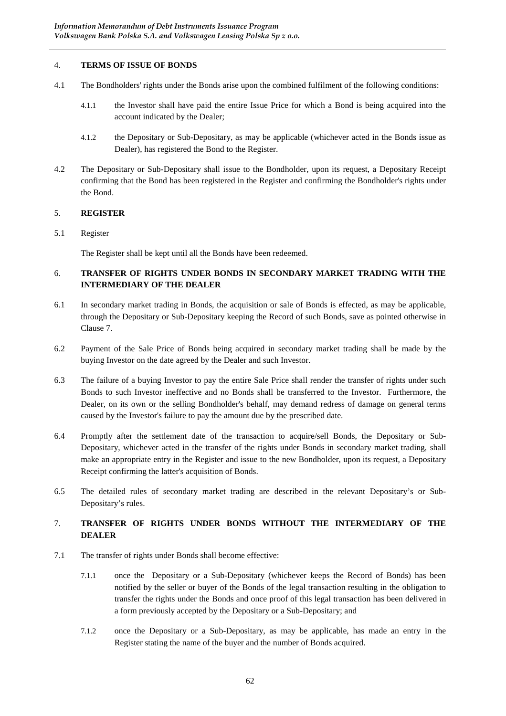### 4. **TERMS OF ISSUE OF BONDS**

- 4.1 The Bondholders' rights under the Bonds arise upon the combined fulfilment of the following conditions:
	- 4.1.1 the Investor shall have paid the entire Issue Price for which a Bond is being acquired into the account indicated by the Dealer;
	- 4.1.2 the Depositary or Sub-Depositary, as may be applicable (whichever acted in the Bonds issue as Dealer), has registered the Bond to the Register.
- 4.2 The Depositary or Sub-Depositary shall issue to the Bondholder, upon its request, a Depositary Receipt confirming that the Bond has been registered in the Register and confirming the Bondholder's rights under the Bond.

### 5. **REGISTER**

### 5.1 Register

The Register shall be kept until all the Bonds have been redeemed.

# 6. **TRANSFER OF RIGHTS UNDER BONDS IN SECONDARY MARKET TRADING WITH THE INTERMEDIARY OF THE DEALER**

- 6.1 In secondary market trading in Bonds, the acquisition or sale of Bonds is effected, as may be applicable, through the Depositary or Sub-Depositary keeping the Record of such Bonds, save as pointed otherwise in Clause 7.
- 6.2 Payment of the Sale Price of Bonds being acquired in secondary market trading shall be made by the buying Investor on the date agreed by the Dealer and such Investor.
- 6.3 The failure of a buying Investor to pay the entire Sale Price shall render the transfer of rights under such Bonds to such Investor ineffective and no Bonds shall be transferred to the Investor. Furthermore, the Dealer, on its own or the selling Bondholder's behalf, may demand redress of damage on general terms caused by the Investor's failure to pay the amount due by the prescribed date.
- 6.4 Promptly after the settlement date of the transaction to acquire/sell Bonds, the Depositary or Sub-Depositary, whichever acted in the transfer of the rights under Bonds in secondary market trading, shall make an appropriate entry in the Register and issue to the new Bondholder, upon its request, a Depositary Receipt confirming the latter's acquisition of Bonds.
- 6.5 The detailed rules of secondary market trading are described in the relevant Depositary's or Sub-Depositary's rules.

# 7. **TRANSFER OF RIGHTS UNDER BONDS WITHOUT THE INTERMEDIARY OF THE DEALER**

- 7.1 The transfer of rights under Bonds shall become effective:
	- 7.1.1 once the Depositary or a Sub-Depositary (whichever keeps the Record of Bonds) has been notified by the seller or buyer of the Bonds of the legal transaction resulting in the obligation to transfer the rights under the Bonds and once proof of this legal transaction has been delivered in a form previously accepted by the Depositary or a Sub-Depositary; and
	- 7.1.2 once the Depositary or a Sub-Depositary, as may be applicable, has made an entry in the Register stating the name of the buyer and the number of Bonds acquired.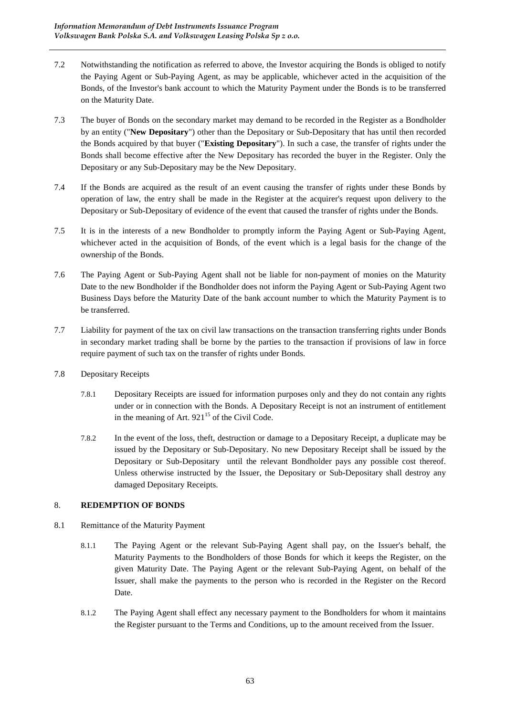- 7.2 Notwithstanding the notification as referred to above, the Investor acquiring the Bonds is obliged to notify the Paying Agent or Sub-Paying Agent, as may be applicable, whichever acted in the acquisition of the Bonds, of the Investor's bank account to which the Maturity Payment under the Bonds is to be transferred on the Maturity Date.
- 7.3 The buyer of Bonds on the secondary market may demand to be recorded in the Register as a Bondholder by an entity ("**New Depositary**") other than the Depositary or Sub-Depositary that has until then recorded the Bonds acquired by that buyer ("**Existing Depositary**"). In such a case, the transfer of rights under the Bonds shall become effective after the New Depositary has recorded the buyer in the Register. Only the Depositary or any Sub-Depositary may be the New Depositary.
- 7.4 If the Bonds are acquired as the result of an event causing the transfer of rights under these Bonds by operation of law, the entry shall be made in the Register at the acquirer's request upon delivery to the Depositary or Sub-Depositary of evidence of the event that caused the transfer of rights under the Bonds.
- 7.5 It is in the interests of a new Bondholder to promptly inform the Paying Agent or Sub-Paying Agent, whichever acted in the acquisition of Bonds, of the event which is a legal basis for the change of the ownership of the Bonds.
- 7.6 The Paying Agent or Sub-Paying Agent shall not be liable for non-payment of monies on the Maturity Date to the new Bondholder if the Bondholder does not inform the Paying Agent or Sub-Paying Agent two Business Days before the Maturity Date of the bank account number to which the Maturity Payment is to be transferred.
- 7.7 Liability for payment of the tax on civil law transactions on the transaction transferring rights under Bonds in secondary market trading shall be borne by the parties to the transaction if provisions of law in force require payment of such tax on the transfer of rights under Bonds.
- 7.8 Depositary Receipts
	- 7.8.1 Depositary Receipts are issued for information purposes only and they do not contain any rights under or in connection with the Bonds. A Depositary Receipt is not an instrument of entitlement in the meaning of Art.  $921^{15}$  of the Civil Code.
	- 7.8.2 In the event of the loss, theft, destruction or damage to a Depositary Receipt, a duplicate may be issued by the Depositary or Sub-Depositary. No new Depositary Receipt shall be issued by the Depositary or Sub-Depositary until the relevant Bondholder pays any possible cost thereof. Unless otherwise instructed by the Issuer, the Depositary or Sub-Depositary shall destroy any damaged Depositary Receipts.

# 8. **REDEMPTION OF BONDS**

- 8.1 Remittance of the Maturity Payment
	- 8.1.1 The Paying Agent or the relevant Sub-Paying Agent shall pay, on the Issuer's behalf, the Maturity Payments to the Bondholders of those Bonds for which it keeps the Register, on the given Maturity Date. The Paying Agent or the relevant Sub-Paying Agent, on behalf of the Issuer, shall make the payments to the person who is recorded in the Register on the Record Date.
	- 8.1.2 The Paying Agent shall effect any necessary payment to the Bondholders for whom it maintains the Register pursuant to the Terms and Conditions, up to the amount received from the Issuer.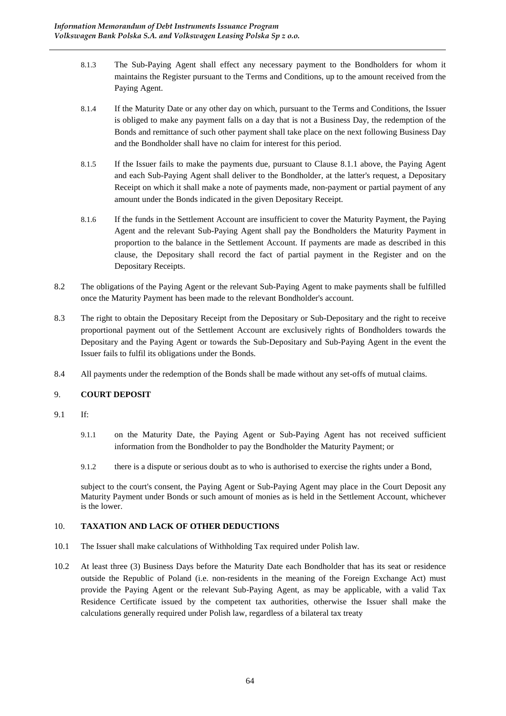- 8.1.3 The Sub-Paying Agent shall effect any necessary payment to the Bondholders for whom it maintains the Register pursuant to the Terms and Conditions, up to the amount received from the Paying Agent.
- 8.1.4 If the Maturity Date or any other day on which, pursuant to the Terms and Conditions, the Issuer is obliged to make any payment falls on a day that is not a Business Day, the redemption of the Bonds and remittance of such other payment shall take place on the next following Business Day and the Bondholder shall have no claim for interest for this period.
- 8.1.5 If the Issuer fails to make the payments due, pursuant to Clause 8.1.1 above, the Paying Agent and each Sub-Paying Agent shall deliver to the Bondholder, at the latter's request, a Depositary Receipt on which it shall make a note of payments made, non-payment or partial payment of any amount under the Bonds indicated in the given Depositary Receipt.
- 8.1.6 If the funds in the Settlement Account are insufficient to cover the Maturity Payment, the Paying Agent and the relevant Sub-Paying Agent shall pay the Bondholders the Maturity Payment in proportion to the balance in the Settlement Account. If payments are made as described in this clause, the Depositary shall record the fact of partial payment in the Register and on the Depositary Receipts.
- 8.2 The obligations of the Paying Agent or the relevant Sub-Paying Agent to make payments shall be fulfilled once the Maturity Payment has been made to the relevant Bondholder's account.
- 8.3 The right to obtain the Depositary Receipt from the Depositary or Sub-Depositary and the right to receive proportional payment out of the Settlement Account are exclusively rights of Bondholders towards the Depositary and the Paying Agent or towards the Sub-Depositary and Sub-Paying Agent in the event the Issuer fails to fulfil its obligations under the Bonds.
- 8.4 All payments under the redemption of the Bonds shall be made without any set-offs of mutual claims.

## 9. **COURT DEPOSIT**

- 9.1 If:
	- 9.1.1 on the Maturity Date, the Paying Agent or Sub-Paying Agent has not received sufficient information from the Bondholder to pay the Bondholder the Maturity Payment; or
	- 9.1.2 there is a dispute or serious doubt as to who is authorised to exercise the rights under a Bond,

subject to the court's consent, the Paying Agent or Sub-Paying Agent may place in the Court Deposit any Maturity Payment under Bonds or such amount of monies as is held in the Settlement Account, whichever is the lower.

## 10. **TAXATION AND LACK OF OTHER DEDUCTIONS**

- 10.1 The Issuer shall make calculations of Withholding Tax required under Polish law.
- 10.2 At least three (3) Business Days before the Maturity Date each Bondholder that has its seat or residence outside the Republic of Poland (i.e. non-residents in the meaning of the Foreign Exchange Act) must provide the Paying Agent or the relevant Sub-Paying Agent, as may be applicable, with a valid Tax Residence Certificate issued by the competent tax authorities, otherwise the Issuer shall make the calculations generally required under Polish law, regardless of a bilateral tax treaty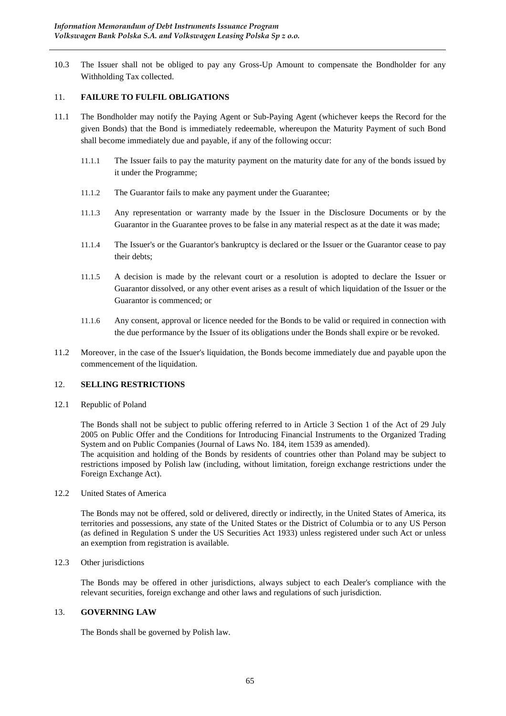10.3 The Issuer shall not be obliged to pay any Gross-Up Amount to compensate the Bondholder for any Withholding Tax collected.

### 11. **FAILURE TO FULFIL OBLIGATIONS**

- 11.1 The Bondholder may notify the Paying Agent or Sub-Paying Agent (whichever keeps the Record for the given Bonds) that the Bond is immediately redeemable, whereupon the Maturity Payment of such Bond shall become immediately due and payable, if any of the following occur:
	- 11.1.1 The Issuer fails to pay the maturity payment on the maturity date for any of the bonds issued by it under the Programme;
	- 11.1.2 The Guarantor fails to make any payment under the Guarantee;
	- 11.1.3 Any representation or warranty made by the Issuer in the Disclosure Documents or by the Guarantor in the Guarantee proves to be false in any material respect as at the date it was made;
	- 11.1.4 The Issuer's or the Guarantor's bankruptcy is declared or the Issuer or the Guarantor cease to pay their debts;
	- 11.1.5 A decision is made by the relevant court or a resolution is adopted to declare the Issuer or Guarantor dissolved, or any other event arises as a result of which liquidation of the Issuer or the Guarantor is commenced; or
	- 11.1.6 Any consent, approval or licence needed for the Bonds to be valid or required in connection with the due performance by the Issuer of its obligations under the Bonds shall expire or be revoked.
- 11.2 Moreover, in the case of the Issuer's liquidation, the Bonds become immediately due and payable upon the commencement of the liquidation.

### 12. **SELLING RESTRICTIONS**

12.1 Republic of Poland

The Bonds shall not be subject to public offering referred to in Article 3 Section 1 of the Act of 29 July 2005 on Public Offer and the Conditions for Introducing Financial Instruments to the Organized Trading System and on Public Companies (Journal of Laws No. 184, item 1539 as amended).

The acquisition and holding of the Bonds by residents of countries other than Poland may be subject to restrictions imposed by Polish law (including, without limitation, foreign exchange restrictions under the Foreign Exchange Act).

12.2 United States of America

The Bonds may not be offered, sold or delivered, directly or indirectly, in the United States of America, its territories and possessions, any state of the United States or the District of Columbia or to any US Person (as defined in Regulation S under the US Securities Act 1933) unless registered under such Act or unless an exemption from registration is available.

### 12.3 Other jurisdictions

The Bonds may be offered in other jurisdictions, always subject to each Dealer's compliance with the relevant securities, foreign exchange and other laws and regulations of such jurisdiction.

#### 13. **GOVERNING LAW**

The Bonds shall be governed by Polish law.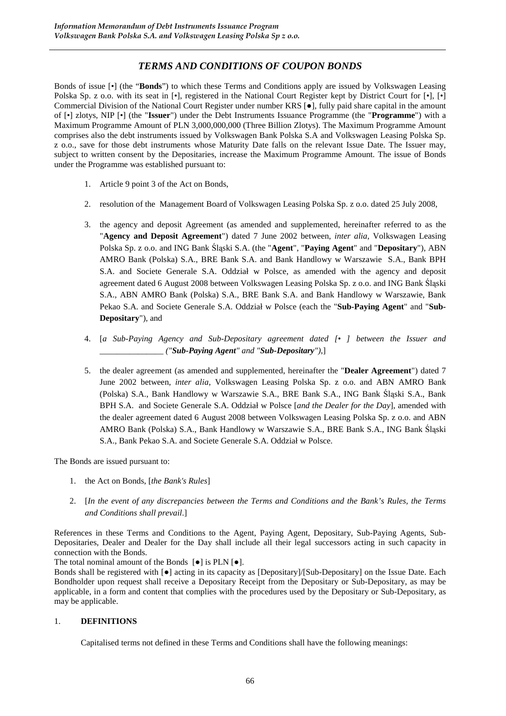# *TERMS AND CONDITIONS OF COUPON BONDS*

Bonds of issue [•] (the "**Bonds**") to which these Terms and Conditions apply are issued by Volkswagen Leasing Polska Sp. z o.o. with its seat in [•], registered in the National Court Register kept by District Court for [•], [•] Commercial Division of the National Court Register under number KRS [●], fully paid share capital in the amount of [•] zlotys, NIP [•] (the "**Issuer**") under the Debt Instruments Issuance Programme (the "**Programme**") with a Maximum Programme Amount of PLN 3,000,000,000 (Three Billion Zlotys). The Maximum Programme Amount comprises also the debt instruments issued by Volkswagen Bank Polska S.A and Volkswagen Leasing Polska Sp. z o.o., save for those debt instruments whose Maturity Date falls on the relevant Issue Date. The Issuer may, subject to written consent by the Depositaries, increase the Maximum Programme Amount. The issue of Bonds under the Programme was established pursuant to:

- 1. Article 9 point 3 of the Act on Bonds,
- 2. resolution of the Management Board of Volkswagen Leasing Polska Sp. z o.o. dated 25 July 2008,
- 3. the agency and deposit Agreement (as amended and supplemented, hereinafter referred to as the "**Agency and Deposit Agreement**") dated 7 June 2002 between, *inter alia*, Volkswagen Leasing Polska Sp. z o.o. and ING Bank Śląski S.A. (the "**Agent**", "**Paying Agent**" and "**Depositary**"), ABN AMRO Bank (Polska) S.A., BRE Bank S.A. and Bank Handlowy w Warszawie S.A., Bank BPH S.A. and Societe Generale S.A. Oddział w Polsce, as amended with the agency and deposit agreement dated 6 August 2008 between Volkswagen Leasing Polska Sp. z o.o. and ING Bank Śląski S.A., ABN AMRO Bank (Polska) S.A., BRE Bank S.A. and Bank Handlowy w Warszawie, Bank Pekao S.A. and Societe Generale S.A. Oddział w Polsce (each the "**Sub-Paying Agent**" and "**Sub-Depositary**"), and
- 4. [*a Sub-Paying Agency and Sub-Depositary agreement dated [• ] between the Issuer and \_\_\_\_\_\_\_\_\_\_\_\_\_\_\_ ("Sub-Paying Agent" and "Sub-Depositary")*,]
- 5. the dealer agreement (as amended and supplemented, hereinafter the "**Dealer Agreement**") dated 7 June 2002 between, *inter alia*, Volkswagen Leasing Polska Sp. z o.o. and ABN AMRO Bank (Polska) S.A., Bank Handlowy w Warszawie S.A., BRE Bank S.A., ING Bank Śląski S.A., Bank BPH S.A. and Societe Generale S.A. Oddział w Polsce [*and the Dealer for the Day*], amended with the dealer agreement dated 6 August 2008 between Volkswagen Leasing Polska Sp. z o.o. and ABN AMRO Bank (Polska) S.A., Bank Handlowy w Warszawie S.A., BRE Bank S.A., ING Bank Śląski S.A., Bank Pekao S.A. and Societe Generale S.A. Oddział w Polsce.

The Bonds are issued pursuant to:

- 1. the Act on Bonds, [*the Bank's Rules*]
- 2. [*In the event of any discrepancies between the Terms and Conditions and the Bank's Rules, the Terms and Conditions shall prevail*.]

References in these Terms and Conditions to the Agent, Paying Agent, Depositary, Sub-Paying Agents, Sub-Depositaries, Dealer and Dealer for the Day shall include all their legal successors acting in such capacity in connection with the Bonds.

The total nominal amount of the Bonds  $[\bullet]$  is PLN  $[\bullet]$ .

Bonds shall be registered with [●] acting in its capacity as [Depositary]/[Sub-Depositary] on the Issue Date. Each Bondholder upon request shall receive a Depositary Receipt from the Depositary or Sub-Depositary, as may be applicable, in a form and content that complies with the procedures used by the Depositary or Sub-Depositary, as may be applicable.

## 1. **DEFINITIONS**

Capitalised terms not defined in these Terms and Conditions shall have the following meanings: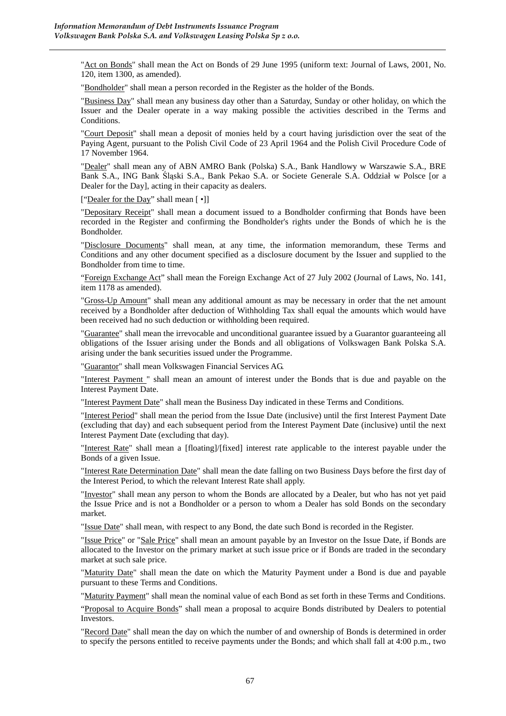"Act on Bonds" shall mean the Act on Bonds of 29 June 1995 (uniform text: Journal of Laws, 2001, No. 120, item 1300, as amended).

"Bondholder" shall mean a person recorded in the Register as the holder of the Bonds.

"Business Day" shall mean any business day other than a Saturday, Sunday or other holiday, on which the Issuer and the Dealer operate in a way making possible the activities described in the Terms and Conditions.

"Court Deposit" shall mean a deposit of monies held by a court having jurisdiction over the seat of the Paying Agent, pursuant to the Polish Civil Code of 23 April 1964 and the Polish Civil Procedure Code of 17 November 1964.

"Dealer" shall mean any of ABN AMRO Bank (Polska) S.A., Bank Handlowy w Warszawie S.A., BRE Bank S.A., ING Bank Śląski S.A., Bank Pekao S.A. or Societe Generale S.A. Oddział w Polsce [or a Dealer for the Day], acting in their capacity as dealers.

["Dealer for the Day" shall mean [ •]]

"Depositary Receipt" shall mean a document issued to a Bondholder confirming that Bonds have been recorded in the Register and confirming the Bondholder's rights under the Bonds of which he is the Bondholder.

"Disclosure Documents" shall mean, at any time, the information memorandum, these Terms and Conditions and any other document specified as a disclosure document by the Issuer and supplied to the Bondholder from time to time.

"Foreign Exchange Act" shall mean the Foreign Exchange Act of 27 July 2002 (Journal of Laws, No. 141, item 1178 as amended).

"Gross-Up Amount" shall mean any additional amount as may be necessary in order that the net amount received by a Bondholder after deduction of Withholding Tax shall equal the amounts which would have been received had no such deduction or withholding been required.

"Guarantee" shall mean the irrevocable and unconditional guarantee issued by a Guarantor guaranteeing all obligations of the Issuer arising under the Bonds and all obligations of Volkswagen Bank Polska S.A. arising under the bank securities issued under the Programme.

"Guarantor" shall mean Volkswagen Financial Services AG.

"Interest Payment " shall mean an amount of interest under the Bonds that is due and payable on the Interest Payment Date.

"Interest Payment Date" shall mean the Business Day indicated in these Terms and Conditions.

"Interest Period" shall mean the period from the Issue Date (inclusive) until the first Interest Payment Date (excluding that day) and each subsequent period from the Interest Payment Date (inclusive) until the next Interest Payment Date (excluding that day).

"Interest Rate" shall mean a [floating]/[fixed] interest rate applicable to the interest payable under the Bonds of a given Issue.

"Interest Rate Determination Date" shall mean the date falling on two Business Days before the first day of the Interest Period, to which the relevant Interest Rate shall apply.

"Investor" shall mean any person to whom the Bonds are allocated by a Dealer, but who has not yet paid the Issue Price and is not a Bondholder or a person to whom a Dealer has sold Bonds on the secondary market.

"Issue Date" shall mean, with respect to any Bond, the date such Bond is recorded in the Register.

"Issue Price" or "Sale Price" shall mean an amount payable by an Investor on the Issue Date, if Bonds are allocated to the Investor on the primary market at such issue price or if Bonds are traded in the secondary market at such sale price.

"Maturity Date" shall mean the date on which the Maturity Payment under a Bond is due and payable pursuant to these Terms and Conditions.

"Maturity Payment" shall mean the nominal value of each Bond as set forth in these Terms and Conditions.

"Proposal to Acquire Bonds" shall mean a proposal to acquire Bonds distributed by Dealers to potential Investors.

"Record Date" shall mean the day on which the number of and ownership of Bonds is determined in order to specify the persons entitled to receive payments under the Bonds; and which shall fall at 4:00 p.m., two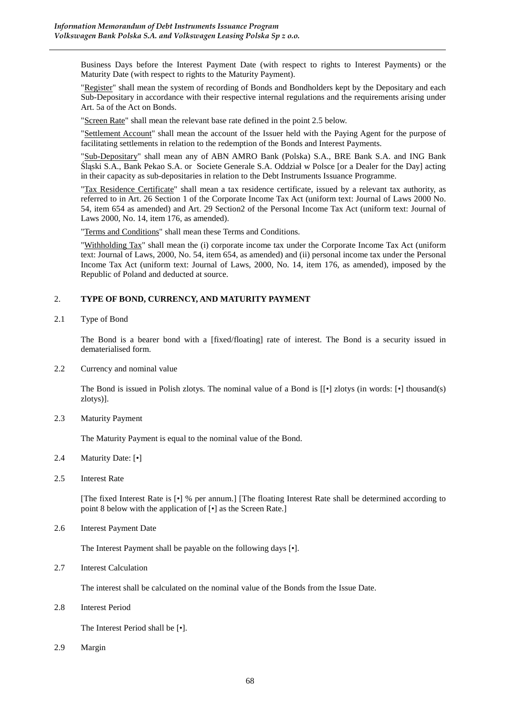Business Days before the Interest Payment Date (with respect to rights to Interest Payments) or the Maturity Date (with respect to rights to the Maturity Payment).

"Register" shall mean the system of recording of Bonds and Bondholders kept by the Depositary and each Sub-Depositary in accordance with their respective internal regulations and the requirements arising under Art. 5a of the Act on Bonds.

"Screen Rate" shall mean the relevant base rate defined in the point 2.5 below.

"Settlement Account" shall mean the account of the Issuer held with the Paying Agent for the purpose of facilitating settlements in relation to the redemption of the Bonds and Interest Payments.

"Sub-Depositary" shall mean any of ABN AMRO Bank (Polska) S.A., BRE Bank S.A. and ING Bank Śląski S.A., Bank Pekao S.A. or Societe Generale S.A. Oddział w Polsce [or a Dealer for the Day] acting in their capacity as sub-depositaries in relation to the Debt Instruments Issuance Programme.

"Tax Residence Certificate" shall mean a tax residence certificate, issued by a relevant tax authority, as referred to in Art. 26 Section 1 of the Corporate Income Tax Act (uniform text: Journal of Laws 2000 No. 54, item 654 as amended) and Art. 29 Section2 of the Personal Income Tax Act (uniform text: Journal of Laws 2000, No. 14, item 176, as amended).

"Terms and Conditions" shall mean these Terms and Conditions.

"Withholding Tax" shall mean the (i) corporate income tax under the Corporate Income Tax Act (uniform text: Journal of Laws, 2000, No. 54, item 654, as amended) and (ii) personal income tax under the Personal Income Tax Act (uniform text: Journal of Laws, 2000, No. 14, item 176, as amended), imposed by the Republic of Poland and deducted at source.

### 2. **TYPE OF BOND, CURRENCY, AND MATURITY PAYMENT**

2.1 Type of Bond

The Bond is a bearer bond with a [fixed/floating] rate of interest. The Bond is a security issued in dematerialised form.

2.2 Currency and nominal value

The Bond is issued in Polish zlotys. The nominal value of a Bond is [[•] zlotys (in words: [•] thousand(s) zlotys)].

2.3 Maturity Payment

The Maturity Payment is equal to the nominal value of the Bond.

- 2.4 Maturity Date: [•]
- 2.5 Interest Rate

[The fixed Interest Rate is [•] % per annum.] [The floating Interest Rate shall be determined according to point 8 below with the application of [•] as the Screen Rate.]

2.6 Interest Payment Date

The Interest Payment shall be payable on the following days [•].

2.7 Interest Calculation

The interest shall be calculated on the nominal value of the Bonds from the Issue Date.

2.8 Interest Period

The Interest Period shall be [•].

2.9 Margin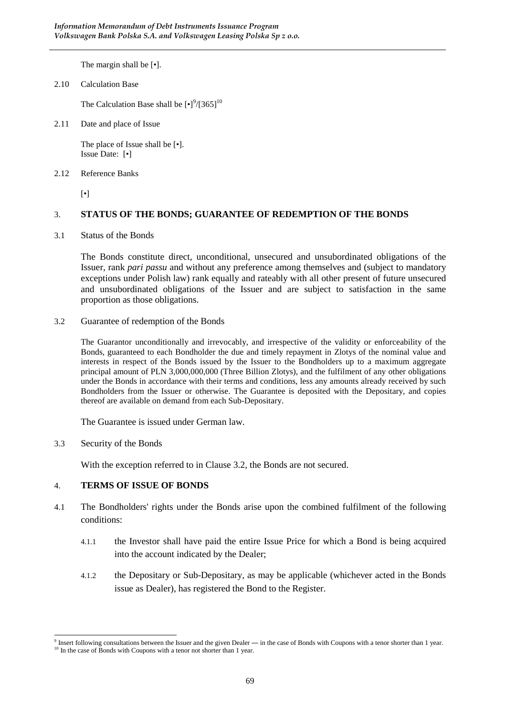The margin shall be [•].

2.10 Calculation Base

The Calculation Base shall be  $\left[\bullet\right]^9/\left[365\right]^{10}$ 

2.11 Date and place of Issue

The place of Issue shall be [•]. Issue Date: [•]

2.12 Reference Banks

[•]

## 3. **STATUS OF THE BONDS; GUARANTEE OF REDEMPTION OF THE BONDS**

3.1 Status of the Bonds

The Bonds constitute direct, unconditional, unsecured and unsubordinated obligations of the Issuer, rank *pari passu* and without any preference among themselves and (subject to mandatory exceptions under Polish law) rank equally and rateably with all other present of future unsecured and unsubordinated obligations of the Issuer and are subject to satisfaction in the same proportion as those obligations.

3.2 Guarantee of redemption of the Bonds

The Guarantor unconditionally and irrevocably, and irrespective of the validity or enforceability of the Bonds, guaranteed to each Bondholder the due and timely repayment in Zlotys of the nominal value and interests in respect of the Bonds issued by the Issuer to the Bondholders up to a maximum aggregate principal amount of PLN 3,000,000,000 (Three Billion Zlotys), and the fulfilment of any other obligations under the Bonds in accordance with their terms and conditions, less any amounts already received by such Bondholders from the Issuer or otherwise. The Guarantee is deposited with the Depositary, and copies thereof are available on demand from each Sub-Depositary.

The Guarantee is issued under German law.

3.3 Security of the Bonds

With the exception referred to in Clause 3.2, the Bonds are not secured.

## 4. **TERMS OF ISSUE OF BONDS**

- 4.1 The Bondholders' rights under the Bonds arise upon the combined fulfilment of the following conditions:
	- 4.1.1 the Investor shall have paid the entire Issue Price for which a Bond is being acquired into the account indicated by the Dealer;
	- 4.1.2 the Depositary or Sub-Depositary, as may be applicable (whichever acted in the Bonds issue as Dealer), has registered the Bond to the Register.

 9 Insert following consultations between the Issuer and the given Dealer ― in the case of Bonds with Coupons with a tenor shorter than 1 year. <sup>10</sup> In the case of Bonds with Coupons with a tenor not shorter than 1 year.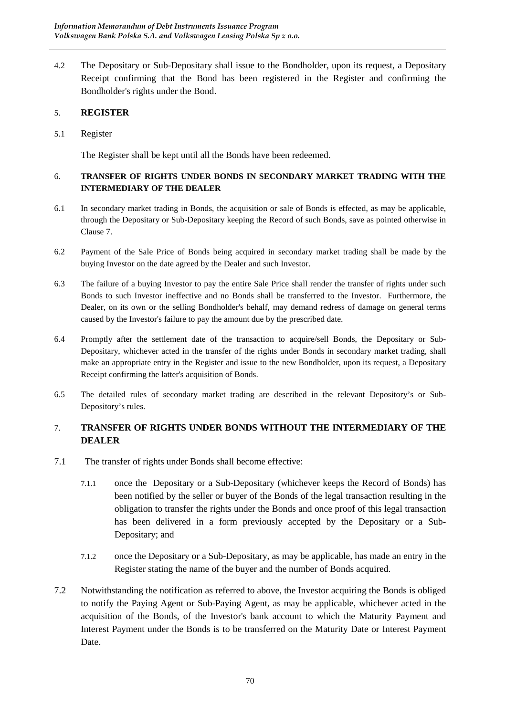4.2 The Depositary or Sub-Depositary shall issue to the Bondholder, upon its request, a Depositary Receipt confirming that the Bond has been registered in the Register and confirming the Bondholder's rights under the Bond.

# 5. **REGISTER**

5.1 Register

The Register shall be kept until all the Bonds have been redeemed.

# 6. **TRANSFER OF RIGHTS UNDER BONDS IN SECONDARY MARKET TRADING WITH THE INTERMEDIARY OF THE DEALER**

- 6.1 In secondary market trading in Bonds, the acquisition or sale of Bonds is effected, as may be applicable, through the Depositary or Sub-Depositary keeping the Record of such Bonds, save as pointed otherwise in Clause 7.
- 6.2 Payment of the Sale Price of Bonds being acquired in secondary market trading shall be made by the buying Investor on the date agreed by the Dealer and such Investor.
- 6.3 The failure of a buying Investor to pay the entire Sale Price shall render the transfer of rights under such Bonds to such Investor ineffective and no Bonds shall be transferred to the Investor. Furthermore, the Dealer, on its own or the selling Bondholder's behalf, may demand redress of damage on general terms caused by the Investor's failure to pay the amount due by the prescribed date.
- 6.4 Promptly after the settlement date of the transaction to acquire/sell Bonds, the Depositary or Sub-Depositary, whichever acted in the transfer of the rights under Bonds in secondary market trading, shall make an appropriate entry in the Register and issue to the new Bondholder, upon its request, a Depositary Receipt confirming the latter's acquisition of Bonds.
- 6.5 The detailed rules of secondary market trading are described in the relevant Depository's or Sub-Depository's rules.

# 7. **TRANSFER OF RIGHTS UNDER BONDS WITHOUT THE INTERMEDIARY OF THE DEALER**

- 7.1 The transfer of rights under Bonds shall become effective:
	- 7.1.1 once the Depositary or a Sub-Depositary (whichever keeps the Record of Bonds) has been notified by the seller or buyer of the Bonds of the legal transaction resulting in the obligation to transfer the rights under the Bonds and once proof of this legal transaction has been delivered in a form previously accepted by the Depositary or a Sub-Depositary; and
	- 7.1.2 once the Depositary or a Sub-Depositary, as may be applicable, has made an entry in the Register stating the name of the buyer and the number of Bonds acquired.
- 7.2 Notwithstanding the notification as referred to above, the Investor acquiring the Bonds is obliged to notify the Paying Agent or Sub-Paying Agent, as may be applicable, whichever acted in the acquisition of the Bonds, of the Investor's bank account to which the Maturity Payment and Interest Payment under the Bonds is to be transferred on the Maturity Date or Interest Payment Date.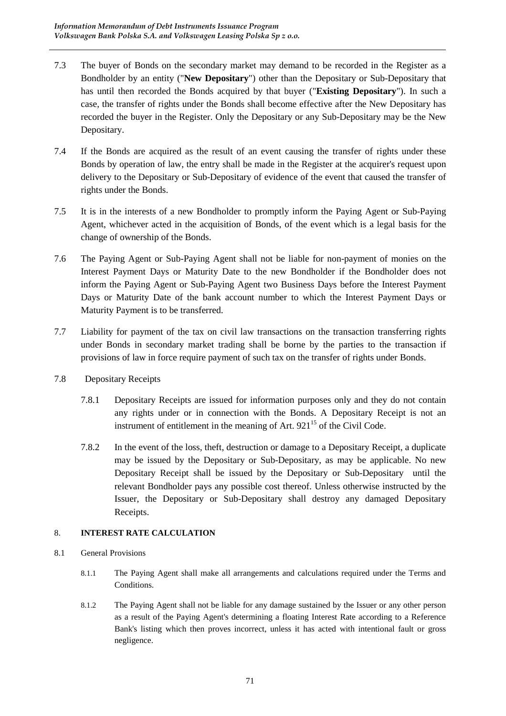- 7.3 The buyer of Bonds on the secondary market may demand to be recorded in the Register as a Bondholder by an entity ("**New Depositary**") other than the Depositary or Sub-Depositary that has until then recorded the Bonds acquired by that buyer ("**Existing Depositary**"). In such a case, the transfer of rights under the Bonds shall become effective after the New Depositary has recorded the buyer in the Register. Only the Depositary or any Sub-Depositary may be the New Depositary.
- 7.4 If the Bonds are acquired as the result of an event causing the transfer of rights under these Bonds by operation of law, the entry shall be made in the Register at the acquirer's request upon delivery to the Depositary or Sub-Depositary of evidence of the event that caused the transfer of rights under the Bonds.
- 7.5 It is in the interests of a new Bondholder to promptly inform the Paying Agent or Sub-Paying Agent, whichever acted in the acquisition of Bonds, of the event which is a legal basis for the change of ownership of the Bonds.
- 7.6 The Paying Agent or Sub-Paying Agent shall not be liable for non-payment of monies on the Interest Payment Days or Maturity Date to the new Bondholder if the Bondholder does not inform the Paying Agent or Sub-Paying Agent two Business Days before the Interest Payment Days or Maturity Date of the bank account number to which the Interest Payment Days or Maturity Payment is to be transferred.
- 7.7 Liability for payment of the tax on civil law transactions on the transaction transferring rights under Bonds in secondary market trading shall be borne by the parties to the transaction if provisions of law in force require payment of such tax on the transfer of rights under Bonds.
- 7.8 Depositary Receipts
	- 7.8.1 Depositary Receipts are issued for information purposes only and they do not contain any rights under or in connection with the Bonds. A Depositary Receipt is not an instrument of entitlement in the meaning of Art.  $921^{15}$  of the Civil Code.
	- 7.8.2 In the event of the loss, theft, destruction or damage to a Depositary Receipt, a duplicate may be issued by the Depositary or Sub-Depositary, as may be applicable. No new Depositary Receipt shall be issued by the Depositary or Sub-Depositary until the relevant Bondholder pays any possible cost thereof. Unless otherwise instructed by the Issuer, the Depositary or Sub-Depositary shall destroy any damaged Depositary Receipts.

# 8. **INTEREST RATE CALCULATION**

- 8.1 General Provisions
	- 8.1.1 The Paying Agent shall make all arrangements and calculations required under the Terms and Conditions.
	- 8.1.2 The Paying Agent shall not be liable for any damage sustained by the Issuer or any other person as a result of the Paying Agent's determining a floating Interest Rate according to a Reference Bank's listing which then proves incorrect, unless it has acted with intentional fault or gross negligence.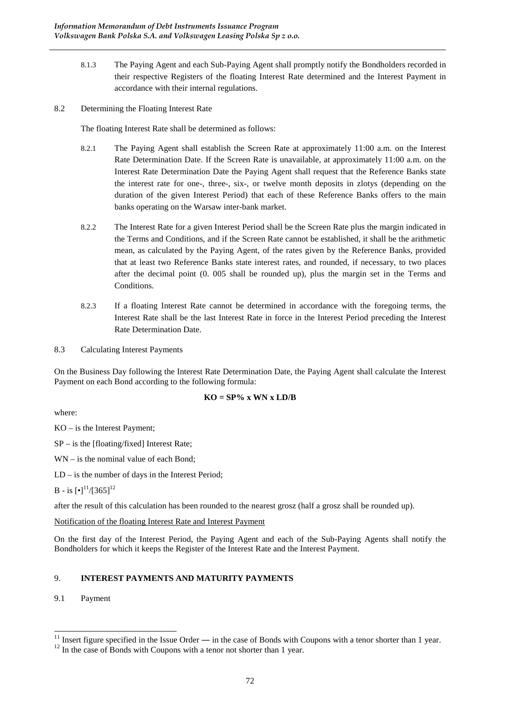- 8.1.3 The Paying Agent and each Sub-Paying Agent shall promptly notify the Bondholders recorded in their respective Registers of the floating Interest Rate determined and the Interest Payment in accordance with their internal regulations.
- 8.2 Determining the Floating Interest Rate

The floating Interest Rate shall be determined as follows:

- 8.2.1 The Paying Agent shall establish the Screen Rate at approximately 11:00 a.m. on the Interest Rate Determination Date. If the Screen Rate is unavailable, at approximately 11:00 a.m. on the Interest Rate Determination Date the Paying Agent shall request that the Reference Banks state the interest rate for one-, three-, six-, or twelve month deposits in zlotys (depending on the duration of the given Interest Period) that each of these Reference Banks offers to the main banks operating on the Warsaw inter-bank market.
- 8.2.2 The Interest Rate for a given Interest Period shall be the Screen Rate plus the margin indicated in the Terms and Conditions, and if the Screen Rate cannot be established, it shall be the arithmetic mean, as calculated by the Paying Agent, of the rates given by the Reference Banks, provided that at least two Reference Banks state interest rates, and rounded, if necessary, to two places after the decimal point (0. 005 shall be rounded up), plus the margin set in the Terms and Conditions.
- 8.2.3 If a floating Interest Rate cannot be determined in accordance with the foregoing terms, the Interest Rate shall be the last Interest Rate in force in the Interest Period preceding the Interest Rate Determination Date.
- 8.3 Calculating Interest Payments

On the Business Day following the Interest Rate Determination Date, the Paying Agent shall calculate the Interest Payment on each Bond according to the following formula:

### $KO = SP\% x$  WN x LD/B

where:

KO – is the Interest Payment;

- SP is the [floating/fixed] Interest Rate;
- WN is the nominal value of each Bond;
- LD is the number of days in the Interest Period;

 $B - i s$  [ $\cdot$ ]<sup>11</sup>/[365]<sup>12</sup>

after the result of this calculation has been rounded to the nearest grosz (half a grosz shall be rounded up).

Notification of the floating Interest Rate and Interest Payment

On the first day of the Interest Period, the Paying Agent and each of the Sub-Paying Agents shall notify the Bondholders for which it keeps the Register of the Interest Rate and the Interest Payment.

## 9. **INTEREST PAYMENTS AND MATURITY PAYMENTS**

9.1 Payment

 $\overline{a}$ 

<sup>&</sup>lt;sup>11</sup> Insert figure specified in the Issue Order — in the case of Bonds with Coupons with a tenor shorter than 1 year.

 $12$  In the case of Bonds with Coupons with a tenor not shorter than 1 year.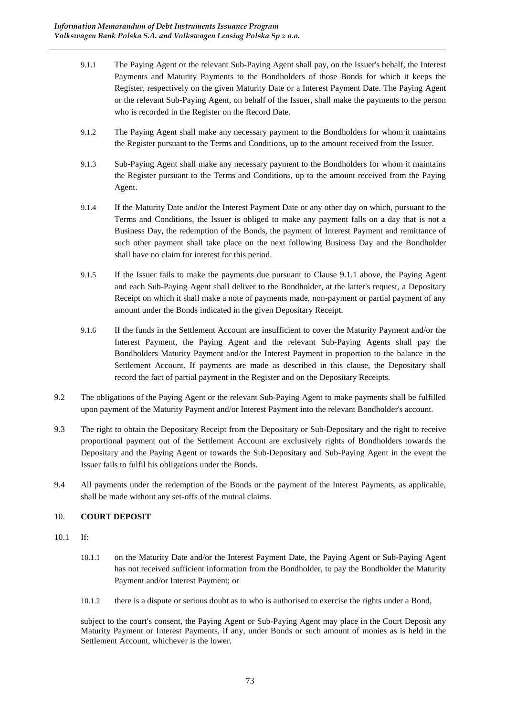- 9.1.1 The Paying Agent or the relevant Sub-Paying Agent shall pay, on the Issuer's behalf, the Interest Payments and Maturity Payments to the Bondholders of those Bonds for which it keeps the Register, respectively on the given Maturity Date or a Interest Payment Date. The Paying Agent or the relevant Sub-Paying Agent, on behalf of the Issuer, shall make the payments to the person who is recorded in the Register on the Record Date.
- 9.1.2 The Paying Agent shall make any necessary payment to the Bondholders for whom it maintains the Register pursuant to the Terms and Conditions, up to the amount received from the Issuer.
- 9.1.3 Sub-Paying Agent shall make any necessary payment to the Bondholders for whom it maintains the Register pursuant to the Terms and Conditions, up to the amount received from the Paying Agent.
- 9.1.4 If the Maturity Date and/or the Interest Payment Date or any other day on which, pursuant to the Terms and Conditions, the Issuer is obliged to make any payment falls on a day that is not a Business Day, the redemption of the Bonds, the payment of Interest Payment and remittance of such other payment shall take place on the next following Business Day and the Bondholder shall have no claim for interest for this period.
- 9.1.5 If the Issuer fails to make the payments due pursuant to Clause 9.1.1 above, the Paying Agent and each Sub-Paying Agent shall deliver to the Bondholder, at the latter's request, a Depositary Receipt on which it shall make a note of payments made, non-payment or partial payment of any amount under the Bonds indicated in the given Depositary Receipt.
- 9.1.6 If the funds in the Settlement Account are insufficient to cover the Maturity Payment and/or the Interest Payment, the Paying Agent and the relevant Sub-Paying Agents shall pay the Bondholders Maturity Payment and/or the Interest Payment in proportion to the balance in the Settlement Account. If payments are made as described in this clause, the Depositary shall record the fact of partial payment in the Register and on the Depositary Receipts.
- 9.2 The obligations of the Paying Agent or the relevant Sub-Paying Agent to make payments shall be fulfilled upon payment of the Maturity Payment and/or Interest Payment into the relevant Bondholder's account.
- 9.3 The right to obtain the Depositary Receipt from the Depositary or Sub-Depositary and the right to receive proportional payment out of the Settlement Account are exclusively rights of Bondholders towards the Depositary and the Paying Agent or towards the Sub-Depositary and Sub-Paying Agent in the event the Issuer fails to fulfil his obligations under the Bonds.
- 9.4 All payments under the redemption of the Bonds or the payment of the Interest Payments, as applicable, shall be made without any set-offs of the mutual claims.

## 10. **COURT DEPOSIT**

- 10.1 If:
	- 10.1.1 on the Maturity Date and/or the Interest Payment Date, the Paying Agent or Sub-Paying Agent has not received sufficient information from the Bondholder, to pay the Bondholder the Maturity Payment and/or Interest Payment; or
	- 10.1.2 there is a dispute or serious doubt as to who is authorised to exercise the rights under a Bond,

subject to the court's consent, the Paying Agent or Sub-Paying Agent may place in the Court Deposit any Maturity Payment or Interest Payments, if any, under Bonds or such amount of monies as is held in the Settlement Account, whichever is the lower.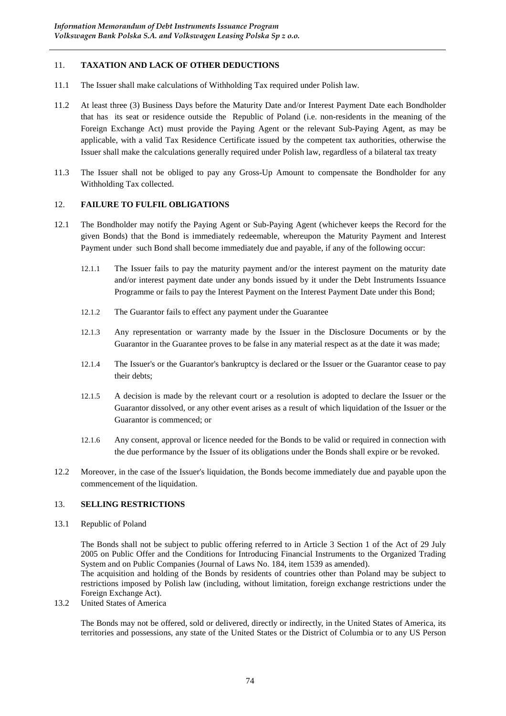## 11. **TAXATION AND LACK OF OTHER DEDUCTIONS**

- 11.1 The Issuer shall make calculations of Withholding Tax required under Polish law.
- 11.2 At least three (3) Business Days before the Maturity Date and/or Interest Payment Date each Bondholder that has its seat or residence outside the Republic of Poland (i.e. non-residents in the meaning of the Foreign Exchange Act) must provide the Paying Agent or the relevant Sub-Paying Agent, as may be applicable, with a valid Tax Residence Certificate issued by the competent tax authorities, otherwise the Issuer shall make the calculations generally required under Polish law, regardless of a bilateral tax treaty
- 11.3 The Issuer shall not be obliged to pay any Gross-Up Amount to compensate the Bondholder for any Withholding Tax collected.

#### 12. **FAILURE TO FULFIL OBLIGATIONS**

- 12.1 The Bondholder may notify the Paying Agent or Sub-Paying Agent (whichever keeps the Record for the given Bonds) that the Bond is immediately redeemable, whereupon the Maturity Payment and Interest Payment under such Bond shall become immediately due and payable, if any of the following occur:
	- 12.1.1 The Issuer fails to pay the maturity payment and/or the interest payment on the maturity date and/or interest payment date under any bonds issued by it under the Debt Instruments Issuance Programme or fails to pay the Interest Payment on the Interest Payment Date under this Bond;
	- 12.1.2 The Guarantor fails to effect any payment under the Guarantee
	- 12.1.3 Any representation or warranty made by the Issuer in the Disclosure Documents or by the Guarantor in the Guarantee proves to be false in any material respect as at the date it was made;
	- 12.1.4 The Issuer's or the Guarantor's bankruptcy is declared or the Issuer or the Guarantor cease to pay their debts;
	- 12.1.5 A decision is made by the relevant court or a resolution is adopted to declare the Issuer or the Guarantor dissolved, or any other event arises as a result of which liquidation of the Issuer or the Guarantor is commenced; or
	- 12.1.6 Any consent, approval or licence needed for the Bonds to be valid or required in connection with the due performance by the Issuer of its obligations under the Bonds shall expire or be revoked.
- 12.2 Moreover, in the case of the Issuer's liquidation, the Bonds become immediately due and payable upon the commencement of the liquidation.

#### 13. **SELLING RESTRICTIONS**

13.1 Republic of Poland

The Bonds shall not be subject to public offering referred to in Article 3 Section 1 of the Act of 29 July 2005 on Public Offer and the Conditions for Introducing Financial Instruments to the Organized Trading System and on Public Companies (Journal of Laws No. 184, item 1539 as amended).

The acquisition and holding of the Bonds by residents of countries other than Poland may be subject to restrictions imposed by Polish law (including, without limitation, foreign exchange restrictions under the Foreign Exchange Act).

13.2 United States of America

The Bonds may not be offered, sold or delivered, directly or indirectly, in the United States of America, its territories and possessions, any state of the United States or the District of Columbia or to any US Person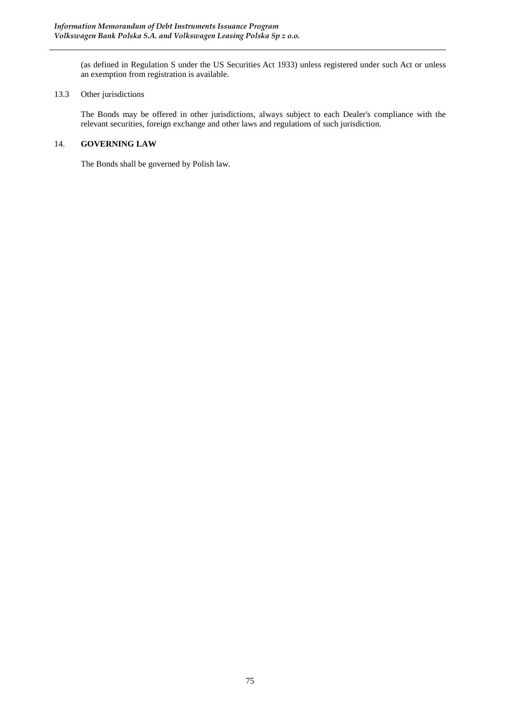(as defined in Regulation S under the US Securities Act 1933) unless registered under such Act or unless an exemption from registration is available.

#### 13.3 Other jurisdictions

The Bonds may be offered in other jurisdictions, always subject to each Dealer's compliance with the relevant securities, foreign exchange and other laws and regulations of such jurisdiction.

## 14. **GOVERNING LAW**

The Bonds shall be governed by Polish law.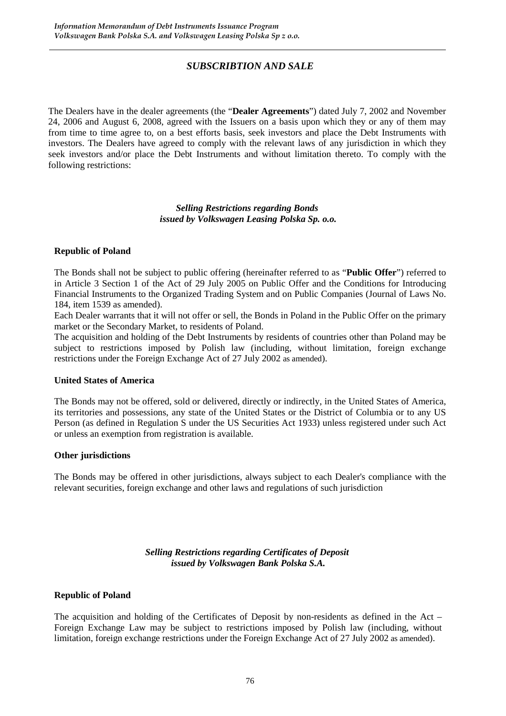# *SUBSCRIBTION AND SALE*

The Dealers have in the dealer agreements (the "**Dealer Agreements**") dated July 7, 2002 and November 24, 2006 and August 6, 2008, agreed with the Issuers on a basis upon which they or any of them may from time to time agree to, on a best efforts basis, seek investors and place the Debt Instruments with investors. The Dealers have agreed to comply with the relevant laws of any jurisdiction in which they seek investors and/or place the Debt Instruments and without limitation thereto. To comply with the following restrictions:

> *Selling Restrictions regarding Bonds issued by Volkswagen Leasing Polska Sp. o.o.*

## **Republic of Poland**

The Bonds shall not be subject to public offering (hereinafter referred to as "**Public Offer**") referred to in Article 3 Section 1 of the Act of 29 July 2005 on Public Offer and the Conditions for Introducing Financial Instruments to the Organized Trading System and on Public Companies (Journal of Laws No. 184, item 1539 as amended).

Each Dealer warrants that it will not offer or sell, the Bonds in Poland in the Public Offer on the primary market or the Secondary Market, to residents of Poland.

The acquisition and holding of the Debt Instruments by residents of countries other than Poland may be subject to restrictions imposed by Polish law (including, without limitation, foreign exchange restrictions under the Foreign Exchange Act of 27 July 2002 as amended).

## **United States of America**

The Bonds may not be offered, sold or delivered, directly or indirectly, in the United States of America, its territories and possessions, any state of the United States or the District of Columbia or to any US Person (as defined in Regulation S under the US Securities Act 1933) unless registered under such Act or unless an exemption from registration is available.

## **Other jurisdictions**

The Bonds may be offered in other jurisdictions, always subject to each Dealer's compliance with the relevant securities, foreign exchange and other laws and regulations of such jurisdiction

> *Selling Restrictions regarding Certificates of Deposit issued by Volkswagen Bank Polska S.A.*

#### **Republic of Poland**

The acquisition and holding of the Certificates of Deposit by non-residents as defined in the Act – Foreign Exchange Law may be subject to restrictions imposed by Polish law (including, without limitation, foreign exchange restrictions under the Foreign Exchange Act of 27 July 2002 as amended).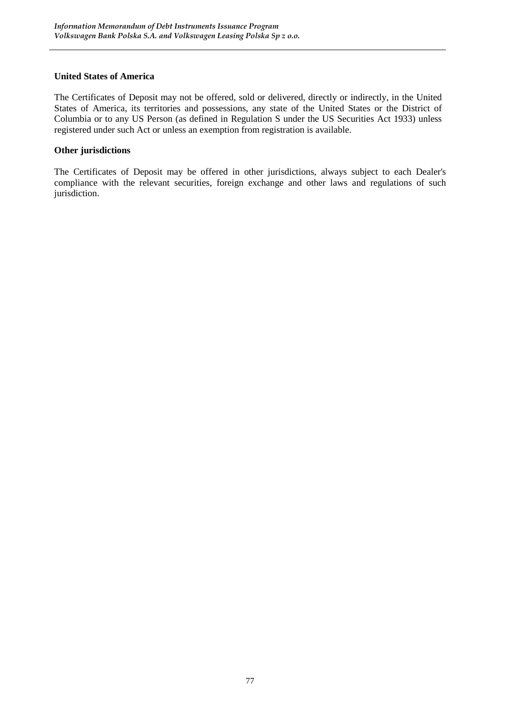# **United States of America**

The Certificates of Deposit may not be offered, sold or delivered, directly or indirectly, in the United States of America, its territories and possessions, any state of the United States or the District of Columbia or to any US Person (as defined in Regulation S under the US Securities Act 1933) unless registered under such Act or unless an exemption from registration is available.

# **Other jurisdictions**

The Certificates of Deposit may be offered in other jurisdictions, always subject to each Dealer's compliance with the relevant securities, foreign exchange and other laws and regulations of such jurisdiction.